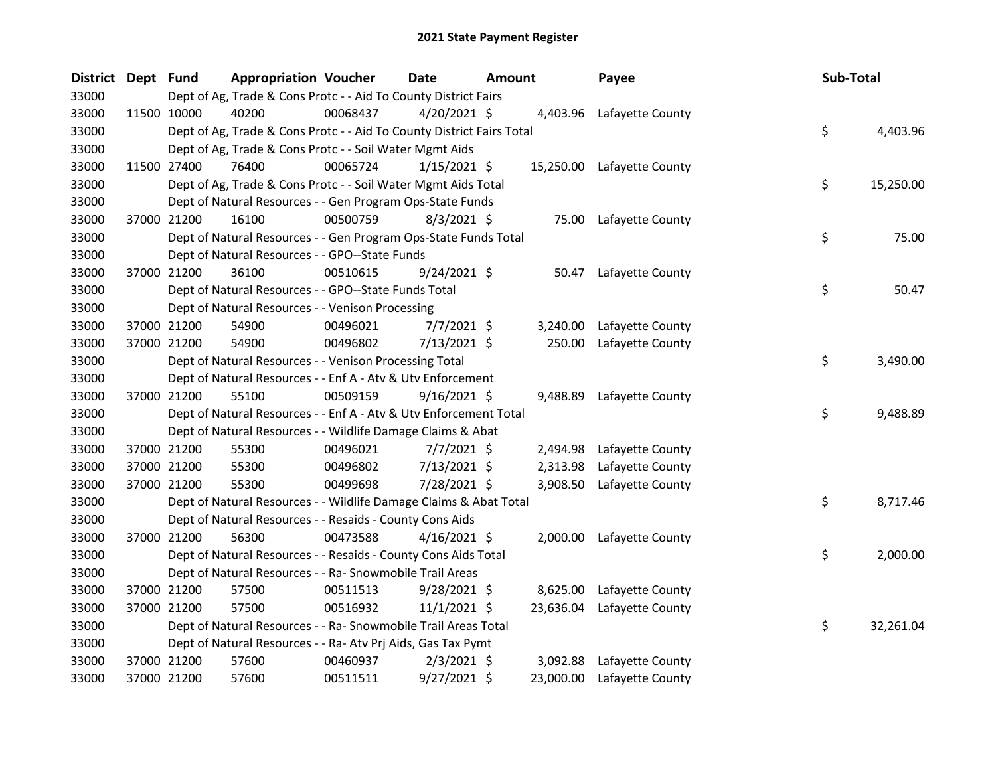| District Dept Fund |             | <b>Appropriation Voucher</b>                                          |          | <b>Date</b>    | <b>Amount</b> |           | Payee                      | Sub-Total |           |
|--------------------|-------------|-----------------------------------------------------------------------|----------|----------------|---------------|-----------|----------------------------|-----------|-----------|
| 33000              |             | Dept of Ag, Trade & Cons Protc - - Aid To County District Fairs       |          |                |               |           |                            |           |           |
| 33000              | 11500 10000 | 40200                                                                 | 00068437 | $4/20/2021$ \$ |               |           | 4,403.96 Lafayette County  |           |           |
| 33000              |             | Dept of Ag, Trade & Cons Protc - - Aid To County District Fairs Total |          |                |               |           |                            | \$        | 4,403.96  |
| 33000              |             | Dept of Ag, Trade & Cons Protc - - Soil Water Mgmt Aids               |          |                |               |           |                            |           |           |
| 33000              | 11500 27400 | 76400                                                                 | 00065724 | $1/15/2021$ \$ |               |           | 15,250.00 Lafayette County |           |           |
| 33000              |             | Dept of Ag, Trade & Cons Protc - - Soil Water Mgmt Aids Total         |          |                |               |           |                            | \$        | 15,250.00 |
| 33000              |             | Dept of Natural Resources - - Gen Program Ops-State Funds             |          |                |               |           |                            |           |           |
| 33000              | 37000 21200 | 16100                                                                 | 00500759 | $8/3/2021$ \$  |               | 75.00     | Lafayette County           |           |           |
| 33000              |             | Dept of Natural Resources - - Gen Program Ops-State Funds Total       |          |                |               |           |                            | \$        | 75.00     |
| 33000              |             | Dept of Natural Resources - - GPO--State Funds                        |          |                |               |           |                            |           |           |
| 33000              | 37000 21200 | 36100                                                                 | 00510615 | $9/24/2021$ \$ |               | 50.47     | Lafayette County           |           |           |
| 33000              |             | Dept of Natural Resources - - GPO--State Funds Total                  |          |                |               |           |                            | \$        | 50.47     |
| 33000              |             | Dept of Natural Resources - - Venison Processing                      |          |                |               |           |                            |           |           |
| 33000              | 37000 21200 | 54900                                                                 | 00496021 | $7/7/2021$ \$  |               | 3,240.00  | Lafayette County           |           |           |
| 33000              | 37000 21200 | 54900                                                                 | 00496802 | 7/13/2021 \$   |               | 250.00    | Lafayette County           |           |           |
| 33000              |             | Dept of Natural Resources - - Venison Processing Total                |          |                |               |           |                            | \$        | 3,490.00  |
| 33000              |             | Dept of Natural Resources - - Enf A - Atv & Utv Enforcement           |          |                |               |           |                            |           |           |
| 33000              | 37000 21200 | 55100                                                                 | 00509159 | $9/16/2021$ \$ |               |           | 9,488.89 Lafayette County  |           |           |
| 33000              |             | Dept of Natural Resources - - Enf A - Atv & Utv Enforcement Total     |          |                |               |           |                            | \$        | 9,488.89  |
| 33000              |             | Dept of Natural Resources - - Wildlife Damage Claims & Abat           |          |                |               |           |                            |           |           |
| 33000              | 37000 21200 | 55300                                                                 | 00496021 | $7/7/2021$ \$  |               | 2,494.98  | Lafayette County           |           |           |
| 33000              | 37000 21200 | 55300                                                                 | 00496802 | $7/13/2021$ \$ |               | 2,313.98  | Lafayette County           |           |           |
| 33000              | 37000 21200 | 55300                                                                 | 00499698 | 7/28/2021 \$   |               | 3,908.50  | Lafayette County           |           |           |
| 33000              |             | Dept of Natural Resources - - Wildlife Damage Claims & Abat Total     |          |                |               |           |                            | \$        | 8,717.46  |
| 33000              |             | Dept of Natural Resources - - Resaids - County Cons Aids              |          |                |               |           |                            |           |           |
| 33000              | 37000 21200 | 56300                                                                 | 00473588 | $4/16/2021$ \$ |               |           | 2,000.00 Lafayette County  |           |           |
| 33000              |             | Dept of Natural Resources - - Resaids - County Cons Aids Total        |          |                |               |           |                            | \$        | 2,000.00  |
| 33000              |             | Dept of Natural Resources - - Ra- Snowmobile Trail Areas              |          |                |               |           |                            |           |           |
| 33000              | 37000 21200 | 57500                                                                 | 00511513 | $9/28/2021$ \$ |               | 8,625.00  | Lafayette County           |           |           |
| 33000              | 37000 21200 | 57500                                                                 | 00516932 | $11/1/2021$ \$ |               |           | 23,636.04 Lafayette County |           |           |
| 33000              |             | Dept of Natural Resources - - Ra- Snowmobile Trail Areas Total        |          |                |               |           |                            | \$        | 32,261.04 |
| 33000              |             | Dept of Natural Resources - - Ra- Atv Prj Aids, Gas Tax Pymt          |          |                |               |           |                            |           |           |
| 33000              | 37000 21200 | 57600                                                                 | 00460937 | $2/3/2021$ \$  |               | 3,092.88  | Lafayette County           |           |           |
| 33000              | 37000 21200 | 57600                                                                 | 00511511 | 9/27/2021 \$   |               | 23,000.00 | Lafayette County           |           |           |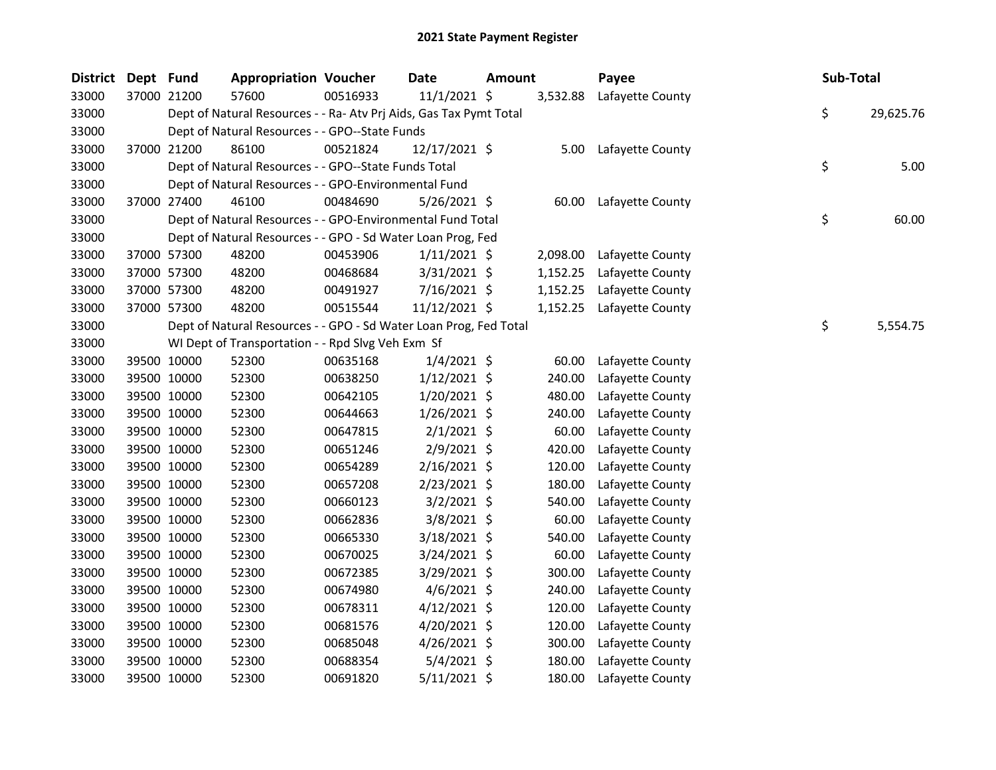| <b>District</b> | Dept Fund   |             | <b>Appropriation Voucher</b>                                       |          | <b>Date</b>    | <b>Amount</b> |          | Payee            | Sub-Total |           |
|-----------------|-------------|-------------|--------------------------------------------------------------------|----------|----------------|---------------|----------|------------------|-----------|-----------|
| 33000           |             | 37000 21200 | 57600                                                              | 00516933 | 11/1/2021 \$   |               | 3,532.88 | Lafayette County |           |           |
| 33000           |             |             | Dept of Natural Resources - - Ra- Atv Prj Aids, Gas Tax Pymt Total |          |                |               |          |                  | \$        | 29,625.76 |
| 33000           |             |             | Dept of Natural Resources - - GPO--State Funds                     |          |                |               |          |                  |           |           |
| 33000           |             | 37000 21200 | 86100                                                              | 00521824 | 12/17/2021 \$  |               | 5.00     | Lafayette County |           |           |
| 33000           |             |             | Dept of Natural Resources - - GPO--State Funds Total               |          |                |               |          |                  | \$        | 5.00      |
| 33000           |             |             | Dept of Natural Resources - - GPO-Environmental Fund               |          |                |               |          |                  |           |           |
| 33000           |             | 37000 27400 | 46100                                                              | 00484690 | 5/26/2021 \$   |               | 60.00    | Lafayette County |           |           |
| 33000           |             |             | Dept of Natural Resources - - GPO-Environmental Fund Total         |          |                |               |          |                  | \$        | 60.00     |
| 33000           |             |             | Dept of Natural Resources - - GPO - Sd Water Loan Prog, Fed        |          |                |               |          |                  |           |           |
| 33000           |             | 37000 57300 | 48200                                                              | 00453906 | $1/11/2021$ \$ |               | 2,098.00 | Lafayette County |           |           |
| 33000           |             | 37000 57300 | 48200                                                              | 00468684 | 3/31/2021 \$   |               | 1,152.25 | Lafayette County |           |           |
| 33000           |             | 37000 57300 | 48200                                                              | 00491927 | 7/16/2021 \$   |               | 1,152.25 | Lafayette County |           |           |
| 33000           |             | 37000 57300 | 48200                                                              | 00515544 | 11/12/2021 \$  |               | 1,152.25 | Lafayette County |           |           |
| 33000           |             |             | Dept of Natural Resources - - GPO - Sd Water Loan Prog, Fed Total  |          |                |               |          |                  | \$        | 5,554.75  |
| 33000           |             |             | WI Dept of Transportation - - Rpd Slvg Veh Exm Sf                  |          |                |               |          |                  |           |           |
| 33000           |             | 39500 10000 | 52300                                                              | 00635168 | $1/4/2021$ \$  |               | 60.00    | Lafayette County |           |           |
| 33000           |             | 39500 10000 | 52300                                                              | 00638250 | 1/12/2021 \$   |               | 240.00   | Lafayette County |           |           |
| 33000           |             | 39500 10000 | 52300                                                              | 00642105 | $1/20/2021$ \$ |               | 480.00   | Lafayette County |           |           |
| 33000           |             | 39500 10000 | 52300                                                              | 00644663 | $1/26/2021$ \$ |               | 240.00   | Lafayette County |           |           |
| 33000           |             | 39500 10000 | 52300                                                              | 00647815 | $2/1/2021$ \$  |               | 60.00    | Lafayette County |           |           |
| 33000           |             | 39500 10000 | 52300                                                              | 00651246 | $2/9/2021$ \$  |               | 420.00   | Lafayette County |           |           |
| 33000           |             | 39500 10000 | 52300                                                              | 00654289 | $2/16/2021$ \$ |               | 120.00   | Lafayette County |           |           |
| 33000           |             | 39500 10000 | 52300                                                              | 00657208 | 2/23/2021 \$   |               | 180.00   | Lafayette County |           |           |
| 33000           |             | 39500 10000 | 52300                                                              | 00660123 | $3/2/2021$ \$  |               | 540.00   | Lafayette County |           |           |
| 33000           |             | 39500 10000 | 52300                                                              | 00662836 | 3/8/2021 \$    |               | 60.00    | Lafayette County |           |           |
| 33000           |             | 39500 10000 | 52300                                                              | 00665330 | 3/18/2021 \$   |               | 540.00   | Lafayette County |           |           |
| 33000           |             | 39500 10000 | 52300                                                              | 00670025 | 3/24/2021 \$   |               | 60.00    | Lafayette County |           |           |
| 33000           |             | 39500 10000 | 52300                                                              | 00672385 | 3/29/2021 \$   |               | 300.00   | Lafayette County |           |           |
| 33000           |             | 39500 10000 | 52300                                                              | 00674980 | $4/6/2021$ \$  |               | 240.00   | Lafayette County |           |           |
| 33000           |             | 39500 10000 | 52300                                                              | 00678311 | $4/12/2021$ \$ |               | 120.00   | Lafayette County |           |           |
| 33000           |             | 39500 10000 | 52300                                                              | 00681576 | $4/20/2021$ \$ |               | 120.00   | Lafayette County |           |           |
| 33000           |             | 39500 10000 | 52300                                                              | 00685048 | $4/26/2021$ \$ |               | 300.00   | Lafayette County |           |           |
| 33000           |             | 39500 10000 | 52300                                                              | 00688354 | $5/4/2021$ \$  |               | 180.00   | Lafayette County |           |           |
| 33000           | 39500 10000 |             | 52300                                                              | 00691820 | 5/11/2021 \$   |               | 180.00   | Lafayette County |           |           |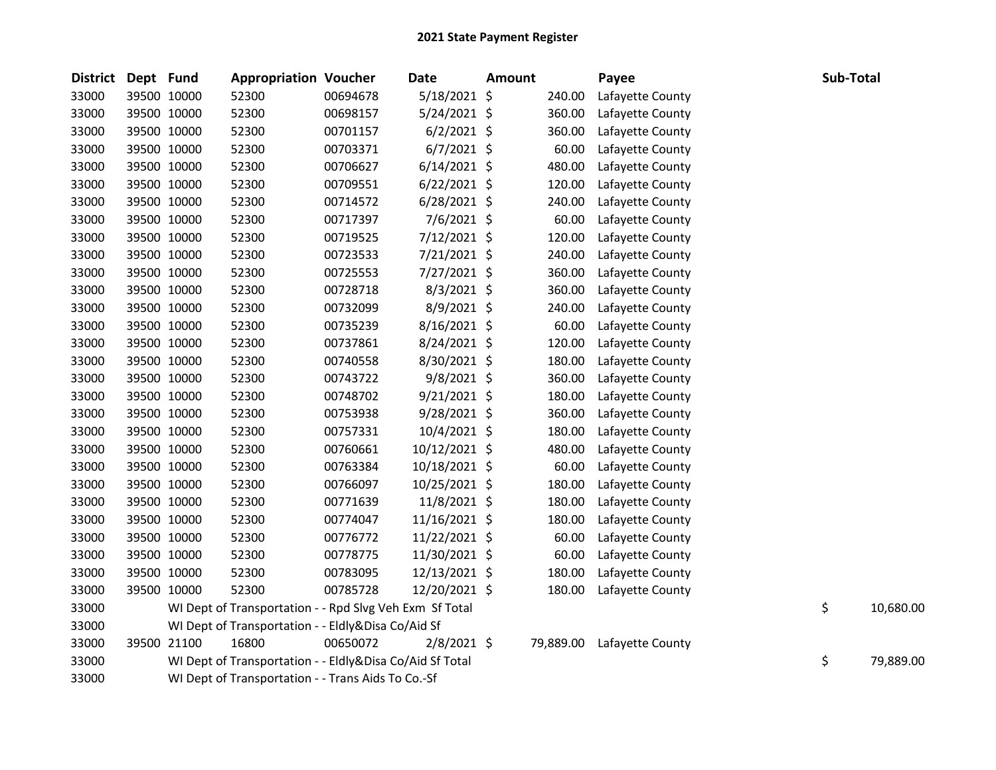| <b>District</b> | Dept Fund |             | <b>Appropriation Voucher</b>                             |          | <b>Date</b>    | <b>Amount</b> |           | Payee            | <b>Sub-Total</b> |           |
|-----------------|-----------|-------------|----------------------------------------------------------|----------|----------------|---------------|-----------|------------------|------------------|-----------|
| 33000           |           | 39500 10000 | 52300                                                    | 00694678 | 5/18/2021 \$   |               | 240.00    | Lafayette County |                  |           |
| 33000           |           | 39500 10000 | 52300                                                    | 00698157 | $5/24/2021$ \$ |               | 360.00    | Lafayette County |                  |           |
| 33000           |           | 39500 10000 | 52300                                                    | 00701157 | $6/2/2021$ \$  |               | 360.00    | Lafayette County |                  |           |
| 33000           |           | 39500 10000 | 52300                                                    | 00703371 | $6/7/2021$ \$  |               | 60.00     | Lafayette County |                  |           |
| 33000           |           | 39500 10000 | 52300                                                    | 00706627 | $6/14/2021$ \$ |               | 480.00    | Lafayette County |                  |           |
| 33000           |           | 39500 10000 | 52300                                                    | 00709551 | $6/22/2021$ \$ |               | 120.00    | Lafayette County |                  |           |
| 33000           |           | 39500 10000 | 52300                                                    | 00714572 | $6/28/2021$ \$ |               | 240.00    | Lafayette County |                  |           |
| 33000           |           | 39500 10000 | 52300                                                    | 00717397 | 7/6/2021 \$    |               | 60.00     | Lafayette County |                  |           |
| 33000           |           | 39500 10000 | 52300                                                    | 00719525 | 7/12/2021 \$   |               | 120.00    | Lafayette County |                  |           |
| 33000           |           | 39500 10000 | 52300                                                    | 00723533 | 7/21/2021 \$   |               | 240.00    | Lafayette County |                  |           |
| 33000           |           | 39500 10000 | 52300                                                    | 00725553 | 7/27/2021 \$   |               | 360.00    | Lafayette County |                  |           |
| 33000           |           | 39500 10000 | 52300                                                    | 00728718 | $8/3/2021$ \$  |               | 360.00    | Lafayette County |                  |           |
| 33000           |           | 39500 10000 | 52300                                                    | 00732099 | 8/9/2021 \$    |               | 240.00    | Lafayette County |                  |           |
| 33000           |           | 39500 10000 | 52300                                                    | 00735239 | 8/16/2021 \$   |               | 60.00     | Lafayette County |                  |           |
| 33000           |           | 39500 10000 | 52300                                                    | 00737861 | 8/24/2021 \$   |               | 120.00    | Lafayette County |                  |           |
| 33000           |           | 39500 10000 | 52300                                                    | 00740558 | 8/30/2021 \$   |               | 180.00    | Lafayette County |                  |           |
| 33000           |           | 39500 10000 | 52300                                                    | 00743722 | 9/8/2021 \$    |               | 360.00    | Lafayette County |                  |           |
| 33000           |           | 39500 10000 | 52300                                                    | 00748702 | $9/21/2021$ \$ |               | 180.00    | Lafayette County |                  |           |
| 33000           |           | 39500 10000 | 52300                                                    | 00753938 | $9/28/2021$ \$ |               | 360.00    | Lafayette County |                  |           |
| 33000           |           | 39500 10000 | 52300                                                    | 00757331 | 10/4/2021 \$   |               | 180.00    | Lafayette County |                  |           |
| 33000           |           | 39500 10000 | 52300                                                    | 00760661 | 10/12/2021 \$  |               | 480.00    | Lafayette County |                  |           |
| 33000           |           | 39500 10000 | 52300                                                    | 00763384 | 10/18/2021 \$  |               | 60.00     | Lafayette County |                  |           |
| 33000           |           | 39500 10000 | 52300                                                    | 00766097 | 10/25/2021 \$  |               | 180.00    | Lafayette County |                  |           |
| 33000           |           | 39500 10000 | 52300                                                    | 00771639 | 11/8/2021 \$   |               | 180.00    | Lafayette County |                  |           |
| 33000           |           | 39500 10000 | 52300                                                    | 00774047 | 11/16/2021 \$  |               | 180.00    | Lafayette County |                  |           |
| 33000           |           | 39500 10000 | 52300                                                    | 00776772 | 11/22/2021 \$  |               | 60.00     | Lafayette County |                  |           |
| 33000           |           | 39500 10000 | 52300                                                    | 00778775 | 11/30/2021 \$  |               | 60.00     | Lafayette County |                  |           |
| 33000           |           | 39500 10000 | 52300                                                    | 00783095 | 12/13/2021 \$  |               | 180.00    | Lafayette County |                  |           |
| 33000           |           | 39500 10000 | 52300                                                    | 00785728 | 12/20/2021 \$  |               | 180.00    | Lafayette County |                  |           |
| 33000           |           |             | WI Dept of Transportation - - Rpd Slvg Veh Exm Sf Total  |          |                |               |           |                  | \$               | 10,680.00 |
| 33000           |           |             | WI Dept of Transportation - - Eldly&Disa Co/Aid Sf       |          |                |               |           |                  |                  |           |
| 33000           |           | 39500 21100 | 16800                                                    | 00650072 | $2/8/2021$ \$  |               | 79,889.00 | Lafayette County |                  |           |
| 33000           |           |             | WI Dept of Transportation - - Eldly&Disa Co/Aid Sf Total |          |                |               |           |                  | \$               | 79,889.00 |
| 33000           |           |             | WI Dept of Transportation - - Trans Aids To Co.-Sf       |          |                |               |           |                  |                  |           |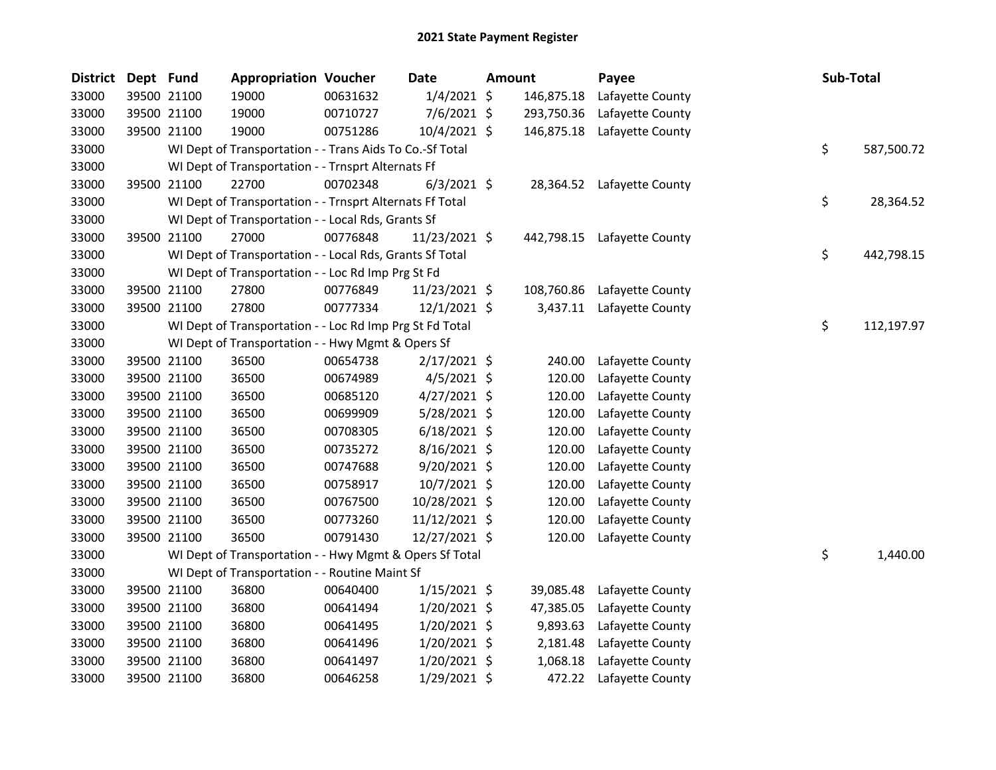| <b>District</b> | Dept Fund   |             | <b>Appropriation Voucher</b>                             |          | <b>Date</b>    | <b>Amount</b> |            | Payee                      | Sub-Total |            |
|-----------------|-------------|-------------|----------------------------------------------------------|----------|----------------|---------------|------------|----------------------------|-----------|------------|
| 33000           |             | 39500 21100 | 19000                                                    | 00631632 | $1/4/2021$ \$  |               | 146,875.18 | Lafayette County           |           |            |
| 33000           |             | 39500 21100 | 19000                                                    | 00710727 | $7/6/2021$ \$  |               | 293,750.36 | Lafayette County           |           |            |
| 33000           |             | 39500 21100 | 19000                                                    | 00751286 | 10/4/2021 \$   |               | 146,875.18 | Lafayette County           |           |            |
| 33000           |             |             | WI Dept of Transportation - - Trans Aids To Co.-Sf Total |          |                |               |            |                            | \$        | 587,500.72 |
| 33000           |             |             | WI Dept of Transportation - - Trnsprt Alternats Ff       |          |                |               |            |                            |           |            |
| 33000           |             | 39500 21100 | 22700                                                    | 00702348 | $6/3/2021$ \$  |               |            | 28,364.52 Lafayette County |           |            |
| 33000           |             |             | WI Dept of Transportation - - Trnsprt Alternats Ff Total |          |                |               |            |                            | \$        | 28,364.52  |
| 33000           |             |             | WI Dept of Transportation - - Local Rds, Grants Sf       |          |                |               |            |                            |           |            |
| 33000           |             | 39500 21100 | 27000                                                    | 00776848 | 11/23/2021 \$  |               | 442,798.15 | Lafayette County           |           |            |
| 33000           |             |             | WI Dept of Transportation - - Local Rds, Grants Sf Total |          |                |               |            |                            | \$        | 442,798.15 |
| 33000           |             |             | WI Dept of Transportation - - Loc Rd Imp Prg St Fd       |          |                |               |            |                            |           |            |
| 33000           | 39500 21100 |             | 27800                                                    | 00776849 | 11/23/2021 \$  |               | 108,760.86 | Lafayette County           |           |            |
| 33000           |             | 39500 21100 | 27800                                                    | 00777334 | 12/1/2021 \$   |               | 3,437.11   | Lafayette County           |           |            |
| 33000           |             |             | WI Dept of Transportation - - Loc Rd Imp Prg St Fd Total |          |                |               |            |                            | \$        | 112,197.97 |
| 33000           |             |             | WI Dept of Transportation - - Hwy Mgmt & Opers Sf        |          |                |               |            |                            |           |            |
| 33000           |             | 39500 21100 | 36500                                                    | 00654738 | $2/17/2021$ \$ |               | 240.00     | Lafayette County           |           |            |
| 33000           |             | 39500 21100 | 36500                                                    | 00674989 | $4/5/2021$ \$  |               | 120.00     | Lafayette County           |           |            |
| 33000           |             | 39500 21100 | 36500                                                    | 00685120 | $4/27/2021$ \$ |               | 120.00     | Lafayette County           |           |            |
| 33000           |             | 39500 21100 | 36500                                                    | 00699909 | 5/28/2021 \$   |               | 120.00     | Lafayette County           |           |            |
| 33000           |             | 39500 21100 | 36500                                                    | 00708305 | $6/18/2021$ \$ |               | 120.00     | Lafayette County           |           |            |
| 33000           |             | 39500 21100 | 36500                                                    | 00735272 | $8/16/2021$ \$ |               | 120.00     | Lafayette County           |           |            |
| 33000           |             | 39500 21100 | 36500                                                    | 00747688 | $9/20/2021$ \$ |               | 120.00     | Lafayette County           |           |            |
| 33000           |             | 39500 21100 | 36500                                                    | 00758917 | 10/7/2021 \$   |               | 120.00     | Lafayette County           |           |            |
| 33000           |             | 39500 21100 | 36500                                                    | 00767500 | 10/28/2021 \$  |               | 120.00     | Lafayette County           |           |            |
| 33000           |             | 39500 21100 | 36500                                                    | 00773260 | 11/12/2021 \$  |               | 120.00     | Lafayette County           |           |            |
| 33000           |             | 39500 21100 | 36500                                                    | 00791430 | 12/27/2021 \$  |               | 120.00     | Lafayette County           |           |            |
| 33000           |             |             | WI Dept of Transportation - - Hwy Mgmt & Opers Sf Total  |          |                |               |            |                            | \$        | 1,440.00   |
| 33000           |             |             | WI Dept of Transportation - - Routine Maint Sf           |          |                |               |            |                            |           |            |
| 33000           |             | 39500 21100 | 36800                                                    | 00640400 | $1/15/2021$ \$ |               | 39,085.48  | Lafayette County           |           |            |
| 33000           |             | 39500 21100 | 36800                                                    | 00641494 | $1/20/2021$ \$ |               | 47,385.05  | Lafayette County           |           |            |
| 33000           |             | 39500 21100 | 36800                                                    | 00641495 | $1/20/2021$ \$ |               | 9,893.63   | Lafayette County           |           |            |
| 33000           |             | 39500 21100 | 36800                                                    | 00641496 | 1/20/2021 \$   |               | 2,181.48   | Lafayette County           |           |            |
| 33000           |             | 39500 21100 | 36800                                                    | 00641497 | $1/20/2021$ \$ |               | 1,068.18   | Lafayette County           |           |            |
| 33000           |             | 39500 21100 | 36800                                                    | 00646258 | 1/29/2021 \$   |               | 472.22     | Lafayette County           |           |            |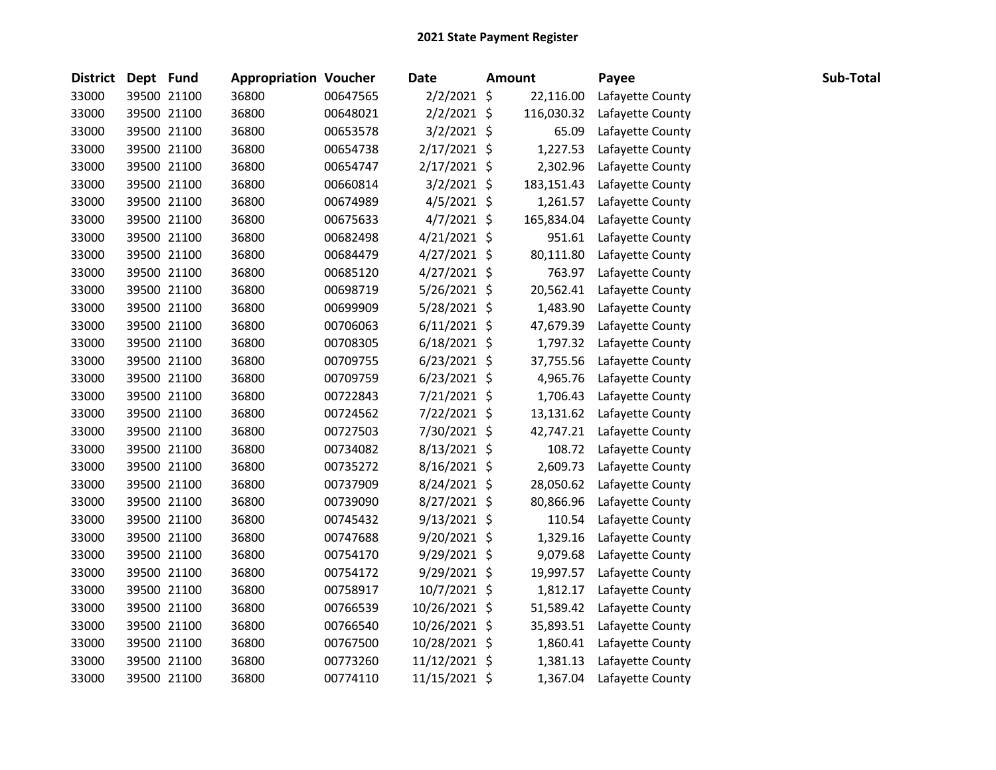| <b>District</b> | Dept Fund |             | <b>Appropriation Voucher</b> |          | <b>Date</b>    | <b>Amount</b> |            | Payee            | Sub-Total |
|-----------------|-----------|-------------|------------------------------|----------|----------------|---------------|------------|------------------|-----------|
| 33000           |           | 39500 21100 | 36800                        | 00647565 | 2/2/2021 \$    |               | 22,116.00  | Lafayette County |           |
| 33000           |           | 39500 21100 | 36800                        | 00648021 | 2/2/2021 \$    |               | 116,030.32 | Lafayette County |           |
| 33000           |           | 39500 21100 | 36800                        | 00653578 | $3/2/2021$ \$  |               | 65.09      | Lafayette County |           |
| 33000           |           | 39500 21100 | 36800                        | 00654738 | $2/17/2021$ \$ |               | 1,227.53   | Lafayette County |           |
| 33000           |           | 39500 21100 | 36800                        | 00654747 | $2/17/2021$ \$ |               | 2,302.96   | Lafayette County |           |
| 33000           |           | 39500 21100 | 36800                        | 00660814 | $3/2/2021$ \$  |               | 183,151.43 | Lafayette County |           |
| 33000           |           | 39500 21100 | 36800                        | 00674989 | $4/5/2021$ \$  |               | 1,261.57   | Lafayette County |           |
| 33000           |           | 39500 21100 | 36800                        | 00675633 | $4/7/2021$ \$  |               | 165,834.04 | Lafayette County |           |
| 33000           |           | 39500 21100 | 36800                        | 00682498 | $4/21/2021$ \$ |               | 951.61     | Lafayette County |           |
| 33000           |           | 39500 21100 | 36800                        | 00684479 | $4/27/2021$ \$ |               | 80,111.80  | Lafayette County |           |
| 33000           |           | 39500 21100 | 36800                        | 00685120 | $4/27/2021$ \$ |               | 763.97     | Lafayette County |           |
| 33000           |           | 39500 21100 | 36800                        | 00698719 | 5/26/2021 \$   |               | 20,562.41  | Lafayette County |           |
| 33000           |           | 39500 21100 | 36800                        | 00699909 | 5/28/2021 \$   |               | 1,483.90   | Lafayette County |           |
| 33000           |           | 39500 21100 | 36800                        | 00706063 | $6/11/2021$ \$ |               | 47,679.39  | Lafayette County |           |
| 33000           |           | 39500 21100 | 36800                        | 00708305 | $6/18/2021$ \$ |               | 1,797.32   | Lafayette County |           |
| 33000           |           | 39500 21100 | 36800                        | 00709755 | $6/23/2021$ \$ |               | 37,755.56  | Lafayette County |           |
| 33000           |           | 39500 21100 | 36800                        | 00709759 | $6/23/2021$ \$ |               | 4,965.76   | Lafayette County |           |
| 33000           |           | 39500 21100 | 36800                        | 00722843 | 7/21/2021 \$   |               | 1,706.43   | Lafayette County |           |
| 33000           |           | 39500 21100 | 36800                        | 00724562 | 7/22/2021 \$   |               | 13,131.62  | Lafayette County |           |
| 33000           |           | 39500 21100 | 36800                        | 00727503 | 7/30/2021 \$   |               | 42,747.21  | Lafayette County |           |
| 33000           |           | 39500 21100 | 36800                        | 00734082 | $8/13/2021$ \$ |               | 108.72     | Lafayette County |           |
| 33000           |           | 39500 21100 | 36800                        | 00735272 | $8/16/2021$ \$ |               | 2,609.73   | Lafayette County |           |
| 33000           |           | 39500 21100 | 36800                        | 00737909 | 8/24/2021 \$   |               | 28,050.62  | Lafayette County |           |
| 33000           |           | 39500 21100 | 36800                        | 00739090 | 8/27/2021 \$   |               | 80,866.96  | Lafayette County |           |
| 33000           |           | 39500 21100 | 36800                        | 00745432 | $9/13/2021$ \$ |               | 110.54     | Lafayette County |           |
| 33000           |           | 39500 21100 | 36800                        | 00747688 | $9/20/2021$ \$ |               | 1,329.16   | Lafayette County |           |
| 33000           |           | 39500 21100 | 36800                        | 00754170 | 9/29/2021 \$   |               | 9,079.68   | Lafayette County |           |
| 33000           |           | 39500 21100 | 36800                        | 00754172 | 9/29/2021 \$   |               | 19,997.57  | Lafayette County |           |
| 33000           |           | 39500 21100 | 36800                        | 00758917 | 10/7/2021 \$   |               | 1,812.17   | Lafayette County |           |
| 33000           |           | 39500 21100 | 36800                        | 00766539 | 10/26/2021 \$  |               | 51,589.42  | Lafayette County |           |
| 33000           |           | 39500 21100 | 36800                        | 00766540 | 10/26/2021 \$  |               | 35,893.51  | Lafayette County |           |
| 33000           |           | 39500 21100 | 36800                        | 00767500 | 10/28/2021 \$  |               | 1,860.41   | Lafayette County |           |
| 33000           |           | 39500 21100 | 36800                        | 00773260 | 11/12/2021 \$  |               | 1,381.13   | Lafayette County |           |
| 33000           |           | 39500 21100 | 36800                        | 00774110 | 11/15/2021 \$  |               | 1,367.04   | Lafayette County |           |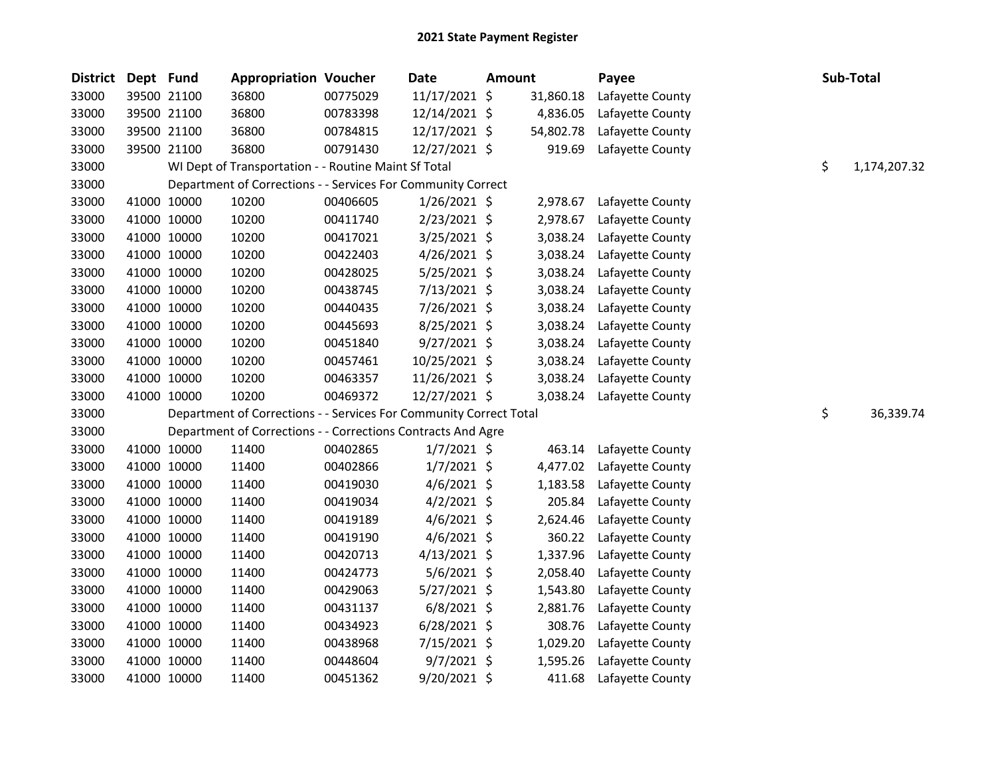| <b>District</b> | Dept Fund |             | <b>Appropriation Voucher</b>                                       |          | <b>Date</b>    | Amount |           | Payee            | Sub-Total          |
|-----------------|-----------|-------------|--------------------------------------------------------------------|----------|----------------|--------|-----------|------------------|--------------------|
| 33000           |           | 39500 21100 | 36800                                                              | 00775029 | 11/17/2021 \$  |        | 31,860.18 | Lafayette County |                    |
| 33000           |           | 39500 21100 | 36800                                                              | 00783398 | 12/14/2021 \$  |        | 4,836.05  | Lafayette County |                    |
| 33000           |           | 39500 21100 | 36800                                                              | 00784815 | 12/17/2021 \$  |        | 54,802.78 | Lafayette County |                    |
| 33000           |           | 39500 21100 | 36800                                                              | 00791430 | 12/27/2021 \$  |        | 919.69    | Lafayette County |                    |
| 33000           |           |             | WI Dept of Transportation - - Routine Maint Sf Total               |          |                |        |           |                  | \$<br>1,174,207.32 |
| 33000           |           |             | Department of Corrections - - Services For Community Correct       |          |                |        |           |                  |                    |
| 33000           |           | 41000 10000 | 10200                                                              | 00406605 | 1/26/2021 \$   |        | 2,978.67  | Lafayette County |                    |
| 33000           |           | 41000 10000 | 10200                                                              | 00411740 | $2/23/2021$ \$ |        | 2,978.67  | Lafayette County |                    |
| 33000           |           | 41000 10000 | 10200                                                              | 00417021 | 3/25/2021 \$   |        | 3,038.24  | Lafayette County |                    |
| 33000           |           | 41000 10000 | 10200                                                              | 00422403 | $4/26/2021$ \$ |        | 3,038.24  | Lafayette County |                    |
| 33000           |           | 41000 10000 | 10200                                                              | 00428025 | $5/25/2021$ \$ |        | 3,038.24  | Lafayette County |                    |
| 33000           |           | 41000 10000 | 10200                                                              | 00438745 | 7/13/2021 \$   |        | 3,038.24  | Lafayette County |                    |
| 33000           |           | 41000 10000 | 10200                                                              | 00440435 | 7/26/2021 \$   |        | 3,038.24  | Lafayette County |                    |
| 33000           |           | 41000 10000 | 10200                                                              | 00445693 | $8/25/2021$ \$ |        | 3,038.24  | Lafayette County |                    |
| 33000           |           | 41000 10000 | 10200                                                              | 00451840 | $9/27/2021$ \$ |        | 3,038.24  | Lafayette County |                    |
| 33000           |           | 41000 10000 | 10200                                                              | 00457461 | 10/25/2021 \$  |        | 3,038.24  | Lafayette County |                    |
| 33000           |           | 41000 10000 | 10200                                                              | 00463357 | 11/26/2021 \$  |        | 3,038.24  | Lafayette County |                    |
| 33000           |           | 41000 10000 | 10200                                                              | 00469372 | 12/27/2021 \$  |        | 3,038.24  | Lafayette County |                    |
| 33000           |           |             | Department of Corrections - - Services For Community Correct Total |          |                |        |           |                  | \$<br>36,339.74    |
| 33000           |           |             | Department of Corrections - - Corrections Contracts And Agre       |          |                |        |           |                  |                    |
| 33000           |           | 41000 10000 | 11400                                                              | 00402865 | $1/7/2021$ \$  |        | 463.14    | Lafayette County |                    |
| 33000           |           | 41000 10000 | 11400                                                              | 00402866 | $1/7/2021$ \$  |        | 4,477.02  | Lafayette County |                    |
| 33000           |           | 41000 10000 | 11400                                                              | 00419030 | $4/6/2021$ \$  |        | 1,183.58  | Lafayette County |                    |
| 33000           |           | 41000 10000 | 11400                                                              | 00419034 | $4/2/2021$ \$  |        | 205.84    | Lafayette County |                    |
| 33000           |           | 41000 10000 | 11400                                                              | 00419189 | $4/6/2021$ \$  |        | 2,624.46  | Lafayette County |                    |
| 33000           |           | 41000 10000 | 11400                                                              | 00419190 | $4/6/2021$ \$  |        | 360.22    | Lafayette County |                    |
| 33000           |           | 41000 10000 | 11400                                                              | 00420713 | $4/13/2021$ \$ |        | 1,337.96  | Lafayette County |                    |
| 33000           |           | 41000 10000 | 11400                                                              | 00424773 | $5/6/2021$ \$  |        | 2,058.40  | Lafayette County |                    |
| 33000           |           | 41000 10000 | 11400                                                              | 00429063 | 5/27/2021 \$   |        | 1,543.80  | Lafayette County |                    |
| 33000           |           | 41000 10000 | 11400                                                              | 00431137 | $6/8/2021$ \$  |        | 2,881.76  | Lafayette County |                    |
| 33000           |           | 41000 10000 | 11400                                                              | 00434923 | $6/28/2021$ \$ |        | 308.76    | Lafayette County |                    |
| 33000           |           | 41000 10000 | 11400                                                              | 00438968 | 7/15/2021 \$   |        | 1,029.20  | Lafayette County |                    |
| 33000           |           | 41000 10000 | 11400                                                              | 00448604 | $9/7/2021$ \$  |        | 1,595.26  | Lafayette County |                    |
| 33000           |           | 41000 10000 | 11400                                                              | 00451362 | 9/20/2021 \$   |        | 411.68    | Lafayette County |                    |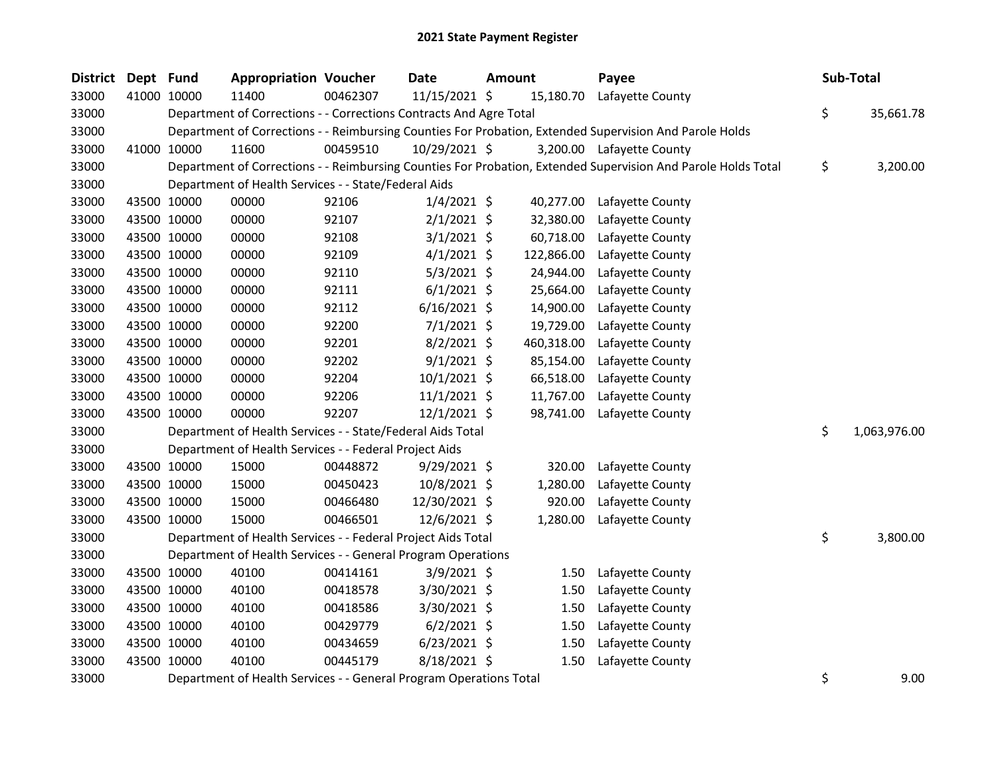| <b>District</b> | Dept Fund |             | <b>Appropriation Voucher</b>                                       |          | Date           | <b>Amount</b> |            | Payee                                                                                                         | Sub-Total          |
|-----------------|-----------|-------------|--------------------------------------------------------------------|----------|----------------|---------------|------------|---------------------------------------------------------------------------------------------------------------|--------------------|
| 33000           |           | 41000 10000 | 11400                                                              | 00462307 | 11/15/2021 \$  |               | 15,180.70  | Lafayette County                                                                                              |                    |
| 33000           |           |             | Department of Corrections - - Corrections Contracts And Agre Total |          |                |               |            |                                                                                                               | \$<br>35,661.78    |
| 33000           |           |             |                                                                    |          |                |               |            | Department of Corrections - - Reimbursing Counties For Probation, Extended Supervision And Parole Holds       |                    |
| 33000           |           | 41000 10000 | 11600                                                              | 00459510 | 10/29/2021 \$  |               |            | 3,200.00 Lafayette County                                                                                     |                    |
| 33000           |           |             |                                                                    |          |                |               |            | Department of Corrections - - Reimbursing Counties For Probation, Extended Supervision And Parole Holds Total | \$<br>3,200.00     |
| 33000           |           |             | Department of Health Services - - State/Federal Aids               |          |                |               |            |                                                                                                               |                    |
| 33000           |           | 43500 10000 | 00000                                                              | 92106    | $1/4/2021$ \$  |               | 40,277.00  | Lafayette County                                                                                              |                    |
| 33000           |           | 43500 10000 | 00000                                                              | 92107    | $2/1/2021$ \$  |               | 32,380.00  | Lafayette County                                                                                              |                    |
| 33000           |           | 43500 10000 | 00000                                                              | 92108    | $3/1/2021$ \$  |               | 60,718.00  | Lafayette County                                                                                              |                    |
| 33000           |           | 43500 10000 | 00000                                                              | 92109    | $4/1/2021$ \$  |               | 122,866.00 | Lafayette County                                                                                              |                    |
| 33000           |           | 43500 10000 | 00000                                                              | 92110    | $5/3/2021$ \$  |               | 24,944.00  | Lafayette County                                                                                              |                    |
| 33000           |           | 43500 10000 | 00000                                                              | 92111    | $6/1/2021$ \$  |               | 25,664.00  | Lafayette County                                                                                              |                    |
| 33000           |           | 43500 10000 | 00000                                                              | 92112    | $6/16/2021$ \$ |               | 14,900.00  | Lafayette County                                                                                              |                    |
| 33000           |           | 43500 10000 | 00000                                                              | 92200    | $7/1/2021$ \$  |               | 19,729.00  | Lafayette County                                                                                              |                    |
| 33000           |           | 43500 10000 | 00000                                                              | 92201    | $8/2/2021$ \$  |               | 460,318.00 | Lafayette County                                                                                              |                    |
| 33000           |           | 43500 10000 | 00000                                                              | 92202    | $9/1/2021$ \$  |               | 85,154.00  | Lafayette County                                                                                              |                    |
| 33000           |           | 43500 10000 | 00000                                                              | 92204    | 10/1/2021 \$   |               | 66,518.00  | Lafayette County                                                                                              |                    |
| 33000           |           | 43500 10000 | 00000                                                              | 92206    | $11/1/2021$ \$ |               | 11,767.00  | Lafayette County                                                                                              |                    |
| 33000           |           | 43500 10000 | 00000                                                              | 92207    | $12/1/2021$ \$ |               | 98,741.00  | Lafayette County                                                                                              |                    |
| 33000           |           |             | Department of Health Services - - State/Federal Aids Total         |          |                |               |            |                                                                                                               | \$<br>1,063,976.00 |
| 33000           |           |             | Department of Health Services - - Federal Project Aids             |          |                |               |            |                                                                                                               |                    |
| 33000           |           | 43500 10000 | 15000                                                              | 00448872 | $9/29/2021$ \$ |               | 320.00     | Lafayette County                                                                                              |                    |
| 33000           |           | 43500 10000 | 15000                                                              | 00450423 | 10/8/2021 \$   |               | 1,280.00   | Lafayette County                                                                                              |                    |
| 33000           |           | 43500 10000 | 15000                                                              | 00466480 | 12/30/2021 \$  |               | 920.00     | Lafayette County                                                                                              |                    |
| 33000           |           | 43500 10000 | 15000                                                              | 00466501 | 12/6/2021 \$   |               | 1,280.00   | Lafayette County                                                                                              |                    |
| 33000           |           |             | Department of Health Services - - Federal Project Aids Total       |          |                |               |            |                                                                                                               | \$<br>3,800.00     |
| 33000           |           |             | Department of Health Services - - General Program Operations       |          |                |               |            |                                                                                                               |                    |
| 33000           |           | 43500 10000 | 40100                                                              | 00414161 | $3/9/2021$ \$  |               | 1.50       | Lafayette County                                                                                              |                    |
| 33000           |           | 43500 10000 | 40100                                                              | 00418578 | 3/30/2021 \$   |               | 1.50       | Lafayette County                                                                                              |                    |
| 33000           |           | 43500 10000 | 40100                                                              | 00418586 | 3/30/2021 \$   |               | 1.50       | Lafayette County                                                                                              |                    |
| 33000           |           | 43500 10000 | 40100                                                              | 00429779 | $6/2/2021$ \$  |               | 1.50       | Lafayette County                                                                                              |                    |
| 33000           |           | 43500 10000 | 40100                                                              | 00434659 | $6/23/2021$ \$ |               | 1.50       | Lafayette County                                                                                              |                    |
| 33000           |           | 43500 10000 | 40100                                                              | 00445179 | 8/18/2021 \$   |               | 1.50       | Lafayette County                                                                                              |                    |
| 33000           |           |             | Department of Health Services - - General Program Operations Total |          |                |               |            |                                                                                                               | \$<br>9.00         |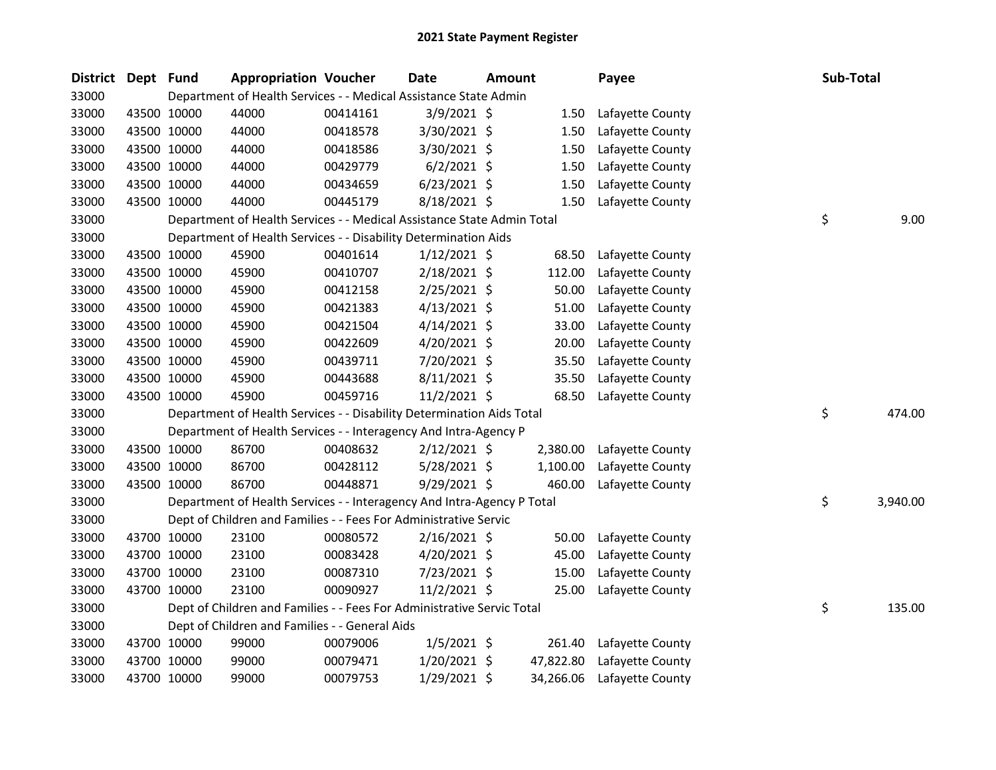| District | Dept Fund |             | <b>Appropriation Voucher</b>                                           |          | <b>Date</b>    | <b>Amount</b> |           | Payee            | Sub-Total |          |
|----------|-----------|-------------|------------------------------------------------------------------------|----------|----------------|---------------|-----------|------------------|-----------|----------|
| 33000    |           |             | Department of Health Services - - Medical Assistance State Admin       |          |                |               |           |                  |           |          |
| 33000    |           | 43500 10000 | 44000                                                                  | 00414161 | 3/9/2021 \$    |               | 1.50      | Lafayette County |           |          |
| 33000    |           | 43500 10000 | 44000                                                                  | 00418578 | 3/30/2021 \$   |               | 1.50      | Lafayette County |           |          |
| 33000    |           | 43500 10000 | 44000                                                                  | 00418586 | 3/30/2021 \$   |               | 1.50      | Lafayette County |           |          |
| 33000    |           | 43500 10000 | 44000                                                                  | 00429779 | $6/2/2021$ \$  |               | 1.50      | Lafayette County |           |          |
| 33000    |           | 43500 10000 | 44000                                                                  | 00434659 | $6/23/2021$ \$ |               | 1.50      | Lafayette County |           |          |
| 33000    |           | 43500 10000 | 44000                                                                  | 00445179 | 8/18/2021 \$   |               | 1.50      | Lafayette County |           |          |
| 33000    |           |             | Department of Health Services - - Medical Assistance State Admin Total |          |                |               |           |                  | \$        | 9.00     |
| 33000    |           |             | Department of Health Services - - Disability Determination Aids        |          |                |               |           |                  |           |          |
| 33000    |           | 43500 10000 | 45900                                                                  | 00401614 | $1/12/2021$ \$ |               | 68.50     | Lafayette County |           |          |
| 33000    |           | 43500 10000 | 45900                                                                  | 00410707 | 2/18/2021 \$   |               | 112.00    | Lafayette County |           |          |
| 33000    |           | 43500 10000 | 45900                                                                  | 00412158 | 2/25/2021 \$   |               | 50.00     | Lafayette County |           |          |
| 33000    |           | 43500 10000 | 45900                                                                  | 00421383 | $4/13/2021$ \$ |               | 51.00     | Lafayette County |           |          |
| 33000    |           | 43500 10000 | 45900                                                                  | 00421504 | $4/14/2021$ \$ |               | 33.00     | Lafayette County |           |          |
| 33000    |           | 43500 10000 | 45900                                                                  | 00422609 | 4/20/2021 \$   |               | 20.00     | Lafayette County |           |          |
| 33000    |           | 43500 10000 | 45900                                                                  | 00439711 | 7/20/2021 \$   |               | 35.50     | Lafayette County |           |          |
| 33000    |           | 43500 10000 | 45900                                                                  | 00443688 | 8/11/2021 \$   |               | 35.50     | Lafayette County |           |          |
| 33000    |           | 43500 10000 | 45900                                                                  | 00459716 | 11/2/2021 \$   |               | 68.50     | Lafayette County |           |          |
| 33000    |           |             | Department of Health Services - - Disability Determination Aids Total  |          |                |               |           |                  | \$        | 474.00   |
| 33000    |           |             | Department of Health Services - - Interagency And Intra-Agency P       |          |                |               |           |                  |           |          |
| 33000    |           | 43500 10000 | 86700                                                                  | 00408632 | 2/12/2021 \$   |               | 2,380.00  | Lafayette County |           |          |
| 33000    |           | 43500 10000 | 86700                                                                  | 00428112 | 5/28/2021 \$   |               | 1,100.00  | Lafayette County |           |          |
| 33000    |           | 43500 10000 | 86700                                                                  | 00448871 | 9/29/2021 \$   |               | 460.00    | Lafayette County |           |          |
| 33000    |           |             | Department of Health Services - - Interagency And Intra-Agency P Total |          |                |               |           |                  | \$        | 3,940.00 |
| 33000    |           |             | Dept of Children and Families - - Fees For Administrative Servic       |          |                |               |           |                  |           |          |
| 33000    |           | 43700 10000 | 23100                                                                  | 00080572 | 2/16/2021 \$   |               | 50.00     | Lafayette County |           |          |
| 33000    |           | 43700 10000 | 23100                                                                  | 00083428 | 4/20/2021 \$   |               | 45.00     | Lafayette County |           |          |
| 33000    |           | 43700 10000 | 23100                                                                  | 00087310 | 7/23/2021 \$   |               | 15.00     | Lafayette County |           |          |
| 33000    |           | 43700 10000 | 23100                                                                  | 00090927 | 11/2/2021 \$   |               | 25.00     | Lafayette County |           |          |
| 33000    |           |             | Dept of Children and Families - - Fees For Administrative Servic Total |          |                |               |           |                  | \$        | 135.00   |
| 33000    |           |             | Dept of Children and Families - - General Aids                         |          |                |               |           |                  |           |          |
| 33000    |           | 43700 10000 | 99000                                                                  | 00079006 | $1/5/2021$ \$  |               | 261.40    | Lafayette County |           |          |
| 33000    |           | 43700 10000 | 99000                                                                  | 00079471 | 1/20/2021 \$   |               | 47,822.80 | Lafayette County |           |          |
| 33000    |           | 43700 10000 | 99000                                                                  | 00079753 | 1/29/2021 \$   |               | 34,266.06 | Lafayette County |           |          |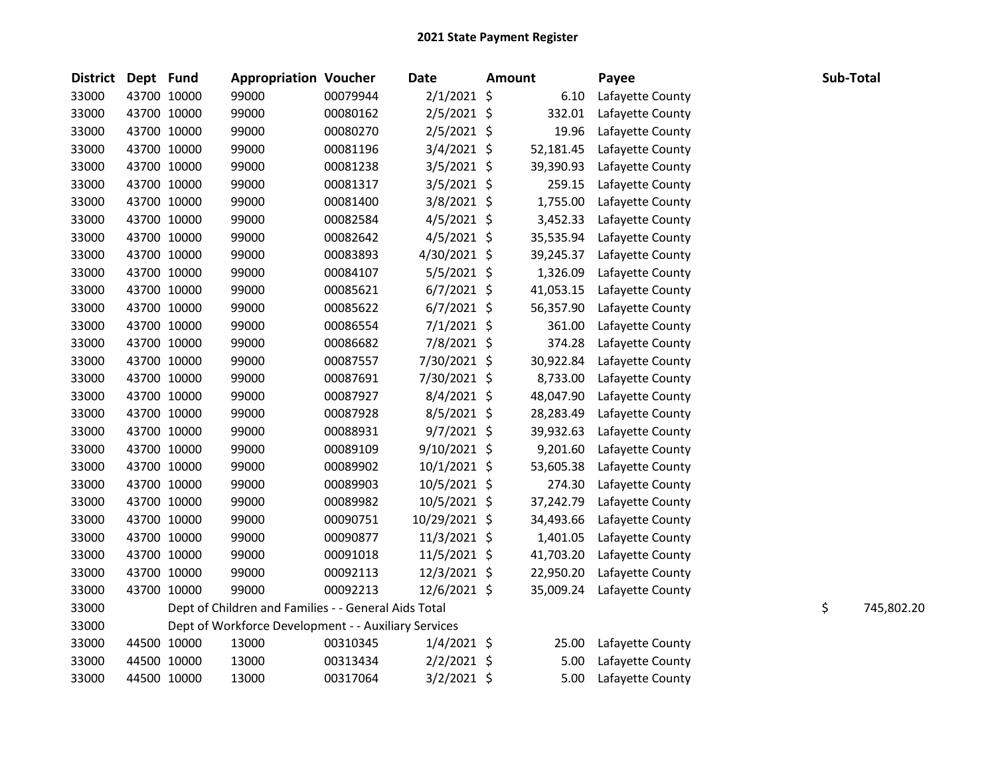| District Dept Fund |             | <b>Appropriation Voucher</b>                         |          | <b>Date</b>    | <b>Amount</b> |           | Payee            | Sub-Total |            |
|--------------------|-------------|------------------------------------------------------|----------|----------------|---------------|-----------|------------------|-----------|------------|
| 33000              | 43700 10000 | 99000                                                | 00079944 | $2/1/2021$ \$  |               | 6.10      | Lafayette County |           |            |
| 33000              | 43700 10000 | 99000                                                | 00080162 | $2/5/2021$ \$  |               | 332.01    | Lafayette County |           |            |
| 33000              | 43700 10000 | 99000                                                | 00080270 | $2/5/2021$ \$  |               | 19.96     | Lafayette County |           |            |
| 33000              | 43700 10000 | 99000                                                | 00081196 | $3/4/2021$ \$  |               | 52,181.45 | Lafayette County |           |            |
| 33000              | 43700 10000 | 99000                                                | 00081238 | 3/5/2021 \$    |               | 39,390.93 | Lafayette County |           |            |
| 33000              | 43700 10000 | 99000                                                | 00081317 | 3/5/2021 \$    |               | 259.15    | Lafayette County |           |            |
| 33000              | 43700 10000 | 99000                                                | 00081400 | $3/8/2021$ \$  |               | 1,755.00  | Lafayette County |           |            |
| 33000              | 43700 10000 | 99000                                                | 00082584 | $4/5/2021$ \$  |               | 3,452.33  | Lafayette County |           |            |
| 33000              | 43700 10000 | 99000                                                | 00082642 | $4/5/2021$ \$  |               | 35,535.94 | Lafayette County |           |            |
| 33000              | 43700 10000 | 99000                                                | 00083893 | 4/30/2021 \$   |               | 39,245.37 | Lafayette County |           |            |
| 33000              | 43700 10000 | 99000                                                | 00084107 | 5/5/2021 \$    |               | 1,326.09  | Lafayette County |           |            |
| 33000              | 43700 10000 | 99000                                                | 00085621 | $6/7/2021$ \$  |               | 41,053.15 | Lafayette County |           |            |
| 33000              | 43700 10000 | 99000                                                | 00085622 | $6/7/2021$ \$  |               | 56,357.90 | Lafayette County |           |            |
| 33000              | 43700 10000 | 99000                                                | 00086554 | $7/1/2021$ \$  |               | 361.00    | Lafayette County |           |            |
| 33000              | 43700 10000 | 99000                                                | 00086682 | 7/8/2021 \$    |               | 374.28    | Lafayette County |           |            |
| 33000              | 43700 10000 | 99000                                                | 00087557 | 7/30/2021 \$   |               | 30,922.84 | Lafayette County |           |            |
| 33000              | 43700 10000 | 99000                                                | 00087691 | 7/30/2021 \$   |               | 8,733.00  | Lafayette County |           |            |
| 33000              | 43700 10000 | 99000                                                | 00087927 | 8/4/2021 \$    |               | 48,047.90 | Lafayette County |           |            |
| 33000              | 43700 10000 | 99000                                                | 00087928 | $8/5/2021$ \$  |               | 28,283.49 | Lafayette County |           |            |
| 33000              | 43700 10000 | 99000                                                | 00088931 | $9/7/2021$ \$  |               | 39,932.63 | Lafayette County |           |            |
| 33000              | 43700 10000 | 99000                                                | 00089109 | 9/10/2021 \$   |               | 9,201.60  | Lafayette County |           |            |
| 33000              | 43700 10000 | 99000                                                | 00089902 | $10/1/2021$ \$ |               | 53,605.38 | Lafayette County |           |            |
| 33000              | 43700 10000 | 99000                                                | 00089903 | $10/5/2021$ \$ |               | 274.30    | Lafayette County |           |            |
| 33000              | 43700 10000 | 99000                                                | 00089982 | 10/5/2021 \$   |               | 37,242.79 | Lafayette County |           |            |
| 33000              | 43700 10000 | 99000                                                | 00090751 | 10/29/2021 \$  |               | 34,493.66 | Lafayette County |           |            |
| 33000              | 43700 10000 | 99000                                                | 00090877 | $11/3/2021$ \$ |               | 1,401.05  | Lafayette County |           |            |
| 33000              | 43700 10000 | 99000                                                | 00091018 | 11/5/2021 \$   |               | 41,703.20 | Lafayette County |           |            |
| 33000              | 43700 10000 | 99000                                                | 00092113 | 12/3/2021 \$   |               | 22,950.20 | Lafayette County |           |            |
| 33000              | 43700 10000 | 99000                                                | 00092213 | 12/6/2021 \$   |               | 35,009.24 | Lafayette County |           |            |
| 33000              |             | Dept of Children and Families - - General Aids Total |          |                |               |           |                  | \$        | 745,802.20 |
| 33000              |             | Dept of Workforce Development - - Auxiliary Services |          |                |               |           |                  |           |            |
| 33000              | 44500 10000 | 13000                                                | 00310345 | $1/4/2021$ \$  |               | 25.00     | Lafayette County |           |            |
| 33000              | 44500 10000 | 13000                                                | 00313434 | $2/2/2021$ \$  |               | 5.00      | Lafayette County |           |            |
| 33000              | 44500 10000 | 13000                                                | 00317064 | $3/2/2021$ \$  |               | 5.00      | Lafayette County |           |            |
|                    |             |                                                      |          |                |               |           |                  |           |            |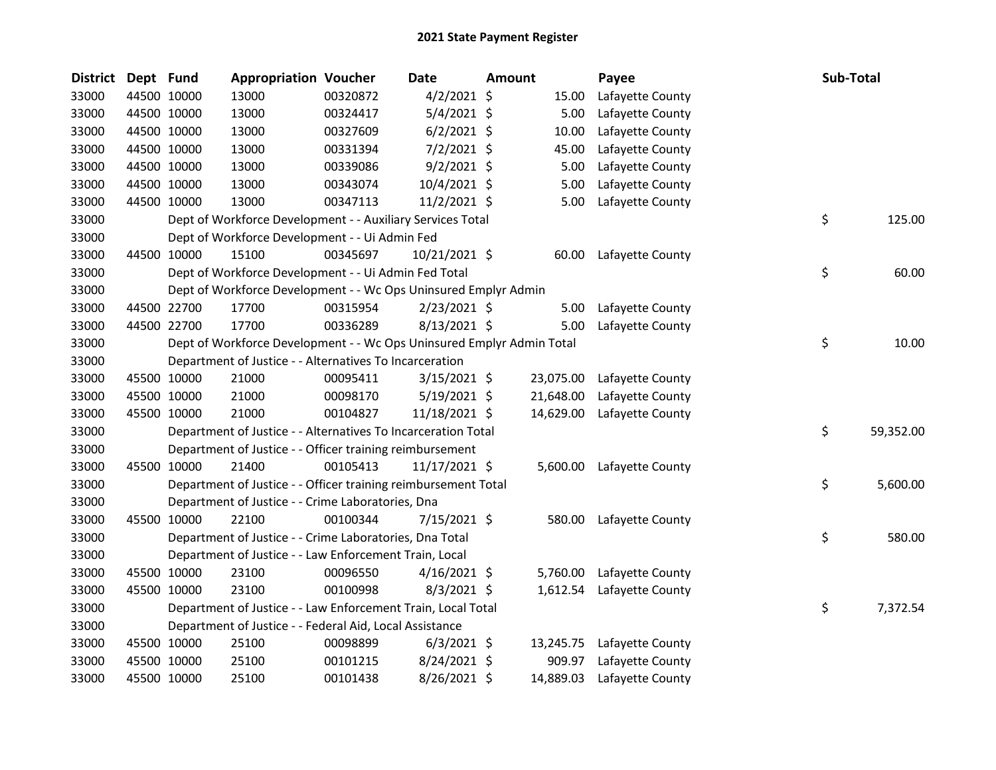| <b>District</b> | Dept Fund   |             | <b>Appropriation Voucher</b>                                          |          | <b>Date</b>    | Amount |           | Payee            | Sub-Total       |
|-----------------|-------------|-------------|-----------------------------------------------------------------------|----------|----------------|--------|-----------|------------------|-----------------|
| 33000           |             | 44500 10000 | 13000                                                                 | 00320872 | $4/2/2021$ \$  |        | 15.00     | Lafayette County |                 |
| 33000           |             | 44500 10000 | 13000                                                                 | 00324417 | $5/4/2021$ \$  |        | 5.00      | Lafayette County |                 |
| 33000           |             | 44500 10000 | 13000                                                                 | 00327609 | $6/2/2021$ \$  |        | 10.00     | Lafayette County |                 |
| 33000           |             | 44500 10000 | 13000                                                                 | 00331394 | $7/2/2021$ \$  |        | 45.00     | Lafayette County |                 |
| 33000           |             | 44500 10000 | 13000                                                                 | 00339086 | $9/2/2021$ \$  |        | 5.00      | Lafayette County |                 |
| 33000           |             | 44500 10000 | 13000                                                                 | 00343074 | 10/4/2021 \$   |        | 5.00      | Lafayette County |                 |
| 33000           | 44500 10000 |             | 13000                                                                 | 00347113 | $11/2/2021$ \$ |        | 5.00      | Lafayette County |                 |
| 33000           |             |             | Dept of Workforce Development - - Auxiliary Services Total            |          |                |        |           |                  | \$<br>125.00    |
| 33000           |             |             | Dept of Workforce Development - - Ui Admin Fed                        |          |                |        |           |                  |                 |
| 33000           |             | 44500 10000 | 15100                                                                 | 00345697 | 10/21/2021 \$  |        | 60.00     | Lafayette County |                 |
| 33000           |             |             | Dept of Workforce Development - - Ui Admin Fed Total                  |          |                |        |           |                  | \$<br>60.00     |
| 33000           |             |             | Dept of Workforce Development - - Wc Ops Uninsured Emplyr Admin       |          |                |        |           |                  |                 |
| 33000           |             | 44500 22700 | 17700                                                                 | 00315954 | $2/23/2021$ \$ |        | 5.00      | Lafayette County |                 |
| 33000           |             | 44500 22700 | 17700                                                                 | 00336289 | 8/13/2021 \$   |        | 5.00      | Lafayette County |                 |
| 33000           |             |             | Dept of Workforce Development - - Wc Ops Uninsured Emplyr Admin Total |          |                |        |           |                  | \$<br>10.00     |
| 33000           |             |             | Department of Justice - - Alternatives To Incarceration               |          |                |        |           |                  |                 |
| 33000           |             | 45500 10000 | 21000                                                                 | 00095411 | $3/15/2021$ \$ |        | 23,075.00 | Lafayette County |                 |
| 33000           |             | 45500 10000 | 21000                                                                 | 00098170 | $5/19/2021$ \$ |        | 21,648.00 | Lafayette County |                 |
| 33000           |             | 45500 10000 | 21000                                                                 | 00104827 | 11/18/2021 \$  |        | 14,629.00 | Lafayette County |                 |
| 33000           |             |             | Department of Justice - - Alternatives To Incarceration Total         |          |                |        |           |                  | \$<br>59,352.00 |
| 33000           |             |             | Department of Justice - - Officer training reimbursement              |          |                |        |           |                  |                 |
| 33000           |             | 45500 10000 | 21400                                                                 | 00105413 | 11/17/2021 \$  |        | 5,600.00  | Lafayette County |                 |
| 33000           |             |             | Department of Justice - - Officer training reimbursement Total        |          |                |        |           |                  | \$<br>5,600.00  |
| 33000           |             |             | Department of Justice - - Crime Laboratories, Dna                     |          |                |        |           |                  |                 |
| 33000           |             | 45500 10000 | 22100                                                                 | 00100344 | 7/15/2021 \$   |        | 580.00    | Lafayette County |                 |
| 33000           |             |             | Department of Justice - - Crime Laboratories, Dna Total               |          |                |        |           |                  | \$<br>580.00    |
| 33000           |             |             | Department of Justice - - Law Enforcement Train, Local                |          |                |        |           |                  |                 |
| 33000           |             | 45500 10000 | 23100                                                                 | 00096550 | $4/16/2021$ \$ |        | 5,760.00  | Lafayette County |                 |
| 33000           |             | 45500 10000 | 23100                                                                 | 00100998 | $8/3/2021$ \$  |        | 1,612.54  | Lafayette County |                 |
| 33000           |             |             | Department of Justice - - Law Enforcement Train, Local Total          |          |                |        |           |                  | \$<br>7,372.54  |
| 33000           |             |             | Department of Justice - - Federal Aid, Local Assistance               |          |                |        |           |                  |                 |
| 33000           |             | 45500 10000 | 25100                                                                 | 00098899 | $6/3/2021$ \$  |        | 13,245.75 | Lafayette County |                 |
| 33000           |             | 45500 10000 | 25100                                                                 | 00101215 | 8/24/2021 \$   |        | 909.97    | Lafayette County |                 |
| 33000           |             | 45500 10000 | 25100                                                                 | 00101438 | 8/26/2021 \$   |        | 14,889.03 | Lafayette County |                 |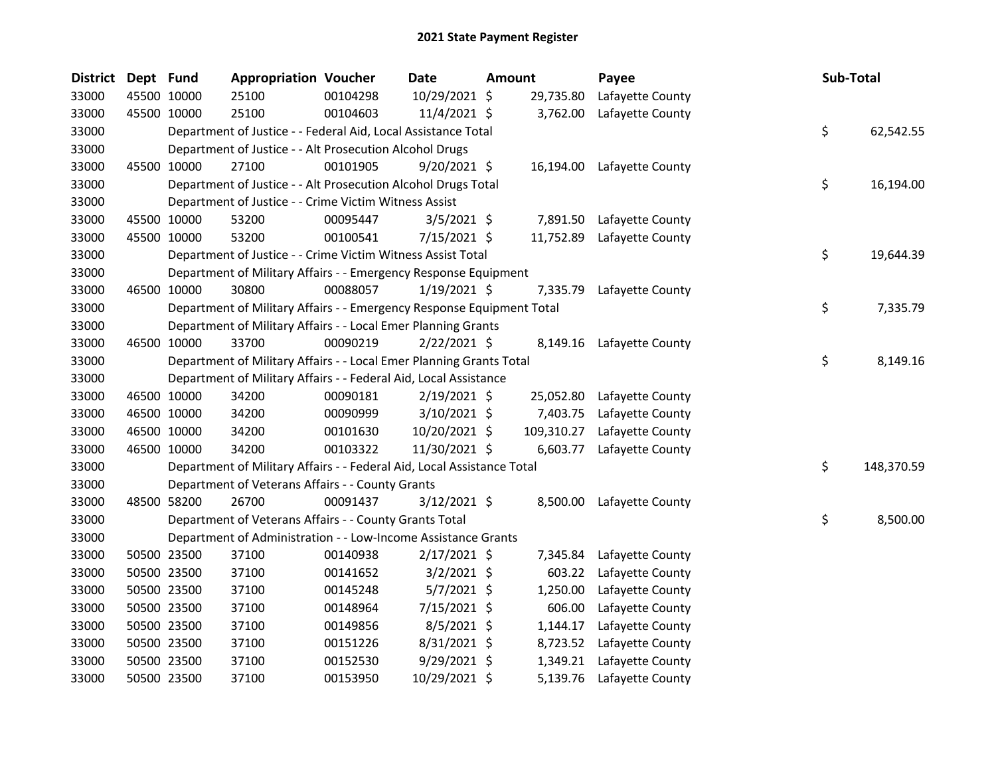| District | Dept Fund |             | <b>Appropriation Voucher</b>                                           |          | Date           | Amount |            | Payee                      | Sub-Total |            |
|----------|-----------|-------------|------------------------------------------------------------------------|----------|----------------|--------|------------|----------------------------|-----------|------------|
| 33000    |           | 45500 10000 | 25100                                                                  | 00104298 | 10/29/2021 \$  |        | 29,735.80  | Lafayette County           |           |            |
| 33000    |           | 45500 10000 | 25100                                                                  | 00104603 | 11/4/2021 \$   |        | 3,762.00   | Lafayette County           |           |            |
| 33000    |           |             | Department of Justice - - Federal Aid, Local Assistance Total          |          |                |        |            |                            | \$        | 62,542.55  |
| 33000    |           |             | Department of Justice - - Alt Prosecution Alcohol Drugs                |          |                |        |            |                            |           |            |
| 33000    |           | 45500 10000 | 27100                                                                  | 00101905 | $9/20/2021$ \$ |        |            | 16,194.00 Lafayette County |           |            |
| 33000    |           |             | Department of Justice - - Alt Prosecution Alcohol Drugs Total          |          |                |        |            |                            | \$        | 16,194.00  |
| 33000    |           |             | Department of Justice - - Crime Victim Witness Assist                  |          |                |        |            |                            |           |            |
| 33000    |           | 45500 10000 | 53200                                                                  | 00095447 | $3/5/2021$ \$  |        | 7,891.50   | Lafayette County           |           |            |
| 33000    |           | 45500 10000 | 53200                                                                  | 00100541 | 7/15/2021 \$   |        | 11,752.89  | Lafayette County           |           |            |
| 33000    |           |             | Department of Justice - - Crime Victim Witness Assist Total            |          |                |        |            |                            | \$.       | 19,644.39  |
| 33000    |           |             | Department of Military Affairs - - Emergency Response Equipment        |          |                |        |            |                            |           |            |
| 33000    |           | 46500 10000 | 30800                                                                  | 00088057 | $1/19/2021$ \$ |        | 7,335.79   | Lafayette County           |           |            |
| 33000    |           |             | Department of Military Affairs - - Emergency Response Equipment Total  |          |                |        |            |                            | \$        | 7,335.79   |
| 33000    |           |             | Department of Military Affairs - - Local Emer Planning Grants          |          |                |        |            |                            |           |            |
| 33000    |           | 46500 10000 | 33700                                                                  | 00090219 | $2/22/2021$ \$ |        |            | 8,149.16 Lafayette County  |           |            |
| 33000    |           |             | Department of Military Affairs - - Local Emer Planning Grants Total    |          |                |        |            |                            | \$        | 8,149.16   |
| 33000    |           |             | Department of Military Affairs - - Federal Aid, Local Assistance       |          |                |        |            |                            |           |            |
| 33000    |           | 46500 10000 | 34200                                                                  | 00090181 | $2/19/2021$ \$ |        | 25,052.80  | Lafayette County           |           |            |
| 33000    |           | 46500 10000 | 34200                                                                  | 00090999 | 3/10/2021 \$   |        | 7,403.75   | Lafayette County           |           |            |
| 33000    |           | 46500 10000 | 34200                                                                  | 00101630 | 10/20/2021 \$  |        | 109,310.27 | Lafayette County           |           |            |
| 33000    |           | 46500 10000 | 34200                                                                  | 00103322 | 11/30/2021 \$  |        | 6,603.77   | Lafayette County           |           |            |
| 33000    |           |             | Department of Military Affairs - - Federal Aid, Local Assistance Total |          |                |        |            |                            | \$        | 148,370.59 |
| 33000    |           |             | Department of Veterans Affairs - - County Grants                       |          |                |        |            |                            |           |            |
| 33000    |           | 48500 58200 | 26700                                                                  | 00091437 | $3/12/2021$ \$ |        | 8,500.00   | Lafayette County           |           |            |
| 33000    |           |             | Department of Veterans Affairs - - County Grants Total                 |          |                |        |            |                            | \$        | 8,500.00   |
| 33000    |           |             | Department of Administration - - Low-Income Assistance Grants          |          |                |        |            |                            |           |            |
| 33000    |           | 50500 23500 | 37100                                                                  | 00140938 | $2/17/2021$ \$ |        | 7,345.84   | Lafayette County           |           |            |
| 33000    |           | 50500 23500 | 37100                                                                  | 00141652 | $3/2/2021$ \$  |        | 603.22     | Lafayette County           |           |            |
| 33000    |           | 50500 23500 | 37100                                                                  | 00145248 | $5/7/2021$ \$  |        | 1,250.00   | Lafayette County           |           |            |
| 33000    |           | 50500 23500 | 37100                                                                  | 00148964 | 7/15/2021 \$   |        | 606.00     | Lafayette County           |           |            |
| 33000    |           | 50500 23500 | 37100                                                                  | 00149856 | $8/5/2021$ \$  |        | 1,144.17   | Lafayette County           |           |            |
| 33000    |           | 50500 23500 | 37100                                                                  | 00151226 | 8/31/2021 \$   |        | 8,723.52   | Lafayette County           |           |            |
| 33000    |           | 50500 23500 | 37100                                                                  | 00152530 | 9/29/2021 \$   |        | 1,349.21   | Lafayette County           |           |            |
| 33000    |           | 50500 23500 | 37100                                                                  | 00153950 | 10/29/2021 \$  |        | 5,139.76   | Lafayette County           |           |            |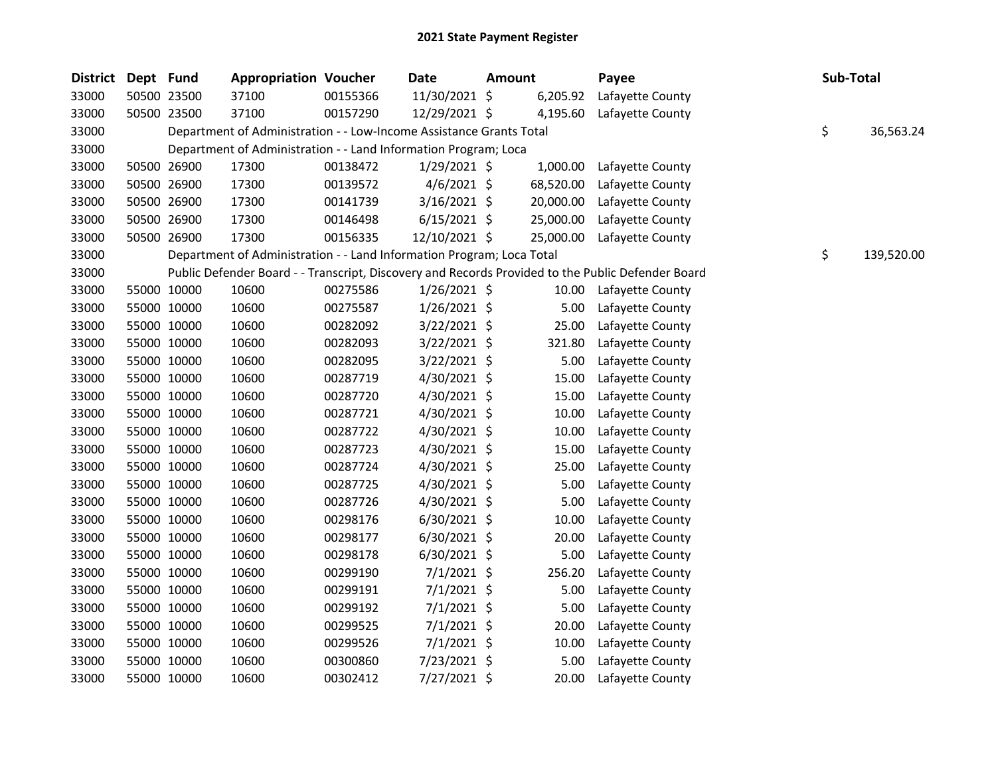| District | Dept Fund |             | <b>Appropriation Voucher</b>                                          |          | Date           | <b>Amount</b> |           | Payee                                                                                             | Sub-Total |            |
|----------|-----------|-------------|-----------------------------------------------------------------------|----------|----------------|---------------|-----------|---------------------------------------------------------------------------------------------------|-----------|------------|
| 33000    |           | 50500 23500 | 37100                                                                 | 00155366 | 11/30/2021 \$  |               | 6,205.92  | Lafayette County                                                                                  |           |            |
| 33000    |           | 50500 23500 | 37100                                                                 | 00157290 | 12/29/2021 \$  |               | 4,195.60  | Lafayette County                                                                                  |           |            |
| 33000    |           |             | Department of Administration - - Low-Income Assistance Grants Total   |          |                |               |           |                                                                                                   | \$        | 36,563.24  |
| 33000    |           |             | Department of Administration - - Land Information Program; Loca       |          |                |               |           |                                                                                                   |           |            |
| 33000    |           | 50500 26900 | 17300                                                                 | 00138472 | $1/29/2021$ \$ |               | 1,000.00  | Lafayette County                                                                                  |           |            |
| 33000    |           | 50500 26900 | 17300                                                                 | 00139572 | $4/6/2021$ \$  |               | 68,520.00 | Lafayette County                                                                                  |           |            |
| 33000    |           | 50500 26900 | 17300                                                                 | 00141739 | $3/16/2021$ \$ |               | 20,000.00 | Lafayette County                                                                                  |           |            |
| 33000    |           | 50500 26900 | 17300                                                                 | 00146498 | $6/15/2021$ \$ |               | 25,000.00 | Lafayette County                                                                                  |           |            |
| 33000    |           | 50500 26900 | 17300                                                                 | 00156335 | 12/10/2021 \$  |               | 25,000.00 | Lafayette County                                                                                  |           |            |
| 33000    |           |             | Department of Administration - - Land Information Program; Loca Total |          |                |               |           |                                                                                                   | \$        | 139,520.00 |
| 33000    |           |             |                                                                       |          |                |               |           | Public Defender Board - - Transcript, Discovery and Records Provided to the Public Defender Board |           |            |
| 33000    |           | 55000 10000 | 10600                                                                 | 00275586 | $1/26/2021$ \$ |               | 10.00     | Lafayette County                                                                                  |           |            |
| 33000    |           | 55000 10000 | 10600                                                                 | 00275587 | $1/26/2021$ \$ |               | 5.00      | Lafayette County                                                                                  |           |            |
| 33000    |           | 55000 10000 | 10600                                                                 | 00282092 | 3/22/2021 \$   |               | 25.00     | Lafayette County                                                                                  |           |            |
| 33000    |           | 55000 10000 | 10600                                                                 | 00282093 | 3/22/2021 \$   |               | 321.80    | Lafayette County                                                                                  |           |            |
| 33000    |           | 55000 10000 | 10600                                                                 | 00282095 | $3/22/2021$ \$ |               | 5.00      | Lafayette County                                                                                  |           |            |
| 33000    |           | 55000 10000 | 10600                                                                 | 00287719 | 4/30/2021 \$   |               | 15.00     | Lafayette County                                                                                  |           |            |
| 33000    |           | 55000 10000 | 10600                                                                 | 00287720 | 4/30/2021 \$   |               | 15.00     | Lafayette County                                                                                  |           |            |
| 33000    |           | 55000 10000 | 10600                                                                 | 00287721 | 4/30/2021 \$   |               | 10.00     | Lafayette County                                                                                  |           |            |
| 33000    |           | 55000 10000 | 10600                                                                 | 00287722 | 4/30/2021 \$   |               | 10.00     | Lafayette County                                                                                  |           |            |
| 33000    |           | 55000 10000 | 10600                                                                 | 00287723 | $4/30/2021$ \$ |               | 15.00     | Lafayette County                                                                                  |           |            |
| 33000    |           | 55000 10000 | 10600                                                                 | 00287724 | 4/30/2021 \$   |               | 25.00     | Lafayette County                                                                                  |           |            |
| 33000    |           | 55000 10000 | 10600                                                                 | 00287725 | 4/30/2021 \$   |               | 5.00      | Lafayette County                                                                                  |           |            |
| 33000    |           | 55000 10000 | 10600                                                                 | 00287726 | 4/30/2021 \$   |               | 5.00      | Lafayette County                                                                                  |           |            |
| 33000    |           | 55000 10000 | 10600                                                                 | 00298176 | $6/30/2021$ \$ |               | 10.00     | Lafayette County                                                                                  |           |            |
| 33000    |           | 55000 10000 | 10600                                                                 | 00298177 | 6/30/2021 \$   |               | 20.00     | Lafayette County                                                                                  |           |            |
| 33000    |           | 55000 10000 | 10600                                                                 | 00298178 | $6/30/2021$ \$ |               | 5.00      | Lafayette County                                                                                  |           |            |
| 33000    |           | 55000 10000 | 10600                                                                 | 00299190 | 7/1/2021 \$    |               | 256.20    | Lafayette County                                                                                  |           |            |
| 33000    |           | 55000 10000 | 10600                                                                 | 00299191 | $7/1/2021$ \$  |               | 5.00      | Lafayette County                                                                                  |           |            |
| 33000    |           | 55000 10000 | 10600                                                                 | 00299192 | 7/1/2021 \$    |               | 5.00      | Lafayette County                                                                                  |           |            |
| 33000    |           | 55000 10000 | 10600                                                                 | 00299525 | $7/1/2021$ \$  |               | 20.00     | Lafayette County                                                                                  |           |            |
| 33000    |           | 55000 10000 | 10600                                                                 | 00299526 | $7/1/2021$ \$  |               | 10.00     | Lafayette County                                                                                  |           |            |
| 33000    |           | 55000 10000 | 10600                                                                 | 00300860 | 7/23/2021 \$   |               | 5.00      | Lafayette County                                                                                  |           |            |
| 33000    |           | 55000 10000 | 10600                                                                 | 00302412 | 7/27/2021 \$   |               | 20.00     | Lafayette County                                                                                  |           |            |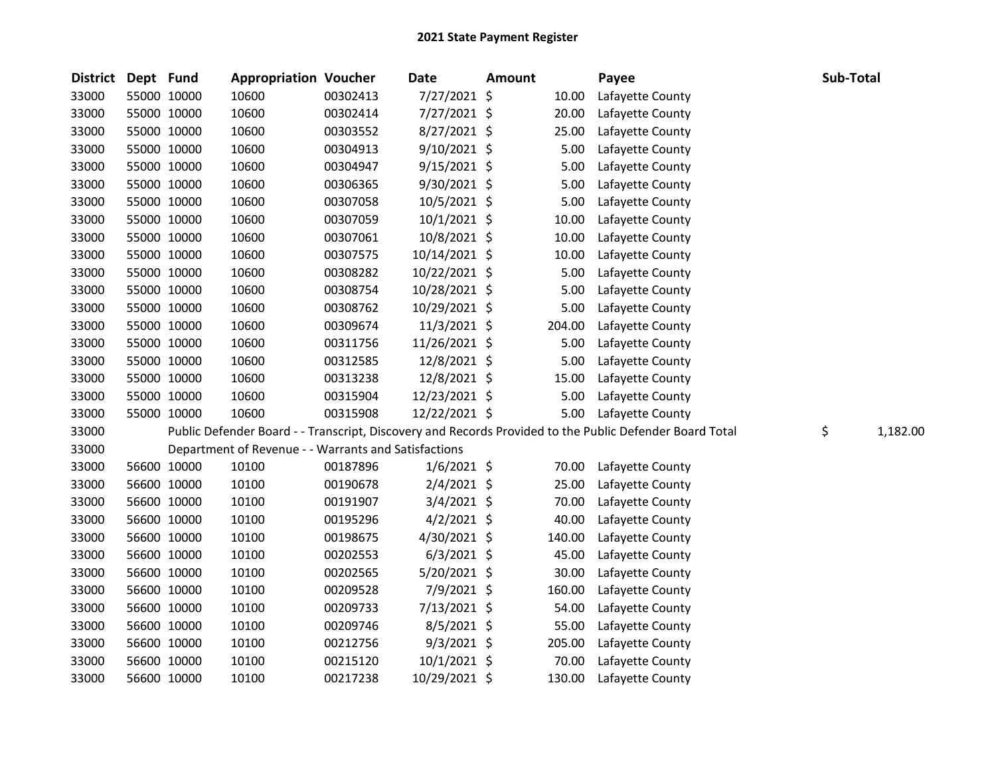| <b>District</b> | Dept Fund |             | <b>Appropriation Voucher</b>                         |          | <b>Date</b>    | <b>Amount</b> |        | Payee                                                                                                   | Sub-Total |          |
|-----------------|-----------|-------------|------------------------------------------------------|----------|----------------|---------------|--------|---------------------------------------------------------------------------------------------------------|-----------|----------|
| 33000           |           | 55000 10000 | 10600                                                | 00302413 | 7/27/2021 \$   |               | 10.00  | Lafayette County                                                                                        |           |          |
| 33000           |           | 55000 10000 | 10600                                                | 00302414 | 7/27/2021 \$   |               | 20.00  | Lafayette County                                                                                        |           |          |
| 33000           |           | 55000 10000 | 10600                                                | 00303552 | 8/27/2021 \$   |               | 25.00  | Lafayette County                                                                                        |           |          |
| 33000           |           | 55000 10000 | 10600                                                | 00304913 | $9/10/2021$ \$ |               | 5.00   | Lafayette County                                                                                        |           |          |
| 33000           |           | 55000 10000 | 10600                                                | 00304947 | $9/15/2021$ \$ |               | 5.00   | Lafayette County                                                                                        |           |          |
| 33000           |           | 55000 10000 | 10600                                                | 00306365 | $9/30/2021$ \$ |               | 5.00   | Lafayette County                                                                                        |           |          |
| 33000           |           | 55000 10000 | 10600                                                | 00307058 | 10/5/2021 \$   |               | 5.00   | Lafayette County                                                                                        |           |          |
| 33000           |           | 55000 10000 | 10600                                                | 00307059 | $10/1/2021$ \$ |               | 10.00  | Lafayette County                                                                                        |           |          |
| 33000           |           | 55000 10000 | 10600                                                | 00307061 | 10/8/2021 \$   |               | 10.00  | Lafayette County                                                                                        |           |          |
| 33000           |           | 55000 10000 | 10600                                                | 00307575 | 10/14/2021 \$  |               | 10.00  | Lafayette County                                                                                        |           |          |
| 33000           |           | 55000 10000 | 10600                                                | 00308282 | 10/22/2021 \$  |               | 5.00   | Lafayette County                                                                                        |           |          |
| 33000           |           | 55000 10000 | 10600                                                | 00308754 | 10/28/2021 \$  |               | 5.00   | Lafayette County                                                                                        |           |          |
| 33000           |           | 55000 10000 | 10600                                                | 00308762 | 10/29/2021 \$  |               | 5.00   | Lafayette County                                                                                        |           |          |
| 33000           |           | 55000 10000 | 10600                                                | 00309674 | 11/3/2021 \$   |               | 204.00 | Lafayette County                                                                                        |           |          |
| 33000           |           | 55000 10000 | 10600                                                | 00311756 | 11/26/2021 \$  |               | 5.00   | Lafayette County                                                                                        |           |          |
| 33000           |           | 55000 10000 | 10600                                                | 00312585 | 12/8/2021 \$   |               | 5.00   | Lafayette County                                                                                        |           |          |
| 33000           |           | 55000 10000 | 10600                                                | 00313238 | 12/8/2021 \$   |               | 15.00  | Lafayette County                                                                                        |           |          |
| 33000           |           | 55000 10000 | 10600                                                | 00315904 | 12/23/2021 \$  |               | 5.00   | Lafayette County                                                                                        |           |          |
| 33000           |           | 55000 10000 | 10600                                                | 00315908 | 12/22/2021 \$  |               | 5.00   | Lafayette County                                                                                        |           |          |
| 33000           |           |             |                                                      |          |                |               |        | Public Defender Board - - Transcript, Discovery and Records Provided to the Public Defender Board Total | \$        | 1,182.00 |
| 33000           |           |             | Department of Revenue - - Warrants and Satisfactions |          |                |               |        |                                                                                                         |           |          |
| 33000           |           | 56600 10000 | 10100                                                | 00187896 | $1/6/2021$ \$  |               | 70.00  | Lafayette County                                                                                        |           |          |
| 33000           |           | 56600 10000 | 10100                                                | 00190678 | $2/4/2021$ \$  |               | 25.00  | Lafayette County                                                                                        |           |          |
| 33000           |           | 56600 10000 | 10100                                                | 00191907 | 3/4/2021 \$    |               | 70.00  | Lafayette County                                                                                        |           |          |
| 33000           |           | 56600 10000 | 10100                                                | 00195296 | $4/2/2021$ \$  |               | 40.00  | Lafayette County                                                                                        |           |          |
| 33000           |           | 56600 10000 | 10100                                                | 00198675 | 4/30/2021 \$   |               | 140.00 | Lafayette County                                                                                        |           |          |
| 33000           |           | 56600 10000 | 10100                                                | 00202553 | $6/3/2021$ \$  |               | 45.00  | Lafayette County                                                                                        |           |          |
| 33000           |           | 56600 10000 | 10100                                                | 00202565 | 5/20/2021 \$   |               | 30.00  | Lafayette County                                                                                        |           |          |
| 33000           |           | 56600 10000 | 10100                                                | 00209528 | 7/9/2021 \$    |               | 160.00 | Lafayette County                                                                                        |           |          |
| 33000           |           | 56600 10000 | 10100                                                | 00209733 | 7/13/2021 \$   |               | 54.00  | Lafayette County                                                                                        |           |          |
| 33000           |           | 56600 10000 | 10100                                                | 00209746 | 8/5/2021 \$    |               | 55.00  | Lafayette County                                                                                        |           |          |
| 33000           |           | 56600 10000 | 10100                                                | 00212756 | $9/3/2021$ \$  |               | 205.00 | Lafayette County                                                                                        |           |          |
| 33000           |           | 56600 10000 | 10100                                                | 00215120 | $10/1/2021$ \$ |               | 70.00  | Lafayette County                                                                                        |           |          |
| 33000           |           | 56600 10000 | 10100                                                | 00217238 | 10/29/2021 \$  |               | 130.00 | Lafayette County                                                                                        |           |          |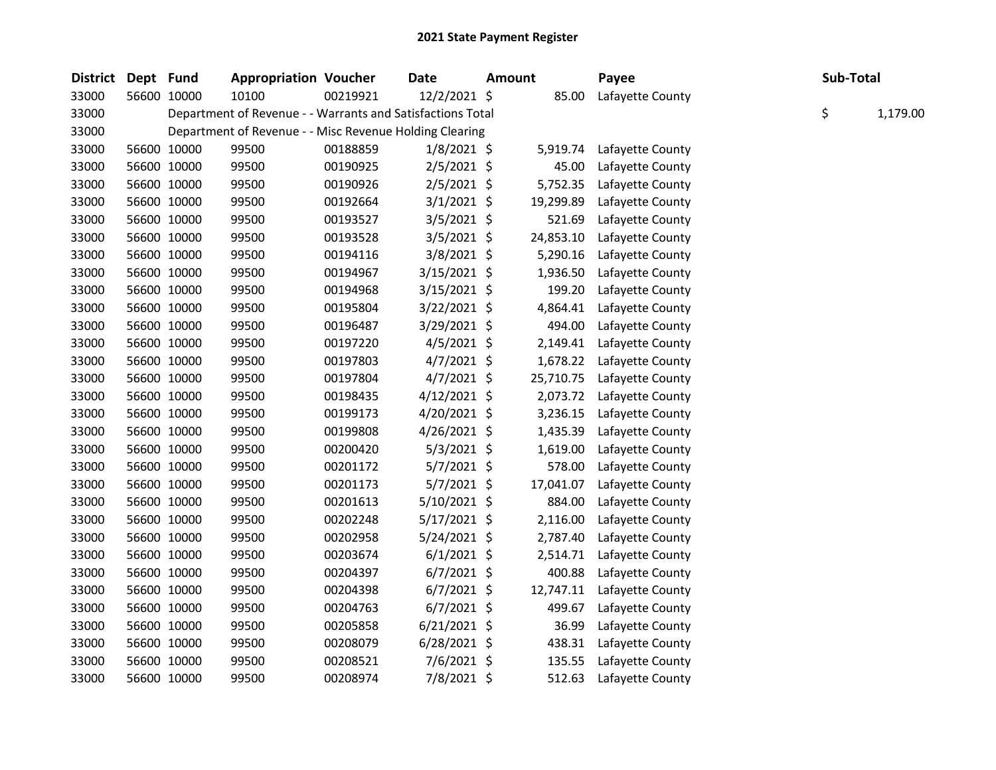| <b>District</b> | Dept Fund |             | <b>Appropriation Voucher</b>                               |          | Date           | <b>Amount</b> |           | Payee            | Sub-Total |          |
|-----------------|-----------|-------------|------------------------------------------------------------|----------|----------------|---------------|-----------|------------------|-----------|----------|
| 33000           |           | 56600 10000 | 10100                                                      | 00219921 | 12/2/2021 \$   |               | 85.00     | Lafayette County |           |          |
| 33000           |           |             | Department of Revenue - - Warrants and Satisfactions Total |          |                |               |           |                  | \$        | 1,179.00 |
| 33000           |           |             | Department of Revenue - - Misc Revenue Holding Clearing    |          |                |               |           |                  |           |          |
| 33000           |           | 56600 10000 | 99500                                                      | 00188859 | 1/8/2021 \$    |               | 5,919.74  | Lafayette County |           |          |
| 33000           |           | 56600 10000 | 99500                                                      | 00190925 | $2/5/2021$ \$  |               | 45.00     | Lafayette County |           |          |
| 33000           |           | 56600 10000 | 99500                                                      | 00190926 | $2/5/2021$ \$  |               | 5,752.35  | Lafayette County |           |          |
| 33000           |           | 56600 10000 | 99500                                                      | 00192664 | $3/1/2021$ \$  |               | 19,299.89 | Lafayette County |           |          |
| 33000           |           | 56600 10000 | 99500                                                      | 00193527 | 3/5/2021 \$    |               | 521.69    | Lafayette County |           |          |
| 33000           |           | 56600 10000 | 99500                                                      | 00193528 | 3/5/2021 \$    |               | 24,853.10 | Lafayette County |           |          |
| 33000           |           | 56600 10000 | 99500                                                      | 00194116 | $3/8/2021$ \$  |               | 5,290.16  | Lafayette County |           |          |
| 33000           |           | 56600 10000 | 99500                                                      | 00194967 | $3/15/2021$ \$ |               | 1,936.50  | Lafayette County |           |          |
| 33000           |           | 56600 10000 | 99500                                                      | 00194968 | $3/15/2021$ \$ |               | 199.20    | Lafayette County |           |          |
| 33000           |           | 56600 10000 | 99500                                                      | 00195804 | 3/22/2021 \$   |               | 4,864.41  | Lafayette County |           |          |
| 33000           |           | 56600 10000 | 99500                                                      | 00196487 | 3/29/2021 \$   |               | 494.00    | Lafayette County |           |          |
| 33000           |           | 56600 10000 | 99500                                                      | 00197220 | $4/5/2021$ \$  |               | 2,149.41  | Lafayette County |           |          |
| 33000           |           | 56600 10000 | 99500                                                      | 00197803 | $4/7/2021$ \$  |               | 1,678.22  | Lafayette County |           |          |
| 33000           |           | 56600 10000 | 99500                                                      | 00197804 | $4/7/2021$ \$  |               | 25,710.75 | Lafayette County |           |          |
| 33000           |           | 56600 10000 | 99500                                                      | 00198435 | $4/12/2021$ \$ |               | 2,073.72  | Lafayette County |           |          |
| 33000           |           | 56600 10000 | 99500                                                      | 00199173 | 4/20/2021 \$   |               | 3,236.15  | Lafayette County |           |          |
| 33000           |           | 56600 10000 | 99500                                                      | 00199808 | $4/26/2021$ \$ |               | 1,435.39  | Lafayette County |           |          |
| 33000           |           | 56600 10000 | 99500                                                      | 00200420 | 5/3/2021 \$    |               | 1,619.00  | Lafayette County |           |          |
| 33000           |           | 56600 10000 | 99500                                                      | 00201172 | $5/7/2021$ \$  |               | 578.00    | Lafayette County |           |          |
| 33000           |           | 56600 10000 | 99500                                                      | 00201173 | $5/7/2021$ \$  |               | 17,041.07 | Lafayette County |           |          |
| 33000           |           | 56600 10000 | 99500                                                      | 00201613 | $5/10/2021$ \$ |               | 884.00    | Lafayette County |           |          |
| 33000           |           | 56600 10000 | 99500                                                      | 00202248 | $5/17/2021$ \$ |               | 2,116.00  | Lafayette County |           |          |
| 33000           |           | 56600 10000 | 99500                                                      | 00202958 | $5/24/2021$ \$ |               | 2,787.40  | Lafayette County |           |          |
| 33000           |           | 56600 10000 | 99500                                                      | 00203674 | $6/1/2021$ \$  |               | 2,514.71  | Lafayette County |           |          |
| 33000           |           | 56600 10000 | 99500                                                      | 00204397 | $6/7/2021$ \$  |               | 400.88    | Lafayette County |           |          |
| 33000           |           | 56600 10000 | 99500                                                      | 00204398 | $6/7/2021$ \$  |               | 12,747.11 | Lafayette County |           |          |
| 33000           |           | 56600 10000 | 99500                                                      | 00204763 | $6/7/2021$ \$  |               | 499.67    | Lafayette County |           |          |
| 33000           |           | 56600 10000 | 99500                                                      | 00205858 | $6/21/2021$ \$ |               | 36.99     | Lafayette County |           |          |
| 33000           |           | 56600 10000 | 99500                                                      | 00208079 | $6/28/2021$ \$ |               | 438.31    | Lafayette County |           |          |
| 33000           |           | 56600 10000 | 99500                                                      | 00208521 | 7/6/2021 \$    |               | 135.55    | Lafayette County |           |          |
| 33000           |           | 56600 10000 | 99500                                                      | 00208974 | 7/8/2021 \$    |               | 512.63    | Lafayette County |           |          |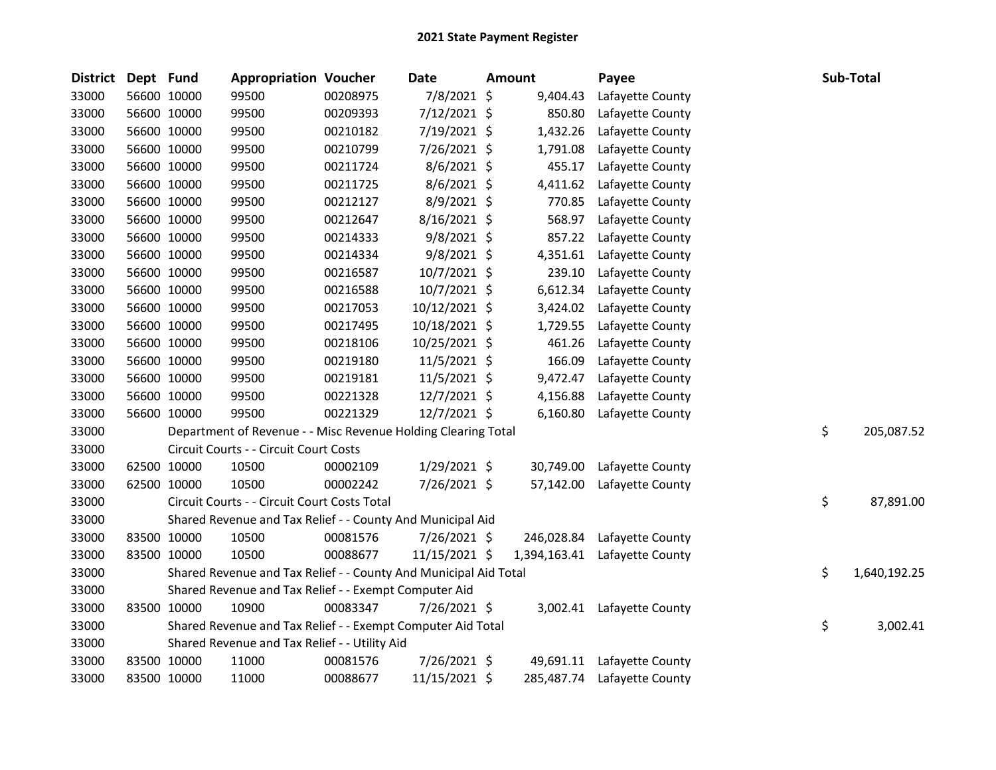| <b>District</b> | Dept Fund |             | <b>Appropriation Voucher</b>                                     |          | Date           | <b>Amount</b> | Payee                         | Sub-Total          |
|-----------------|-----------|-------------|------------------------------------------------------------------|----------|----------------|---------------|-------------------------------|--------------------|
| 33000           |           | 56600 10000 | 99500                                                            | 00208975 | 7/8/2021 \$    | 9,404.43      | Lafayette County              |                    |
| 33000           |           | 56600 10000 | 99500                                                            | 00209393 | 7/12/2021 \$   | 850.80        | Lafayette County              |                    |
| 33000           |           | 56600 10000 | 99500                                                            | 00210182 | 7/19/2021 \$   | 1,432.26      | Lafayette County              |                    |
| 33000           |           | 56600 10000 | 99500                                                            | 00210799 | 7/26/2021 \$   | 1,791.08      | Lafayette County              |                    |
| 33000           |           | 56600 10000 | 99500                                                            | 00211724 | $8/6/2021$ \$  | 455.17        | Lafayette County              |                    |
| 33000           |           | 56600 10000 | 99500                                                            | 00211725 | 8/6/2021 \$    | 4,411.62      | Lafayette County              |                    |
| 33000           |           | 56600 10000 | 99500                                                            | 00212127 | 8/9/2021 \$    | 770.85        | Lafayette County              |                    |
| 33000           |           | 56600 10000 | 99500                                                            | 00212647 | 8/16/2021 \$   | 568.97        | Lafayette County              |                    |
| 33000           |           | 56600 10000 | 99500                                                            | 00214333 | $9/8/2021$ \$  | 857.22        | Lafayette County              |                    |
| 33000           |           | 56600 10000 | 99500                                                            | 00214334 | $9/8/2021$ \$  | 4,351.61      | Lafayette County              |                    |
| 33000           |           | 56600 10000 | 99500                                                            | 00216587 | 10/7/2021 \$   | 239.10        | Lafayette County              |                    |
| 33000           |           | 56600 10000 | 99500                                                            | 00216588 | $10/7/2021$ \$ | 6,612.34      | Lafayette County              |                    |
| 33000           |           | 56600 10000 | 99500                                                            | 00217053 | 10/12/2021 \$  | 3,424.02      | Lafayette County              |                    |
| 33000           |           | 56600 10000 | 99500                                                            | 00217495 | 10/18/2021 \$  | 1,729.55      | Lafayette County              |                    |
| 33000           |           | 56600 10000 | 99500                                                            | 00218106 | 10/25/2021 \$  | 461.26        | Lafayette County              |                    |
| 33000           |           | 56600 10000 | 99500                                                            | 00219180 | 11/5/2021 \$   | 166.09        | Lafayette County              |                    |
| 33000           |           | 56600 10000 | 99500                                                            | 00219181 | 11/5/2021 \$   | 9,472.47      | Lafayette County              |                    |
| 33000           |           | 56600 10000 | 99500                                                            | 00221328 | 12/7/2021 \$   | 4,156.88      | Lafayette County              |                    |
| 33000           |           | 56600 10000 | 99500                                                            | 00221329 | 12/7/2021 \$   | 6,160.80      | Lafayette County              |                    |
| 33000           |           |             | Department of Revenue - - Misc Revenue Holding Clearing Total    |          |                |               |                               | \$<br>205,087.52   |
| 33000           |           |             | Circuit Courts - - Circuit Court Costs                           |          |                |               |                               |                    |
| 33000           |           | 62500 10000 | 10500                                                            | 00002109 | 1/29/2021 \$   | 30,749.00     | Lafayette County              |                    |
| 33000           |           | 62500 10000 | 10500                                                            | 00002242 | 7/26/2021 \$   | 57,142.00     | Lafayette County              |                    |
| 33000           |           |             | Circuit Courts - - Circuit Court Costs Total                     |          |                |               |                               | \$<br>87,891.00    |
| 33000           |           |             | Shared Revenue and Tax Relief - - County And Municipal Aid       |          |                |               |                               |                    |
| 33000           |           | 83500 10000 | 10500                                                            | 00081576 | 7/26/2021 \$   | 246,028.84    | Lafayette County              |                    |
| 33000           |           | 83500 10000 | 10500                                                            | 00088677 | 11/15/2021 \$  |               | 1,394,163.41 Lafayette County |                    |
| 33000           |           |             | Shared Revenue and Tax Relief - - County And Municipal Aid Total |          |                |               |                               | \$<br>1,640,192.25 |
| 33000           |           |             | Shared Revenue and Tax Relief - - Exempt Computer Aid            |          |                |               |                               |                    |
| 33000           |           | 83500 10000 | 10900                                                            | 00083347 | 7/26/2021 \$   |               | 3,002.41 Lafayette County     |                    |
| 33000           |           |             | Shared Revenue and Tax Relief - - Exempt Computer Aid Total      |          |                |               |                               | \$<br>3,002.41     |
| 33000           |           |             | Shared Revenue and Tax Relief - - Utility Aid                    |          |                |               |                               |                    |
| 33000           |           | 83500 10000 | 11000                                                            | 00081576 | 7/26/2021 \$   |               | 49,691.11 Lafayette County    |                    |
| 33000           |           | 83500 10000 | 11000                                                            | 00088677 | 11/15/2021 \$  |               | 285,487.74 Lafayette County   |                    |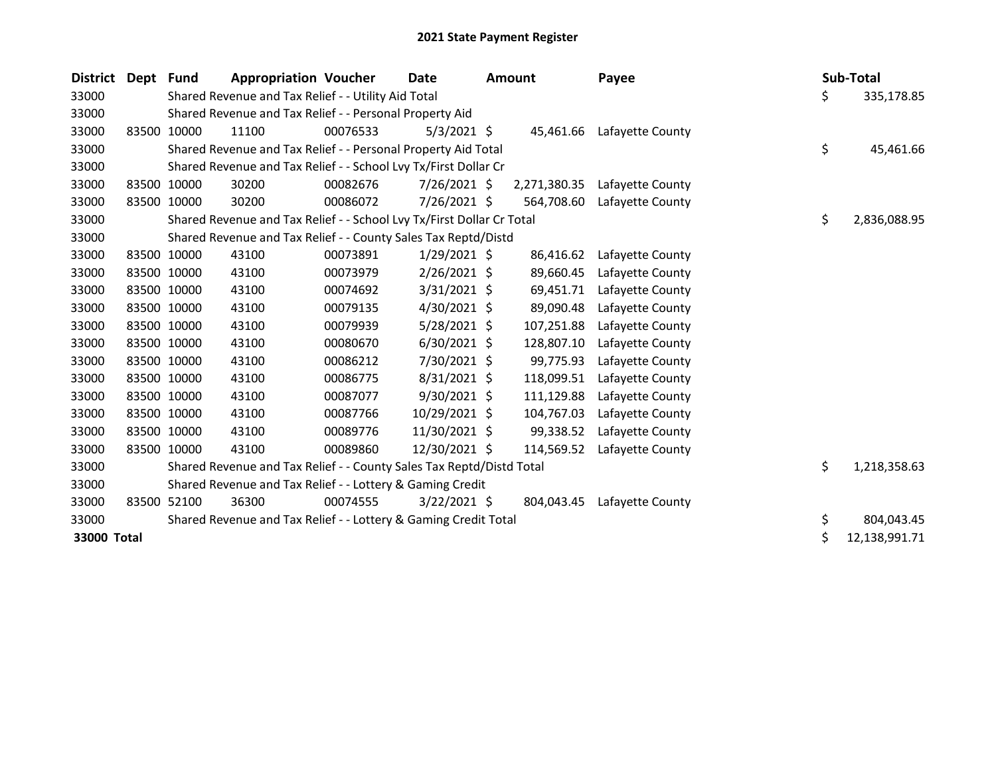| <b>District</b> | Dept | <b>Fund</b> | <b>Appropriation Voucher</b>                                          |          | Date           | <b>Amount</b> | Payee            |    | Sub-Total     |
|-----------------|------|-------------|-----------------------------------------------------------------------|----------|----------------|---------------|------------------|----|---------------|
| 33000           |      |             | Shared Revenue and Tax Relief - - Utility Aid Total                   |          |                |               |                  | \$ | 335,178.85    |
| 33000           |      |             | Shared Revenue and Tax Relief - - Personal Property Aid               |          |                |               |                  |    |               |
| 33000           |      | 83500 10000 | 11100                                                                 | 00076533 | $5/3/2021$ \$  | 45,461.66     | Lafayette County |    |               |
| 33000           |      |             | Shared Revenue and Tax Relief - - Personal Property Aid Total         |          |                |               |                  | \$ | 45,461.66     |
| 33000           |      |             | Shared Revenue and Tax Relief - - School Lvy Tx/First Dollar Cr       |          |                |               |                  |    |               |
| 33000           |      | 83500 10000 | 30200                                                                 | 00082676 | 7/26/2021 \$   | 2,271,380.35  | Lafayette County |    |               |
| 33000           |      | 83500 10000 | 30200                                                                 | 00086072 | 7/26/2021 \$   | 564,708.60    | Lafayette County |    |               |
| 33000           |      |             | Shared Revenue and Tax Relief - - School Lvy Tx/First Dollar Cr Total |          |                |               |                  | \$ | 2,836,088.95  |
| 33000           |      |             | Shared Revenue and Tax Relief - - County Sales Tax Reptd/Distd        |          |                |               |                  |    |               |
| 33000           |      | 83500 10000 | 43100                                                                 | 00073891 | $1/29/2021$ \$ | 86,416.62     | Lafayette County |    |               |
| 33000           |      | 83500 10000 | 43100                                                                 | 00073979 | $2/26/2021$ \$ | 89,660.45     | Lafayette County |    |               |
| 33000           |      | 83500 10000 | 43100                                                                 | 00074692 | $3/31/2021$ \$ | 69,451.71     | Lafayette County |    |               |
| 33000           |      | 83500 10000 | 43100                                                                 | 00079135 | $4/30/2021$ \$ | 89,090.48     | Lafayette County |    |               |
| 33000           |      | 83500 10000 | 43100                                                                 | 00079939 | $5/28/2021$ \$ | 107,251.88    | Lafayette County |    |               |
| 33000           |      | 83500 10000 | 43100                                                                 | 00080670 | $6/30/2021$ \$ | 128,807.10    | Lafayette County |    |               |
| 33000           |      | 83500 10000 | 43100                                                                 | 00086212 | 7/30/2021 \$   | 99,775.93     | Lafayette County |    |               |
| 33000           |      | 83500 10000 | 43100                                                                 | 00086775 | $8/31/2021$ \$ | 118,099.51    | Lafayette County |    |               |
| 33000           |      | 83500 10000 | 43100                                                                 | 00087077 | 9/30/2021 \$   | 111,129.88    | Lafayette County |    |               |
| 33000           |      | 83500 10000 | 43100                                                                 | 00087766 | 10/29/2021 \$  | 104,767.03    | Lafayette County |    |               |
| 33000           |      | 83500 10000 | 43100                                                                 | 00089776 | 11/30/2021 \$  | 99,338.52     | Lafayette County |    |               |
| 33000           |      | 83500 10000 | 43100                                                                 | 00089860 | 12/30/2021 \$  | 114,569.52    | Lafayette County |    |               |
| 33000           |      |             | Shared Revenue and Tax Relief - - County Sales Tax Reptd/Distd Total  |          |                |               |                  | \$ | 1,218,358.63  |
| 33000           |      |             | Shared Revenue and Tax Relief - - Lottery & Gaming Credit             |          |                |               |                  |    |               |
| 33000           |      | 83500 52100 | 36300                                                                 | 00074555 | $3/22/2021$ \$ | 804,043.45    | Lafayette County |    |               |
| 33000           |      |             | Shared Revenue and Tax Relief - - Lottery & Gaming Credit Total       |          |                |               |                  | \$ | 804,043.45    |
| 33000 Total     |      |             |                                                                       |          |                |               |                  | \$ | 12,138,991.71 |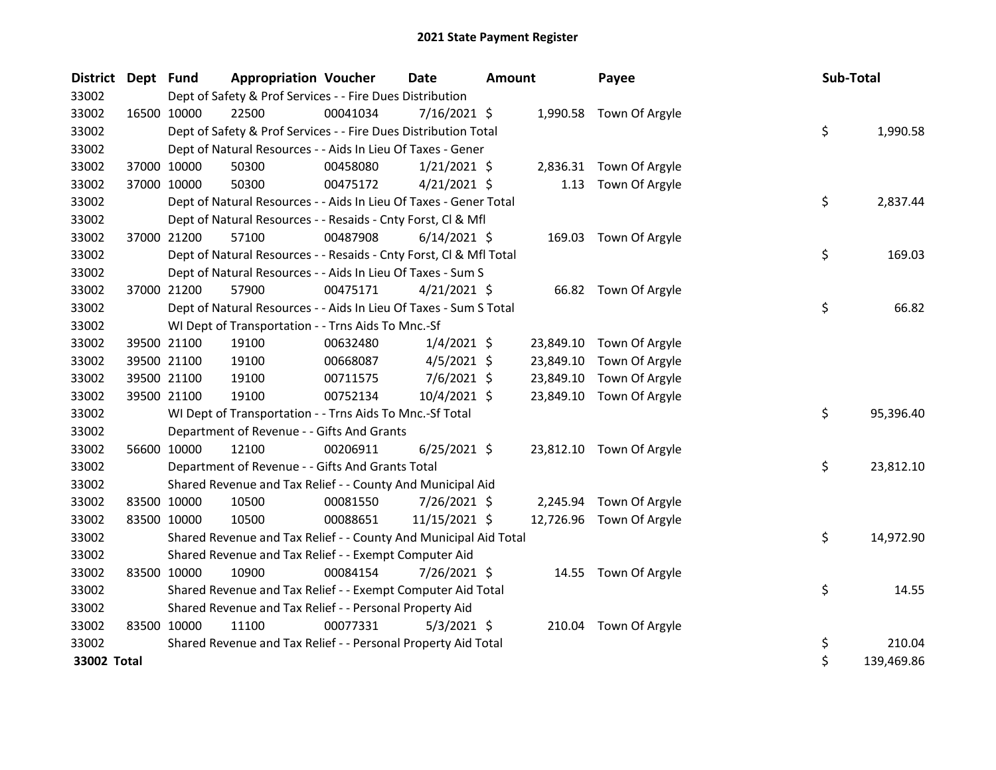| <b>District</b> | Dept Fund   |             | <b>Appropriation Voucher</b>                                       |          | <b>Date</b>    | <b>Amount</b> |           | Payee                    | Sub-Total |            |
|-----------------|-------------|-------------|--------------------------------------------------------------------|----------|----------------|---------------|-----------|--------------------------|-----------|------------|
| 33002           |             |             | Dept of Safety & Prof Services - - Fire Dues Distribution          |          |                |               |           |                          |           |            |
| 33002           |             | 16500 10000 | 22500                                                              | 00041034 | $7/16/2021$ \$ |               |           | 1,990.58 Town Of Argyle  |           |            |
| 33002           |             |             | Dept of Safety & Prof Services - - Fire Dues Distribution Total    |          |                |               |           |                          | \$        | 1,990.58   |
| 33002           |             |             | Dept of Natural Resources - - Aids In Lieu Of Taxes - Gener        |          |                |               |           |                          |           |            |
| 33002           |             | 37000 10000 | 50300                                                              | 00458080 | $1/21/2021$ \$ |               |           | 2,836.31 Town Of Argyle  |           |            |
| 33002           |             | 37000 10000 | 50300                                                              | 00475172 | $4/21/2021$ \$ |               | 1.13      | Town Of Argyle           |           |            |
| 33002           |             |             | Dept of Natural Resources - - Aids In Lieu Of Taxes - Gener Total  |          |                |               |           |                          | \$        | 2,837.44   |
| 33002           |             |             | Dept of Natural Resources - - Resaids - Cnty Forst, Cl & Mfl       |          |                |               |           |                          |           |            |
| 33002           |             | 37000 21200 | 57100                                                              | 00487908 | $6/14/2021$ \$ |               |           | 169.03 Town Of Argyle    |           |            |
| 33002           |             |             | Dept of Natural Resources - - Resaids - Cnty Forst, Cl & Mfl Total |          |                |               |           |                          | \$        | 169.03     |
| 33002           |             |             | Dept of Natural Resources - - Aids In Lieu Of Taxes - Sum S        |          |                |               |           |                          |           |            |
| 33002           |             | 37000 21200 | 57900                                                              | 00475171 | $4/21/2021$ \$ |               |           | 66.82 Town Of Argyle     |           |            |
| 33002           |             |             | Dept of Natural Resources - - Aids In Lieu Of Taxes - Sum S Total  |          |                |               |           |                          | \$        | 66.82      |
| 33002           |             |             | WI Dept of Transportation - - Trns Aids To Mnc.-Sf                 |          |                |               |           |                          |           |            |
| 33002           |             | 39500 21100 | 19100                                                              | 00632480 | $1/4/2021$ \$  |               | 23,849.10 | Town Of Argyle           |           |            |
| 33002           |             | 39500 21100 | 19100                                                              | 00668087 | $4/5/2021$ \$  |               | 23,849.10 | Town Of Argyle           |           |            |
| 33002           |             | 39500 21100 | 19100                                                              | 00711575 | $7/6/2021$ \$  |               | 23,849.10 | Town Of Argyle           |           |            |
| 33002           |             | 39500 21100 | 19100                                                              | 00752134 | 10/4/2021 \$   |               |           | 23,849.10 Town Of Argyle |           |            |
| 33002           |             |             | WI Dept of Transportation - - Trns Aids To Mnc.-Sf Total           |          |                |               |           |                          | \$        | 95,396.40  |
| 33002           |             |             | Department of Revenue - - Gifts And Grants                         |          |                |               |           |                          |           |            |
| 33002           |             | 56600 10000 | 12100                                                              | 00206911 | $6/25/2021$ \$ |               |           | 23,812.10 Town Of Argyle |           |            |
| 33002           |             |             | Department of Revenue - - Gifts And Grants Total                   |          |                |               |           |                          | \$        | 23,812.10  |
| 33002           |             |             | Shared Revenue and Tax Relief - - County And Municipal Aid         |          |                |               |           |                          |           |            |
| 33002           |             | 83500 10000 | 10500                                                              | 00081550 | $7/26/2021$ \$ |               | 2,245.94  | Town Of Argyle           |           |            |
| 33002           |             | 83500 10000 | 10500                                                              | 00088651 | 11/15/2021 \$  |               |           | 12,726.96 Town Of Argyle |           |            |
| 33002           |             |             | Shared Revenue and Tax Relief - - County And Municipal Aid Total   |          |                |               |           |                          | \$        | 14,972.90  |
| 33002           |             |             | Shared Revenue and Tax Relief - - Exempt Computer Aid              |          |                |               |           |                          |           |            |
| 33002           | 83500 10000 |             | 10900                                                              | 00084154 | 7/26/2021 \$   |               |           | 14.55 Town Of Argyle     |           |            |
| 33002           |             |             | Shared Revenue and Tax Relief - - Exempt Computer Aid Total        |          |                |               |           |                          | \$        | 14.55      |
| 33002           |             |             | Shared Revenue and Tax Relief - - Personal Property Aid            |          |                |               |           |                          |           |            |
| 33002           | 83500 10000 |             | 11100                                                              | 00077331 | $5/3/2021$ \$  |               |           | 210.04 Town Of Argyle    |           |            |
| 33002           |             |             | Shared Revenue and Tax Relief - - Personal Property Aid Total      |          |                |               |           |                          | \$        | 210.04     |
| 33002 Total     |             |             |                                                                    |          |                |               |           |                          | \$        | 139,469.86 |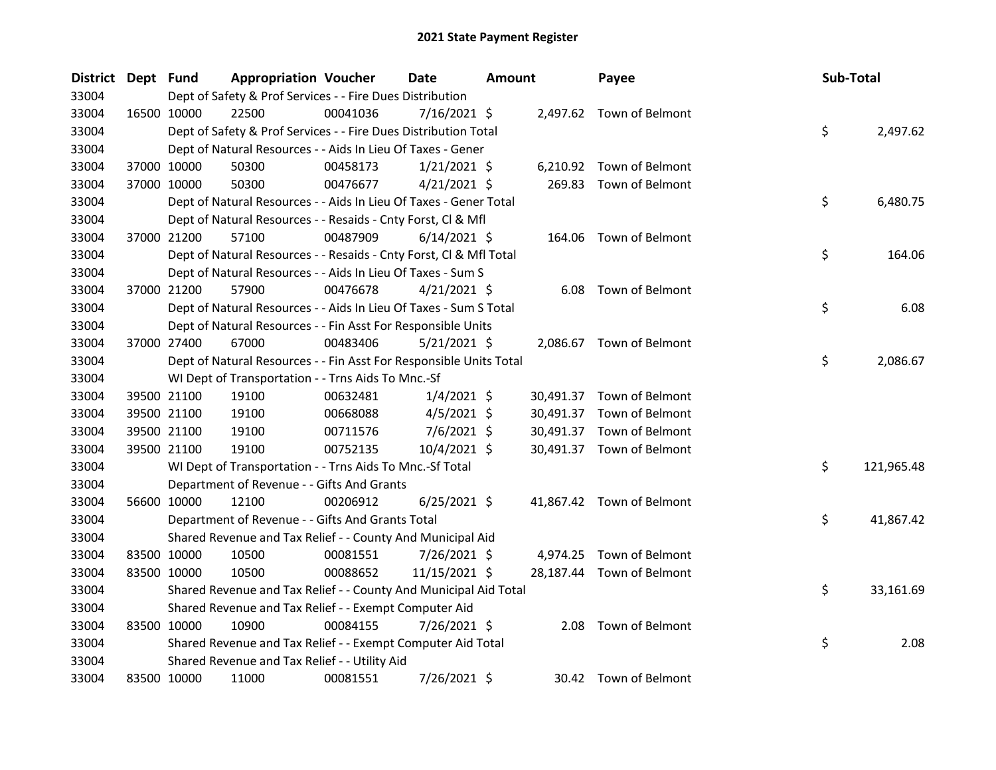| <b>District</b> | Dept Fund   |             | <b>Appropriation Voucher</b>                                       |          | <b>Date</b>    | <b>Amount</b> |           | Payee                     | Sub-Total |            |
|-----------------|-------------|-------------|--------------------------------------------------------------------|----------|----------------|---------------|-----------|---------------------------|-----------|------------|
| 33004           |             |             | Dept of Safety & Prof Services - - Fire Dues Distribution          |          |                |               |           |                           |           |            |
| 33004           |             | 16500 10000 | 22500                                                              | 00041036 | $7/16/2021$ \$ |               |           | 2,497.62 Town of Belmont  |           |            |
| 33004           |             |             | Dept of Safety & Prof Services - - Fire Dues Distribution Total    |          |                |               |           |                           | \$        | 2,497.62   |
| 33004           |             |             | Dept of Natural Resources - - Aids In Lieu Of Taxes - Gener        |          |                |               |           |                           |           |            |
| 33004           |             | 37000 10000 | 50300                                                              | 00458173 | $1/21/2021$ \$ |               |           | 6,210.92 Town of Belmont  |           |            |
| 33004           |             | 37000 10000 | 50300                                                              | 00476677 | $4/21/2021$ \$ |               | 269.83    | Town of Belmont           |           |            |
| 33004           |             |             | Dept of Natural Resources - - Aids In Lieu Of Taxes - Gener Total  |          |                |               |           |                           | \$        | 6,480.75   |
| 33004           |             |             | Dept of Natural Resources - - Resaids - Cnty Forst, Cl & Mfl       |          |                |               |           |                           |           |            |
| 33004           |             | 37000 21200 | 57100                                                              | 00487909 | $6/14/2021$ \$ |               | 164.06    | Town of Belmont           |           |            |
| 33004           |             |             | Dept of Natural Resources - - Resaids - Cnty Forst, Cl & Mfl Total |          |                |               |           |                           | \$        | 164.06     |
| 33004           |             |             | Dept of Natural Resources - - Aids In Lieu Of Taxes - Sum S        |          |                |               |           |                           |           |            |
| 33004           |             | 37000 21200 | 57900                                                              | 00476678 | $4/21/2021$ \$ |               |           | 6.08 Town of Belmont      |           |            |
| 33004           |             |             | Dept of Natural Resources - - Aids In Lieu Of Taxes - Sum S Total  |          |                |               |           |                           | \$        | 6.08       |
| 33004           |             |             | Dept of Natural Resources - - Fin Asst For Responsible Units       |          |                |               |           |                           |           |            |
| 33004           |             | 37000 27400 | 67000                                                              | 00483406 | $5/21/2021$ \$ |               |           | 2,086.67 Town of Belmont  |           |            |
| 33004           |             |             | Dept of Natural Resources - - Fin Asst For Responsible Units Total |          |                |               |           |                           | \$        | 2,086.67   |
| 33004           |             |             | WI Dept of Transportation - - Trns Aids To Mnc.-Sf                 |          |                |               |           |                           |           |            |
| 33004           |             | 39500 21100 | 19100                                                              | 00632481 | $1/4/2021$ \$  |               |           | 30,491.37 Town of Belmont |           |            |
| 33004           |             | 39500 21100 | 19100                                                              | 00668088 | $4/5/2021$ \$  |               | 30,491.37 | Town of Belmont           |           |            |
| 33004           |             | 39500 21100 | 19100                                                              | 00711576 | $7/6/2021$ \$  |               |           | 30,491.37 Town of Belmont |           |            |
| 33004           |             | 39500 21100 | 19100                                                              | 00752135 | $10/4/2021$ \$ |               |           | 30,491.37 Town of Belmont |           |            |
| 33004           |             |             | WI Dept of Transportation - - Trns Aids To Mnc.-Sf Total           |          |                |               |           |                           | \$        | 121,965.48 |
| 33004           |             |             | Department of Revenue - - Gifts And Grants                         |          |                |               |           |                           |           |            |
| 33004           |             | 56600 10000 | 12100                                                              | 00206912 | $6/25/2021$ \$ |               |           | 41,867.42 Town of Belmont |           |            |
| 33004           |             |             | Department of Revenue - - Gifts And Grants Total                   |          |                |               |           |                           | \$        | 41,867.42  |
| 33004           |             |             | Shared Revenue and Tax Relief - - County And Municipal Aid         |          |                |               |           |                           |           |            |
| 33004           |             | 83500 10000 | 10500                                                              | 00081551 | 7/26/2021 \$   |               |           | 4,974.25 Town of Belmont  |           |            |
| 33004           | 83500 10000 |             | 10500                                                              | 00088652 | 11/15/2021 \$  |               |           | 28,187.44 Town of Belmont |           |            |
| 33004           |             |             | Shared Revenue and Tax Relief - - County And Municipal Aid Total   |          |                |               |           |                           | \$        | 33,161.69  |
| 33004           |             |             | Shared Revenue and Tax Relief - - Exempt Computer Aid              |          |                |               |           |                           |           |            |
| 33004           | 83500 10000 |             | 10900                                                              | 00084155 | 7/26/2021 \$   |               |           | 2.08 Town of Belmont      |           |            |
| 33004           |             |             | Shared Revenue and Tax Relief - - Exempt Computer Aid Total        |          |                |               |           |                           | \$        | 2.08       |
| 33004           |             |             | Shared Revenue and Tax Relief - - Utility Aid                      |          |                |               |           |                           |           |            |
| 33004           | 83500 10000 |             | 11000                                                              | 00081551 | 7/26/2021 \$   |               |           | 30.42 Town of Belmont     |           |            |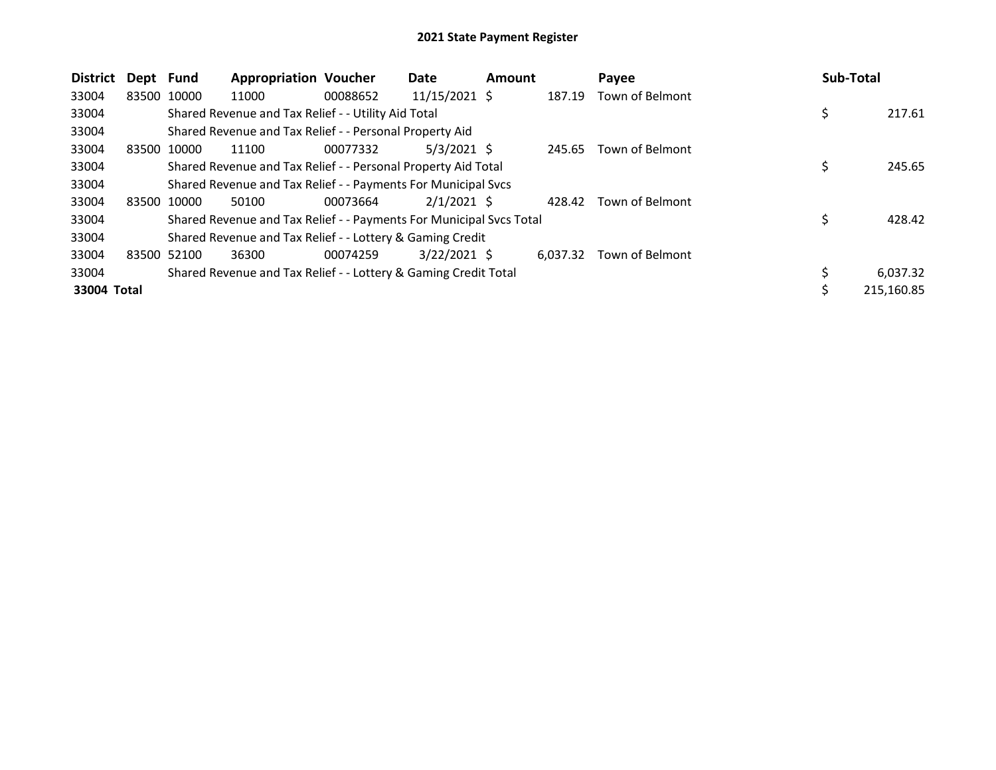| <b>District</b> | Dept  | Fund        | <b>Appropriation Voucher</b>                                        |          | Date            | <b>Amount</b> |          | Payee           | <b>Sub-Total</b> |
|-----------------|-------|-------------|---------------------------------------------------------------------|----------|-----------------|---------------|----------|-----------------|------------------|
| 33004           |       | 83500 10000 | 11000                                                               | 00088652 | $11/15/2021$ \$ |               | 187.19   | Town of Belmont |                  |
| 33004           |       |             | Shared Revenue and Tax Relief - - Utility Aid Total                 |          |                 |               |          |                 | 217.61           |
| 33004           |       |             | Shared Revenue and Tax Relief - - Personal Property Aid             |          |                 |               |          |                 |                  |
| 33004           |       | 83500 10000 | 11100                                                               | 00077332 | $5/3/2021$ \$   |               | 245.65   | Town of Belmont |                  |
| 33004           |       |             | Shared Revenue and Tax Relief - - Personal Property Aid Total       |          |                 |               |          |                 | 245.65           |
| 33004           |       |             | Shared Revenue and Tax Relief - - Payments For Municipal Svcs       |          |                 |               |          |                 |                  |
| 33004           |       | 83500 10000 | 50100                                                               | 00073664 | $2/1/2021$ \$   |               | 428.42   | Town of Belmont |                  |
| 33004           |       |             | Shared Revenue and Tax Relief - - Payments For Municipal Svcs Total |          |                 |               |          |                 | 428.42           |
| 33004           |       |             | Shared Revenue and Tax Relief - - Lottery & Gaming Credit           |          |                 |               |          |                 |                  |
| 33004           | 83500 | 52100       | 36300                                                               | 00074259 | $3/22/2021$ \$  |               | 6.037.32 | Town of Belmont |                  |
| 33004           |       |             | Shared Revenue and Tax Relief - - Lottery & Gaming Credit Total     |          |                 |               |          |                 | 6,037.32         |
| 33004 Total     |       |             |                                                                     |          |                 |               |          |                 | 215,160.85       |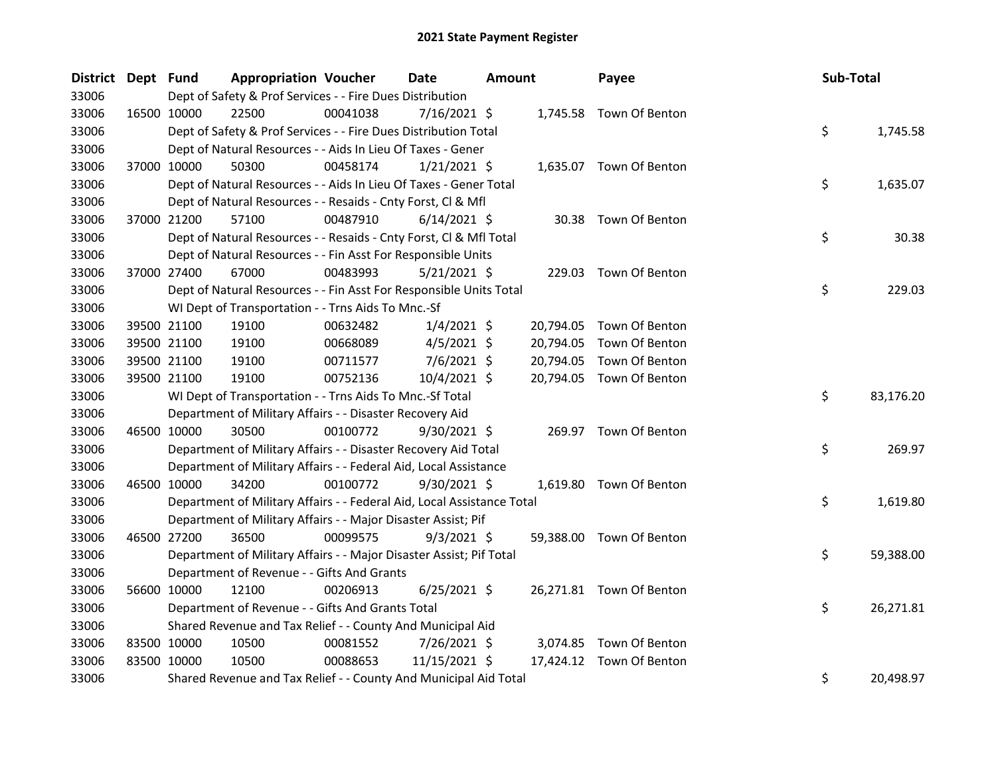| District Dept Fund |             |                                                                        | <b>Appropriation Voucher</b> |          | Date           | Amount |           | Payee                    | Sub-Total |           |
|--------------------|-------------|------------------------------------------------------------------------|------------------------------|----------|----------------|--------|-----------|--------------------------|-----------|-----------|
| 33006              |             | Dept of Safety & Prof Services - - Fire Dues Distribution              |                              |          |                |        |           |                          |           |           |
| 33006              | 16500 10000 | 22500                                                                  |                              | 00041038 | 7/16/2021 \$   |        |           | 1,745.58 Town Of Benton  |           |           |
| 33006              |             | Dept of Safety & Prof Services - - Fire Dues Distribution Total        |                              |          |                |        |           |                          | \$        | 1,745.58  |
| 33006              |             | Dept of Natural Resources - - Aids In Lieu Of Taxes - Gener            |                              |          |                |        |           |                          |           |           |
| 33006              |             | 37000 10000<br>50300                                                   |                              | 00458174 | $1/21/2021$ \$ |        |           | 1,635.07 Town Of Benton  |           |           |
| 33006              |             | Dept of Natural Resources - - Aids In Lieu Of Taxes - Gener Total      |                              |          |                |        |           |                          | \$        | 1,635.07  |
| 33006              |             | Dept of Natural Resources - - Resaids - Cnty Forst, Cl & Mfl           |                              |          |                |        |           |                          |           |           |
| 33006              |             | 37000 21200<br>57100                                                   |                              | 00487910 | $6/14/2021$ \$ |        |           | 30.38 Town Of Benton     |           |           |
| 33006              |             | Dept of Natural Resources - - Resaids - Cnty Forst, Cl & Mfl Total     |                              |          |                |        |           |                          | \$        | 30.38     |
| 33006              |             | Dept of Natural Resources - - Fin Asst For Responsible Units           |                              |          |                |        |           |                          |           |           |
| 33006              | 37000 27400 | 67000                                                                  |                              | 00483993 | $5/21/2021$ \$ |        | 229.03    | Town Of Benton           |           |           |
| 33006              |             | Dept of Natural Resources - - Fin Asst For Responsible Units Total     |                              |          |                |        |           |                          | \$        | 229.03    |
| 33006              |             | WI Dept of Transportation - - Trns Aids To Mnc.-Sf                     |                              |          |                |        |           |                          |           |           |
| 33006              |             | 39500 21100<br>19100                                                   |                              | 00632482 | $1/4/2021$ \$  |        | 20,794.05 | Town Of Benton           |           |           |
| 33006              |             | 39500 21100<br>19100                                                   |                              | 00668089 | $4/5/2021$ \$  |        | 20,794.05 | Town Of Benton           |           |           |
| 33006              |             | 39500 21100<br>19100                                                   |                              | 00711577 | $7/6/2021$ \$  |        | 20,794.05 | Town Of Benton           |           |           |
| 33006              |             | 39500 21100<br>19100                                                   |                              | 00752136 | 10/4/2021 \$   |        |           | 20,794.05 Town Of Benton |           |           |
| 33006              |             | WI Dept of Transportation - - Trns Aids To Mnc.-Sf Total               |                              |          |                |        |           |                          | \$        | 83,176.20 |
| 33006              |             | Department of Military Affairs - - Disaster Recovery Aid               |                              |          |                |        |           |                          |           |           |
| 33006              |             | 46500 10000<br>30500                                                   |                              | 00100772 | $9/30/2021$ \$ |        |           | 269.97 Town Of Benton    |           |           |
| 33006              |             | Department of Military Affairs - - Disaster Recovery Aid Total         |                              |          |                |        |           |                          | \$        | 269.97    |
| 33006              |             | Department of Military Affairs - - Federal Aid, Local Assistance       |                              |          |                |        |           |                          |           |           |
| 33006              | 46500 10000 | 34200                                                                  |                              | 00100772 | $9/30/2021$ \$ |        |           | 1,619.80 Town Of Benton  |           |           |
| 33006              |             | Department of Military Affairs - - Federal Aid, Local Assistance Total |                              |          |                |        |           |                          | \$        | 1,619.80  |
| 33006              |             | Department of Military Affairs - - Major Disaster Assist; Pif          |                              |          |                |        |           |                          |           |           |
| 33006              | 46500 27200 | 36500                                                                  |                              | 00099575 | $9/3/2021$ \$  |        |           | 59,388.00 Town Of Benton |           |           |
| 33006              |             | Department of Military Affairs - - Major Disaster Assist; Pif Total    |                              |          |                |        |           |                          | \$        | 59,388.00 |
| 33006              |             | Department of Revenue - - Gifts And Grants                             |                              |          |                |        |           |                          |           |           |
| 33006              | 56600 10000 | 12100                                                                  |                              | 00206913 | $6/25/2021$ \$ |        |           | 26,271.81 Town Of Benton |           |           |
| 33006              |             | Department of Revenue - - Gifts And Grants Total                       |                              |          |                |        |           |                          | \$        | 26,271.81 |
| 33006              |             | Shared Revenue and Tax Relief - - County And Municipal Aid             |                              |          |                |        |           |                          |           |           |
| 33006              | 83500 10000 | 10500                                                                  |                              | 00081552 | 7/26/2021 \$   |        |           | 3,074.85 Town Of Benton  |           |           |
| 33006              | 83500 10000 | 10500                                                                  |                              | 00088653 | 11/15/2021 \$  |        | 17,424.12 | Town Of Benton           |           |           |
| 33006              |             | Shared Revenue and Tax Relief - - County And Municipal Aid Total       |                              |          |                |        |           |                          | \$        | 20,498.97 |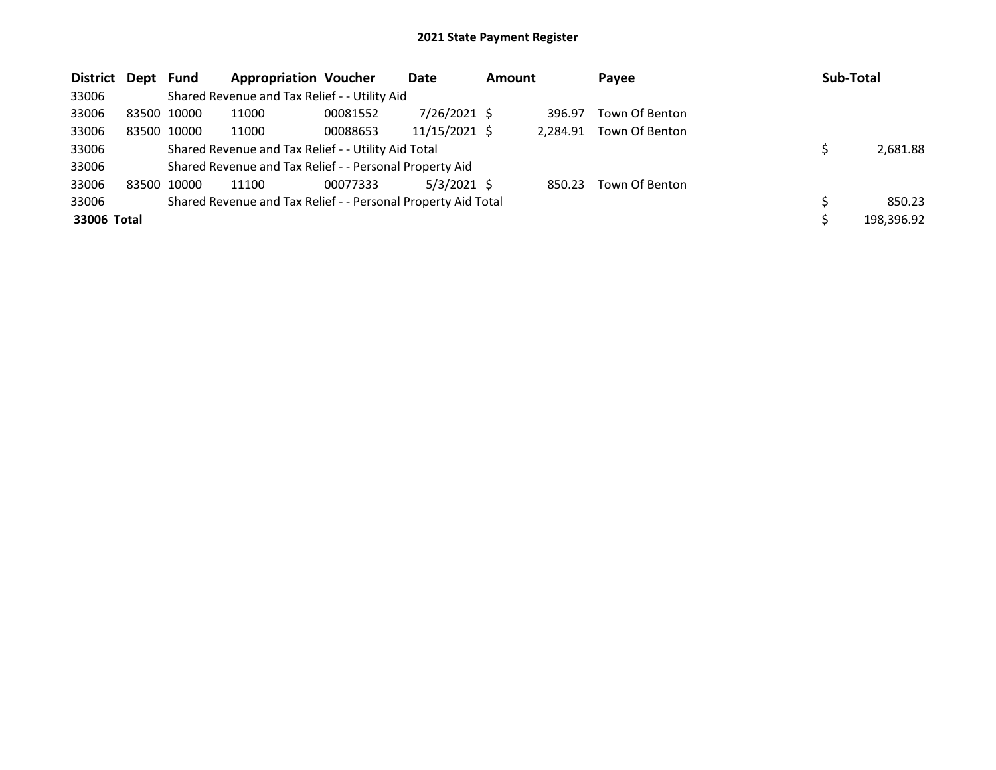| District Dept Fund |             |             | <b>Appropriation Voucher</b>                                  |          | Date            | <b>Amount</b> |          | Payee          | Sub-Total  |
|--------------------|-------------|-------------|---------------------------------------------------------------|----------|-----------------|---------------|----------|----------------|------------|
| 33006              |             |             | Shared Revenue and Tax Relief - - Utility Aid                 |          |                 |               |          |                |            |
| 33006              |             | 83500 10000 | 11000                                                         | 00081552 | $7/26/2021$ \$  |               | 396.97   | Town Of Benton |            |
| 33006              |             | 83500 10000 | 11000                                                         | 00088653 | $11/15/2021$ \$ |               | 2.284.91 | Town Of Benton |            |
| 33006              |             |             | Shared Revenue and Tax Relief - - Utility Aid Total           |          |                 |               |          |                | 2,681.88   |
| 33006              |             |             | Shared Revenue and Tax Relief - - Personal Property Aid       |          |                 |               |          |                |            |
| 33006              | 83500 10000 |             | 11100                                                         | 00077333 | $5/3/2021$ \$   |               | 850.23   | Town Of Benton |            |
| 33006              |             |             | Shared Revenue and Tax Relief - - Personal Property Aid Total |          |                 |               |          |                | 850.23     |
| 33006 Total        |             |             |                                                               |          |                 |               |          |                | 198,396.92 |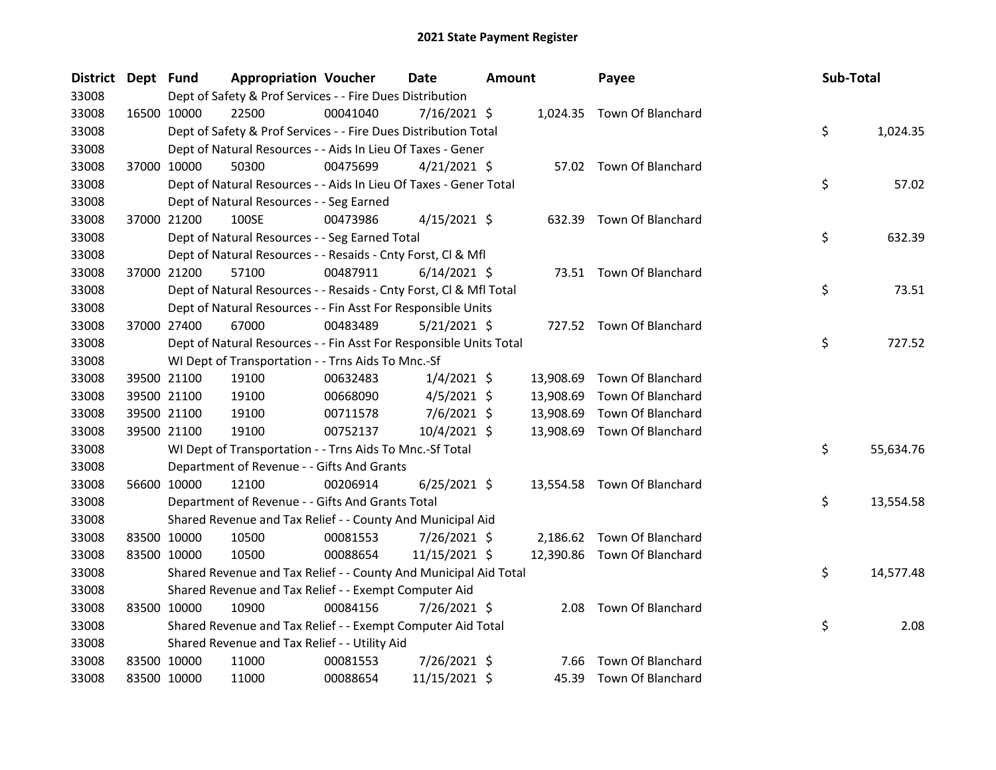| District Dept Fund |             | <b>Appropriation Voucher</b>                                       |          | Date           | <b>Amount</b> |           | Payee                       | Sub-Total |           |
|--------------------|-------------|--------------------------------------------------------------------|----------|----------------|---------------|-----------|-----------------------------|-----------|-----------|
| 33008              |             | Dept of Safety & Prof Services - - Fire Dues Distribution          |          |                |               |           |                             |           |           |
| 33008              | 16500 10000 | 22500                                                              | 00041040 | 7/16/2021 \$   |               |           | 1,024.35 Town Of Blanchard  |           |           |
| 33008              |             | Dept of Safety & Prof Services - - Fire Dues Distribution Total    |          |                |               |           |                             | \$        | 1,024.35  |
| 33008              |             | Dept of Natural Resources - - Aids In Lieu Of Taxes - Gener        |          |                |               |           |                             |           |           |
| 33008              | 37000 10000 | 50300                                                              | 00475699 | $4/21/2021$ \$ |               |           | 57.02 Town Of Blanchard     |           |           |
| 33008              |             | Dept of Natural Resources - - Aids In Lieu Of Taxes - Gener Total  |          |                |               |           |                             | \$        | 57.02     |
| 33008              |             | Dept of Natural Resources - - Seg Earned                           |          |                |               |           |                             |           |           |
| 33008              | 37000 21200 | 100SE                                                              | 00473986 | $4/15/2021$ \$ |               |           | 632.39 Town Of Blanchard    |           |           |
| 33008              |             | Dept of Natural Resources - - Seg Earned Total                     |          |                |               |           |                             | \$        | 632.39    |
| 33008              |             | Dept of Natural Resources - - Resaids - Cnty Forst, Cl & Mfl       |          |                |               |           |                             |           |           |
| 33008              | 37000 21200 | 57100                                                              | 00487911 | $6/14/2021$ \$ |               |           | 73.51 Town Of Blanchard     |           |           |
| 33008              |             | Dept of Natural Resources - - Resaids - Cnty Forst, Cl & Mfl Total |          |                |               |           |                             | \$        | 73.51     |
| 33008              |             | Dept of Natural Resources - - Fin Asst For Responsible Units       |          |                |               |           |                             |           |           |
| 33008              | 37000 27400 | 67000                                                              | 00483489 | $5/21/2021$ \$ |               |           | 727.52 Town Of Blanchard    |           |           |
| 33008              |             | Dept of Natural Resources - - Fin Asst For Responsible Units Total |          |                |               |           |                             | \$        | 727.52    |
| 33008              |             | WI Dept of Transportation - - Trns Aids To Mnc.-Sf                 |          |                |               |           |                             |           |           |
| 33008              | 39500 21100 | 19100                                                              | 00632483 | $1/4/2021$ \$  |               | 13,908.69 | Town Of Blanchard           |           |           |
| 33008              | 39500 21100 | 19100                                                              | 00668090 | $4/5/2021$ \$  |               | 13,908.69 | Town Of Blanchard           |           |           |
| 33008              | 39500 21100 | 19100                                                              | 00711578 | 7/6/2021 \$    |               | 13,908.69 | Town Of Blanchard           |           |           |
| 33008              | 39500 21100 | 19100                                                              | 00752137 | $10/4/2021$ \$ |               |           | 13,908.69 Town Of Blanchard |           |           |
| 33008              |             | WI Dept of Transportation - - Trns Aids To Mnc.-Sf Total           |          |                |               |           |                             | \$        | 55,634.76 |
| 33008              |             | Department of Revenue - - Gifts And Grants                         |          |                |               |           |                             |           |           |
| 33008              | 56600 10000 | 12100                                                              | 00206914 | $6/25/2021$ \$ |               |           | 13,554.58 Town Of Blanchard |           |           |
| 33008              |             | Department of Revenue - - Gifts And Grants Total                   |          |                |               |           |                             | \$        | 13,554.58 |
| 33008              |             | Shared Revenue and Tax Relief - - County And Municipal Aid         |          |                |               |           |                             |           |           |
| 33008              | 83500 10000 | 10500                                                              | 00081553 | 7/26/2021 \$   |               |           | 2,186.62 Town Of Blanchard  |           |           |
| 33008              | 83500 10000 | 10500                                                              | 00088654 | 11/15/2021 \$  |               |           | 12,390.86 Town Of Blanchard |           |           |
| 33008              |             | Shared Revenue and Tax Relief - - County And Municipal Aid Total   |          |                |               |           |                             | \$        | 14,577.48 |
| 33008              |             | Shared Revenue and Tax Relief - - Exempt Computer Aid              |          |                |               |           |                             |           |           |
| 33008              | 83500 10000 | 10900                                                              | 00084156 | 7/26/2021 \$   |               |           | 2.08 Town Of Blanchard      |           |           |
| 33008              |             | Shared Revenue and Tax Relief - - Exempt Computer Aid Total        |          |                |               |           |                             | \$        | 2.08      |
| 33008              |             | Shared Revenue and Tax Relief - - Utility Aid                      |          |                |               |           |                             |           |           |
| 33008              | 83500 10000 | 11000                                                              | 00081553 | 7/26/2021 \$   |               | 7.66      | Town Of Blanchard           |           |           |
| 33008              | 83500 10000 | 11000                                                              | 00088654 | 11/15/2021 \$  |               | 45.39     | Town Of Blanchard           |           |           |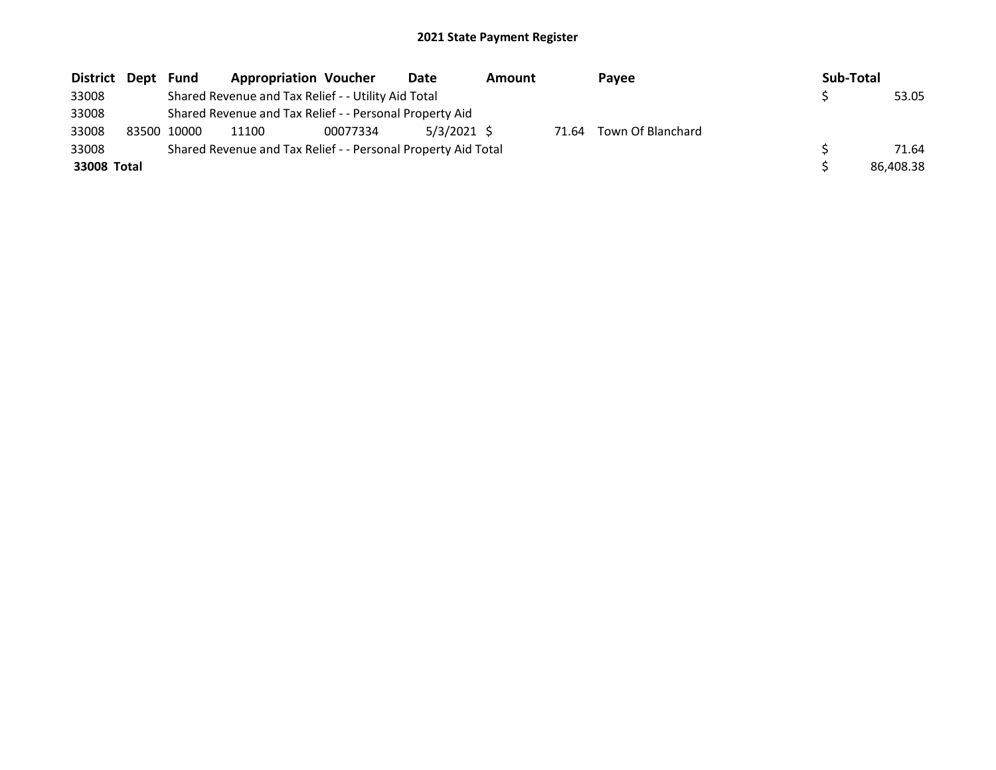| District Dept | Fund        | <b>Appropriation Voucher</b>                                  |          | Date          | <b>Amount</b> |       | Payee             | Sub-Total |           |
|---------------|-------------|---------------------------------------------------------------|----------|---------------|---------------|-------|-------------------|-----------|-----------|
| 33008         |             | Shared Revenue and Tax Relief - - Utility Aid Total           |          |               |               |       |                   |           | 53.05     |
| 33008         |             | Shared Revenue and Tax Relief - - Personal Property Aid       |          |               |               |       |                   |           |           |
| 33008         | 83500 10000 | 11100                                                         | 00077334 | $5/3/2021$ \$ |               | 71.64 | Town Of Blanchard |           |           |
| 33008         |             | Shared Revenue and Tax Relief - - Personal Property Aid Total |          |               |               |       |                   |           | 71.64     |
| 33008 Total   |             |                                                               |          |               |               |       |                   |           | 86.408.38 |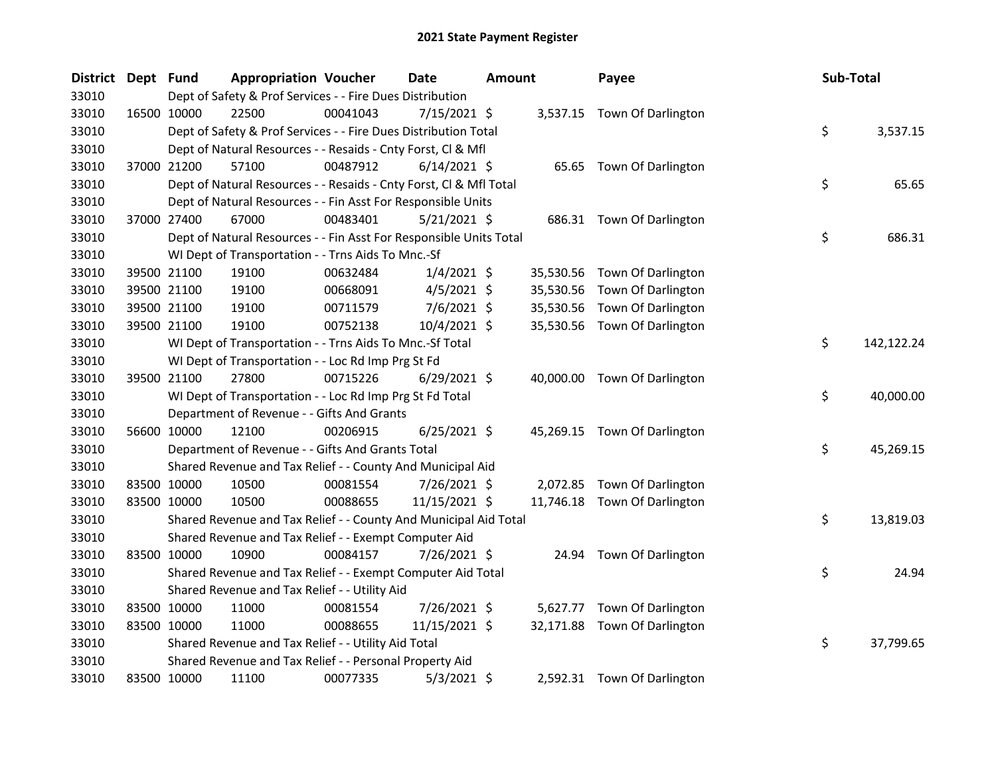| <b>District</b> | Dept Fund |             | <b>Appropriation Voucher</b>                                       |          | <b>Date</b>    | Amount |           | Payee                        | Sub-Total |            |
|-----------------|-----------|-------------|--------------------------------------------------------------------|----------|----------------|--------|-----------|------------------------------|-----------|------------|
| 33010           |           |             | Dept of Safety & Prof Services - - Fire Dues Distribution          |          |                |        |           |                              |           |            |
| 33010           |           | 16500 10000 | 22500                                                              | 00041043 | 7/15/2021 \$   |        |           | 3,537.15 Town Of Darlington  |           |            |
| 33010           |           |             | Dept of Safety & Prof Services - - Fire Dues Distribution Total    |          |                |        |           |                              | \$        | 3,537.15   |
| 33010           |           |             | Dept of Natural Resources - - Resaids - Cnty Forst, Cl & Mfl       |          |                |        |           |                              |           |            |
| 33010           |           | 37000 21200 | 57100                                                              | 00487912 | $6/14/2021$ \$ |        |           | 65.65 Town Of Darlington     |           |            |
| 33010           |           |             | Dept of Natural Resources - - Resaids - Cnty Forst, Cl & Mfl Total |          |                |        |           |                              | \$        | 65.65      |
| 33010           |           |             | Dept of Natural Resources - - Fin Asst For Responsible Units       |          |                |        |           |                              |           |            |
| 33010           |           | 37000 27400 | 67000                                                              | 00483401 | 5/21/2021 \$   |        |           | 686.31 Town Of Darlington    |           |            |
| 33010           |           |             | Dept of Natural Resources - - Fin Asst For Responsible Units Total |          |                |        |           |                              | \$        | 686.31     |
| 33010           |           |             | WI Dept of Transportation - - Trns Aids To Mnc.-Sf                 |          |                |        |           |                              |           |            |
| 33010           |           | 39500 21100 | 19100                                                              | 00632484 | $1/4/2021$ \$  |        | 35,530.56 | Town Of Darlington           |           |            |
| 33010           |           | 39500 21100 | 19100                                                              | 00668091 | $4/5/2021$ \$  |        | 35,530.56 | Town Of Darlington           |           |            |
| 33010           |           | 39500 21100 | 19100                                                              | 00711579 | $7/6/2021$ \$  |        | 35,530.56 | Town Of Darlington           |           |            |
| 33010           |           | 39500 21100 | 19100                                                              | 00752138 | 10/4/2021 \$   |        |           | 35,530.56 Town Of Darlington |           |            |
| 33010           |           |             | WI Dept of Transportation - - Trns Aids To Mnc.-Sf Total           |          |                |        |           |                              | \$        | 142,122.24 |
| 33010           |           |             | WI Dept of Transportation - - Loc Rd Imp Prg St Fd                 |          |                |        |           |                              |           |            |
| 33010           |           | 39500 21100 | 27800                                                              | 00715226 | $6/29/2021$ \$ |        |           | 40,000.00 Town Of Darlington |           |            |
| 33010           |           |             | WI Dept of Transportation - - Loc Rd Imp Prg St Fd Total           |          |                |        |           |                              | \$        | 40,000.00  |
| 33010           |           |             | Department of Revenue - - Gifts And Grants                         |          |                |        |           |                              |           |            |
| 33010           |           | 56600 10000 | 12100                                                              | 00206915 | $6/25/2021$ \$ |        |           | 45,269.15 Town Of Darlington |           |            |
| 33010           |           |             | Department of Revenue - - Gifts And Grants Total                   |          |                |        |           |                              | \$        | 45,269.15  |
| 33010           |           |             | Shared Revenue and Tax Relief - - County And Municipal Aid         |          |                |        |           |                              |           |            |
| 33010           |           | 83500 10000 | 10500                                                              | 00081554 | 7/26/2021 \$   |        |           | 2,072.85 Town Of Darlington  |           |            |
| 33010           |           | 83500 10000 | 10500                                                              | 00088655 | 11/15/2021 \$  |        |           | 11,746.18 Town Of Darlington |           |            |
| 33010           |           |             | Shared Revenue and Tax Relief - - County And Municipal Aid Total   |          |                |        |           |                              | \$        | 13,819.03  |
| 33010           |           |             | Shared Revenue and Tax Relief - - Exempt Computer Aid              |          |                |        |           |                              |           |            |
| 33010           |           | 83500 10000 | 10900                                                              | 00084157 | 7/26/2021 \$   |        |           | 24.94 Town Of Darlington     |           |            |
| 33010           |           |             | Shared Revenue and Tax Relief - - Exempt Computer Aid Total        |          |                |        |           |                              | \$        | 24.94      |
| 33010           |           |             | Shared Revenue and Tax Relief - - Utility Aid                      |          |                |        |           |                              |           |            |
| 33010           |           | 83500 10000 | 11000                                                              | 00081554 | 7/26/2021 \$   |        |           | 5,627.77 Town Of Darlington  |           |            |
| 33010           |           | 83500 10000 | 11000                                                              | 00088655 | 11/15/2021 \$  |        |           | 32,171.88 Town Of Darlington |           |            |
| 33010           |           |             | Shared Revenue and Tax Relief - - Utility Aid Total                |          |                |        |           |                              | \$        | 37,799.65  |
| 33010           |           |             | Shared Revenue and Tax Relief - - Personal Property Aid            |          |                |        |           |                              |           |            |
| 33010           |           | 83500 10000 | 11100                                                              | 00077335 | $5/3/2021$ \$  |        |           | 2,592.31 Town Of Darlington  |           |            |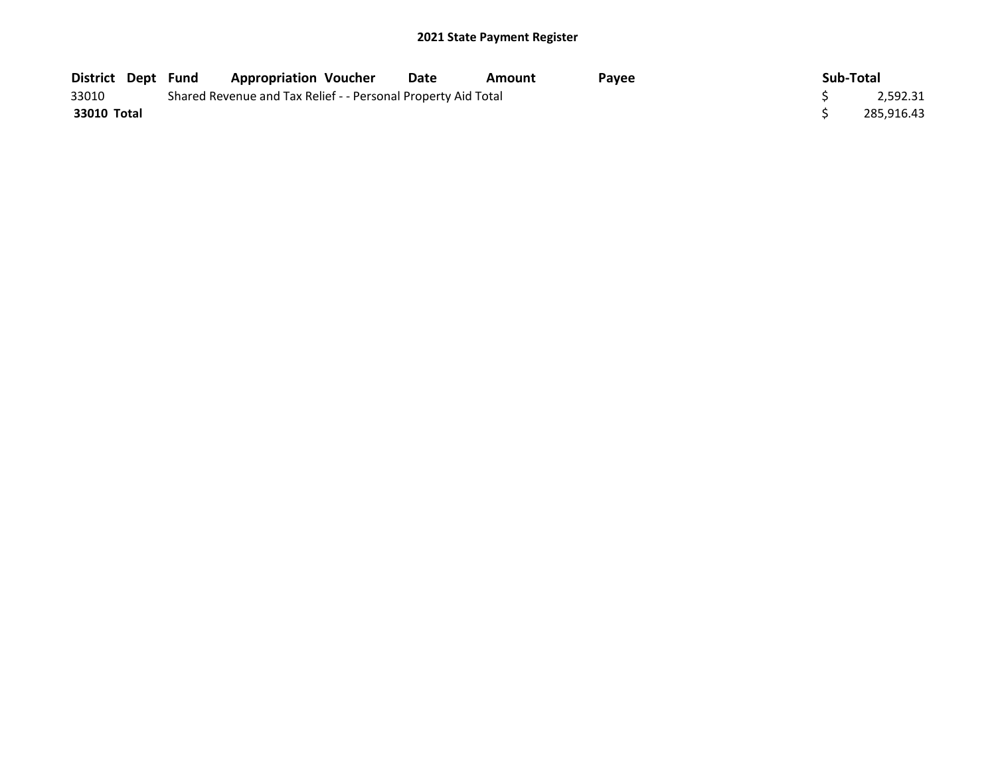| <b>District Dept Fund</b> |  | <b>Appropriation Voucher</b>                                  | Date | Amount | Pavee | Sub-Total  |
|---------------------------|--|---------------------------------------------------------------|------|--------|-------|------------|
| 33010                     |  | Shared Revenue and Tax Relief - - Personal Property Aid Total |      |        |       | 2,592.31   |
| 33010 Total               |  |                                                               |      |        |       | 285,916.43 |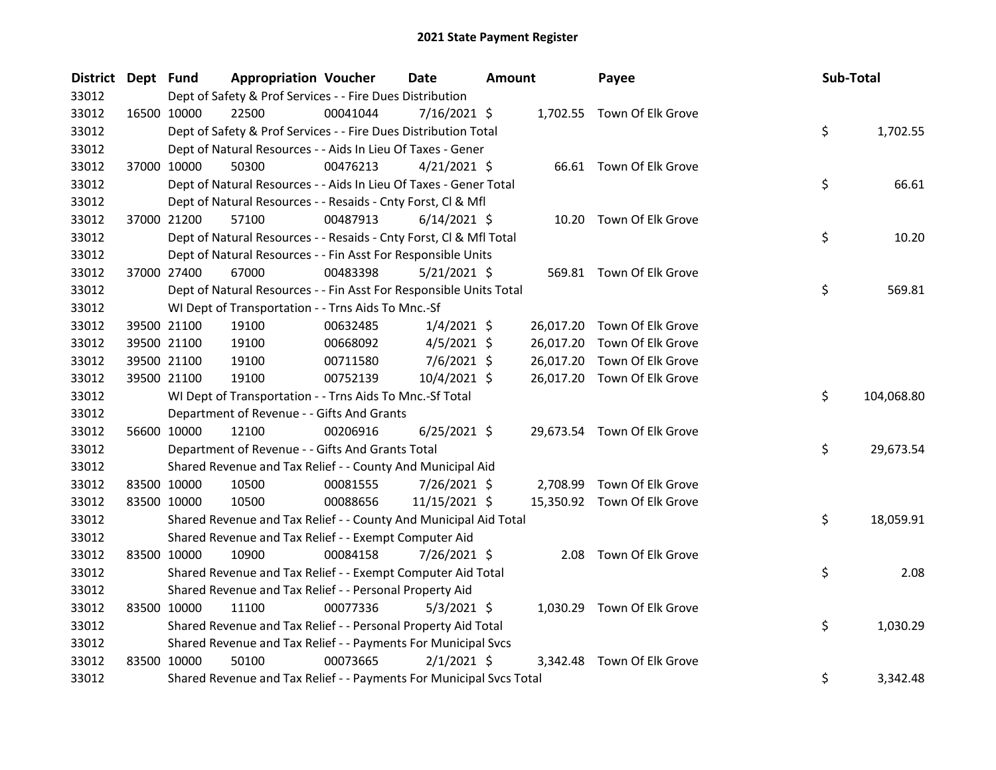| <b>District</b> | Dept Fund |                                                                     | <b>Appropriation Voucher</b> | <b>Date</b>    | <b>Amount</b> |           | Payee                       | Sub-Total |            |
|-----------------|-----------|---------------------------------------------------------------------|------------------------------|----------------|---------------|-----------|-----------------------------|-----------|------------|
| 33012           |           | Dept of Safety & Prof Services - - Fire Dues Distribution           |                              |                |               |           |                             |           |            |
| 33012           |           | 22500<br>16500 10000                                                | 00041044                     | 7/16/2021 \$   |               |           | 1,702.55 Town Of Elk Grove  |           |            |
| 33012           |           | Dept of Safety & Prof Services - - Fire Dues Distribution Total     |                              |                |               |           |                             | \$        | 1,702.55   |
| 33012           |           | Dept of Natural Resources - - Aids In Lieu Of Taxes - Gener         |                              |                |               |           |                             |           |            |
| 33012           |           | 37000 10000<br>50300                                                | 00476213                     | $4/21/2021$ \$ |               |           | 66.61 Town Of Elk Grove     |           |            |
| 33012           |           | Dept of Natural Resources - - Aids In Lieu Of Taxes - Gener Total   |                              |                |               |           |                             | \$        | 66.61      |
| 33012           |           | Dept of Natural Resources - - Resaids - Cnty Forst, Cl & Mfl        |                              |                |               |           |                             |           |            |
| 33012           |           | 37000 21200<br>57100                                                | 00487913                     | $6/14/2021$ \$ |               |           | 10.20 Town Of Elk Grove     |           |            |
| 33012           |           | Dept of Natural Resources - - Resaids - Cnty Forst, CI & Mfl Total  |                              |                |               |           |                             | \$        | 10.20      |
| 33012           |           | Dept of Natural Resources - - Fin Asst For Responsible Units        |                              |                |               |           |                             |           |            |
| 33012           |           | 67000<br>37000 27400                                                | 00483398                     | $5/21/2021$ \$ |               |           | 569.81 Town Of Elk Grove    |           |            |
| 33012           |           | Dept of Natural Resources - - Fin Asst For Responsible Units Total  |                              |                |               |           |                             | \$        | 569.81     |
| 33012           |           | WI Dept of Transportation - - Trns Aids To Mnc.-Sf                  |                              |                |               |           |                             |           |            |
| 33012           |           | 39500 21100<br>19100                                                | 00632485                     | $1/4/2021$ \$  |               | 26,017.20 | Town Of Elk Grove           |           |            |
| 33012           |           | 39500 21100<br>19100                                                | 00668092                     | $4/5/2021$ \$  |               | 26,017.20 | Town Of Elk Grove           |           |            |
| 33012           |           | 39500 21100<br>19100                                                | 00711580                     | $7/6/2021$ \$  |               | 26,017.20 | Town Of Elk Grove           |           |            |
| 33012           |           | 39500 21100<br>19100                                                | 00752139                     | 10/4/2021 \$   |               |           | 26,017.20 Town Of Elk Grove |           |            |
| 33012           |           | WI Dept of Transportation - - Trns Aids To Mnc.-Sf Total            |                              |                |               |           |                             | \$        | 104,068.80 |
| 33012           |           | Department of Revenue - - Gifts And Grants                          |                              |                |               |           |                             |           |            |
| 33012           |           | 12100<br>56600 10000                                                | 00206916                     | $6/25/2021$ \$ |               |           | 29,673.54 Town Of Elk Grove |           |            |
| 33012           |           | Department of Revenue - - Gifts And Grants Total                    |                              |                |               |           |                             | \$        | 29,673.54  |
| 33012           |           | Shared Revenue and Tax Relief - - County And Municipal Aid          |                              |                |               |           |                             |           |            |
| 33012           |           | 83500 10000<br>10500                                                | 00081555                     | $7/26/2021$ \$ |               |           | 2,708.99 Town Of Elk Grove  |           |            |
| 33012           |           | 83500 10000<br>10500                                                | 00088656                     | 11/15/2021 \$  |               |           | 15,350.92 Town Of Elk Grove |           |            |
| 33012           |           | Shared Revenue and Tax Relief - - County And Municipal Aid Total    |                              |                |               |           |                             | \$        | 18,059.91  |
| 33012           |           | Shared Revenue and Tax Relief - - Exempt Computer Aid               |                              |                |               |           |                             |           |            |
| 33012           |           | 83500 10000<br>10900                                                | 00084158                     | 7/26/2021 \$   |               |           | 2.08 Town Of Elk Grove      |           |            |
| 33012           |           | Shared Revenue and Tax Relief - - Exempt Computer Aid Total         |                              |                |               |           |                             | \$        | 2.08       |
| 33012           |           | Shared Revenue and Tax Relief - - Personal Property Aid             |                              |                |               |           |                             |           |            |
| 33012           |           | 83500 10000<br>11100                                                | 00077336                     | $5/3/2021$ \$  |               |           | 1,030.29 Town Of Elk Grove  |           |            |
| 33012           |           | Shared Revenue and Tax Relief - - Personal Property Aid Total       |                              |                |               |           |                             | \$        | 1,030.29   |
| 33012           |           | Shared Revenue and Tax Relief - - Payments For Municipal Svcs       |                              |                |               |           |                             |           |            |
| 33012           |           | 83500 10000<br>50100                                                | 00073665                     | $2/1/2021$ \$  |               |           | 3,342.48 Town Of Elk Grove  |           |            |
| 33012           |           | Shared Revenue and Tax Relief - - Payments For Municipal Svcs Total |                              |                |               |           |                             | \$        | 3,342.48   |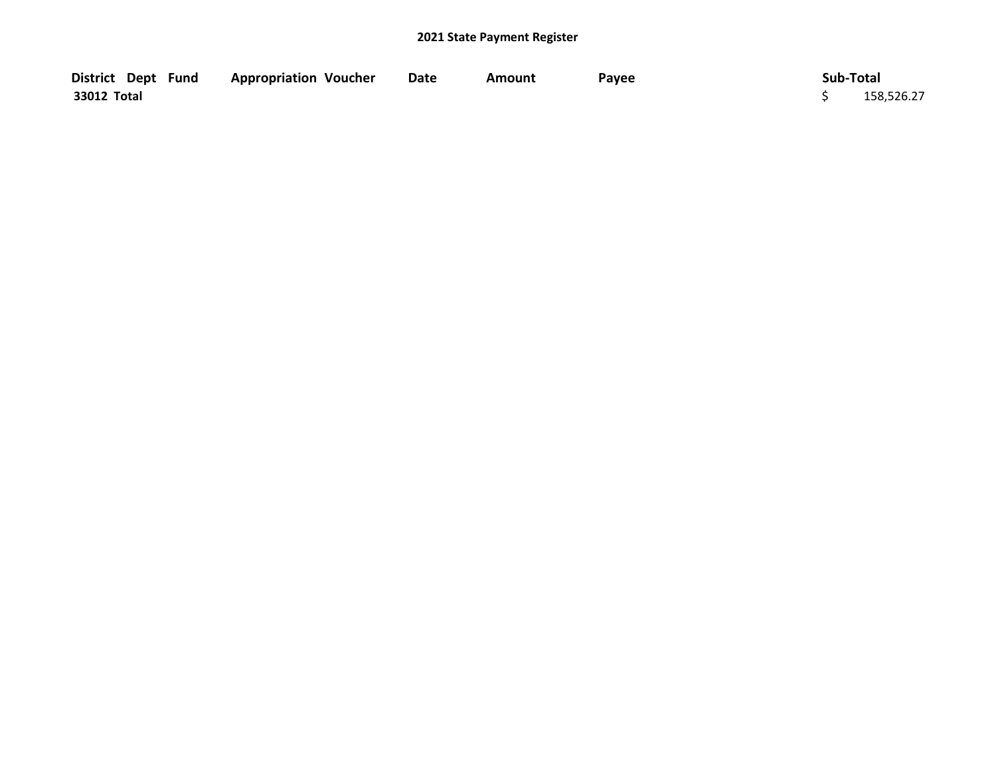| District Dept Fund | <b>Appropriation Voucher</b> | <b>Date</b> | Amount | Payee | Sub-Total  |
|--------------------|------------------------------|-------------|--------|-------|------------|
| 33012 Total        |                              |             |        |       | 158,526.27 |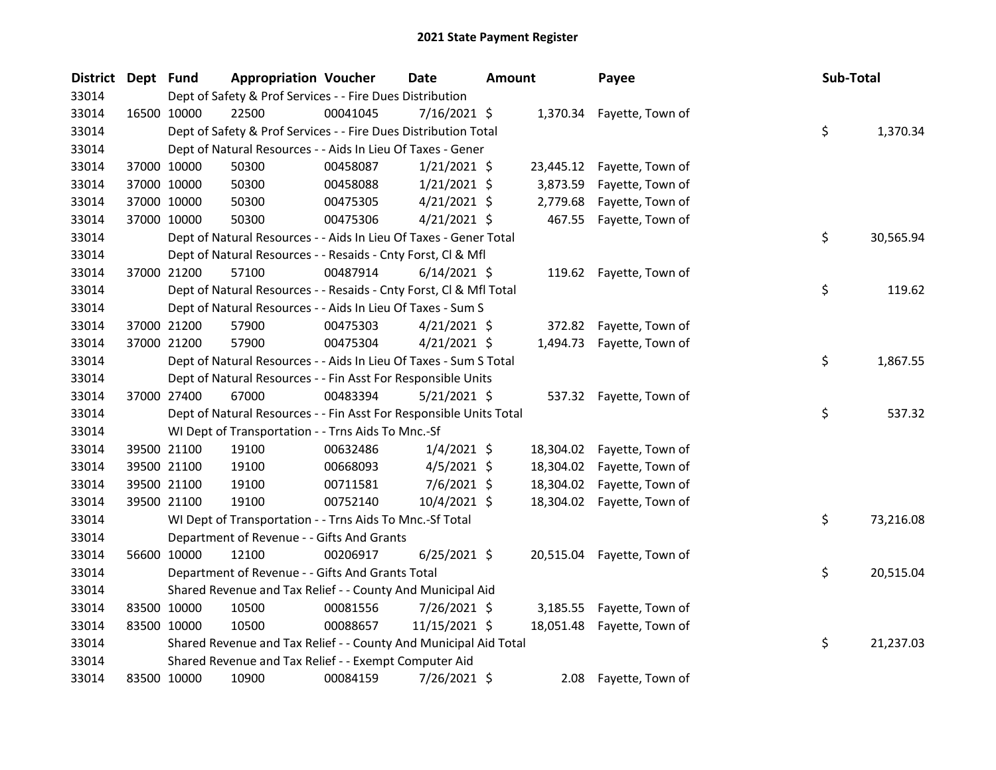| <b>District</b> | Dept Fund |             | <b>Appropriation Voucher</b>                                       |          | <b>Date</b>    | <b>Amount</b> |           | Payee                      | Sub-Total |           |
|-----------------|-----------|-------------|--------------------------------------------------------------------|----------|----------------|---------------|-----------|----------------------------|-----------|-----------|
| 33014           |           |             | Dept of Safety & Prof Services - - Fire Dues Distribution          |          |                |               |           |                            |           |           |
| 33014           |           | 16500 10000 | 22500                                                              | 00041045 | $7/16/2021$ \$ |               |           | 1,370.34 Fayette, Town of  |           |           |
| 33014           |           |             | Dept of Safety & Prof Services - - Fire Dues Distribution Total    |          |                |               |           |                            | \$        | 1,370.34  |
| 33014           |           |             | Dept of Natural Resources - - Aids In Lieu Of Taxes - Gener        |          |                |               |           |                            |           |           |
| 33014           |           | 37000 10000 | 50300                                                              | 00458087 | $1/21/2021$ \$ |               |           | 23,445.12 Fayette, Town of |           |           |
| 33014           |           | 37000 10000 | 50300                                                              | 00458088 | $1/21/2021$ \$ |               | 3,873.59  | Fayette, Town of           |           |           |
| 33014           |           | 37000 10000 | 50300                                                              | 00475305 | $4/21/2021$ \$ |               | 2,779.68  | Fayette, Town of           |           |           |
| 33014           |           | 37000 10000 | 50300                                                              | 00475306 | $4/21/2021$ \$ |               | 467.55    | Fayette, Town of           |           |           |
| 33014           |           |             | Dept of Natural Resources - - Aids In Lieu Of Taxes - Gener Total  |          |                |               |           |                            | \$        | 30,565.94 |
| 33014           |           |             | Dept of Natural Resources - - Resaids - Cnty Forst, Cl & Mfl       |          |                |               |           |                            |           |           |
| 33014           |           | 37000 21200 | 57100                                                              | 00487914 | $6/14/2021$ \$ |               |           | 119.62 Fayette, Town of    |           |           |
| 33014           |           |             | Dept of Natural Resources - - Resaids - Cnty Forst, Cl & Mfl Total |          |                |               |           |                            | \$        | 119.62    |
| 33014           |           |             | Dept of Natural Resources - - Aids In Lieu Of Taxes - Sum S        |          |                |               |           |                            |           |           |
| 33014           |           | 37000 21200 | 57900                                                              | 00475303 | $4/21/2021$ \$ |               |           | 372.82 Fayette, Town of    |           |           |
| 33014           |           | 37000 21200 | 57900                                                              | 00475304 | $4/21/2021$ \$ |               |           | 1,494.73 Fayette, Town of  |           |           |
| 33014           |           |             | Dept of Natural Resources - - Aids In Lieu Of Taxes - Sum S Total  |          |                |               |           |                            | \$        | 1,867.55  |
| 33014           |           |             | Dept of Natural Resources - - Fin Asst For Responsible Units       |          |                |               |           |                            |           |           |
| 33014           |           | 37000 27400 | 67000                                                              | 00483394 | $5/21/2021$ \$ |               |           | 537.32 Fayette, Town of    |           |           |
| 33014           |           |             | Dept of Natural Resources - - Fin Asst For Responsible Units Total |          |                |               |           |                            | \$        | 537.32    |
| 33014           |           |             | WI Dept of Transportation - - Trns Aids To Mnc.-Sf                 |          |                |               |           |                            |           |           |
| 33014           |           | 39500 21100 | 19100                                                              | 00632486 | $1/4/2021$ \$  |               |           | 18,304.02 Fayette, Town of |           |           |
| 33014           |           | 39500 21100 | 19100                                                              | 00668093 | $4/5/2021$ \$  |               | 18,304.02 | Fayette, Town of           |           |           |
| 33014           |           | 39500 21100 | 19100                                                              | 00711581 | $7/6/2021$ \$  |               |           | 18,304.02 Fayette, Town of |           |           |
| 33014           |           | 39500 21100 | 19100                                                              | 00752140 | $10/4/2021$ \$ |               |           | 18,304.02 Fayette, Town of |           |           |
| 33014           |           |             | WI Dept of Transportation - - Trns Aids To Mnc.-Sf Total           |          |                |               |           |                            | \$        | 73,216.08 |
| 33014           |           |             | Department of Revenue - - Gifts And Grants                         |          |                |               |           |                            |           |           |
| 33014           |           | 56600 10000 | 12100                                                              | 00206917 | $6/25/2021$ \$ |               |           | 20,515.04 Fayette, Town of |           |           |
| 33014           |           |             | Department of Revenue - - Gifts And Grants Total                   |          |                |               |           |                            | \$        | 20,515.04 |
| 33014           |           |             | Shared Revenue and Tax Relief - - County And Municipal Aid         |          |                |               |           |                            |           |           |
| 33014           |           | 83500 10000 | 10500                                                              | 00081556 | 7/26/2021 \$   |               | 3,185.55  | Fayette, Town of           |           |           |
| 33014           |           | 83500 10000 | 10500                                                              | 00088657 | 11/15/2021 \$  |               | 18,051.48 | Fayette, Town of           |           |           |
| 33014           |           |             | Shared Revenue and Tax Relief - - County And Municipal Aid Total   |          |                |               |           |                            | \$        | 21,237.03 |
| 33014           |           |             | Shared Revenue and Tax Relief - - Exempt Computer Aid              |          |                |               |           |                            |           |           |
| 33014           |           | 83500 10000 | 10900                                                              | 00084159 | 7/26/2021 \$   |               |           | 2.08 Fayette, Town of      |           |           |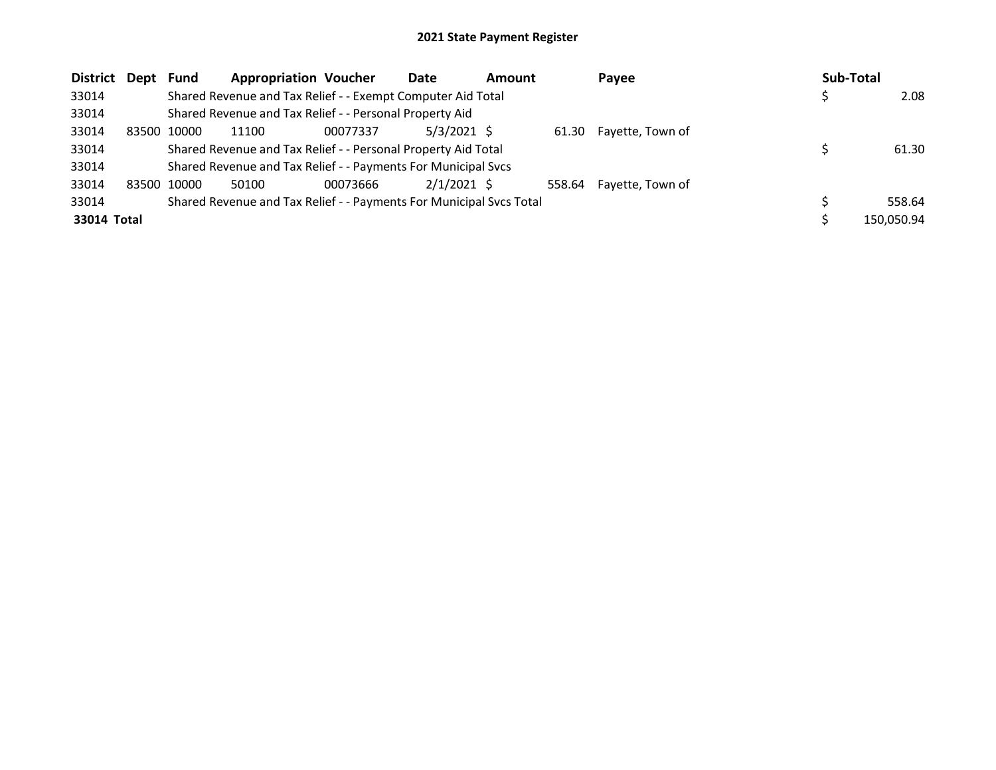| District Dept |       | Fund  | <b>Appropriation Voucher</b>                                        |          | Date          | <b>Amount</b> | Payee                   | Sub-Total  |
|---------------|-------|-------|---------------------------------------------------------------------|----------|---------------|---------------|-------------------------|------------|
| 33014         |       |       | Shared Revenue and Tax Relief - - Exempt Computer Aid Total         |          |               |               |                         | 2.08       |
| 33014         |       |       | Shared Revenue and Tax Relief - - Personal Property Aid             |          |               |               |                         |            |
| 33014         | 83500 | 10000 | 11100                                                               | 00077337 | $5/3/2021$ \$ |               | 61.30 Fayette, Town of  |            |
| 33014         |       |       | Shared Revenue and Tax Relief - - Personal Property Aid Total       |          |               |               |                         | 61.30      |
| 33014         |       |       | Shared Revenue and Tax Relief - - Payments For Municipal Svcs       |          |               |               |                         |            |
| 33014         | 83500 | 10000 | 50100                                                               | 00073666 | $2/1/2021$ \$ |               | 558.64 Fayette, Town of |            |
| 33014         |       |       | Shared Revenue and Tax Relief - - Payments For Municipal Svcs Total |          |               |               |                         | 558.64     |
| 33014 Total   |       |       |                                                                     |          |               |               |                         | 150,050.94 |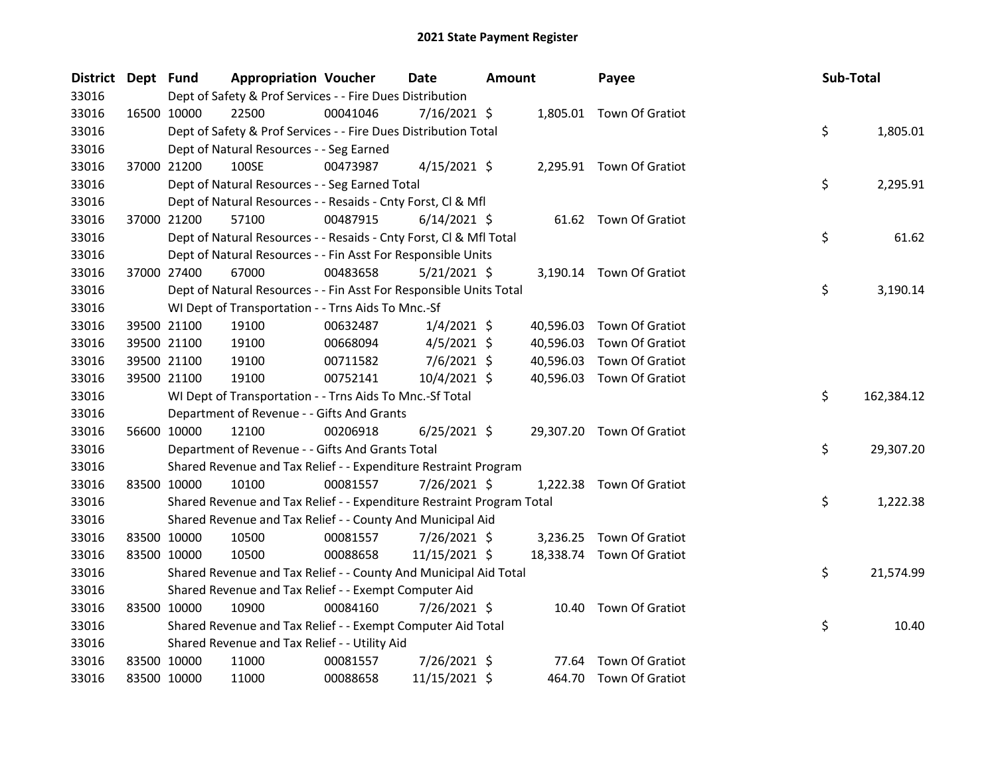| District Dept Fund |             |             | <b>Appropriation Voucher</b>                                          |          | <b>Date</b>    | <b>Amount</b> |           | Payee                     | Sub-Total |            |
|--------------------|-------------|-------------|-----------------------------------------------------------------------|----------|----------------|---------------|-----------|---------------------------|-----------|------------|
| 33016              |             |             | Dept of Safety & Prof Services - - Fire Dues Distribution             |          |                |               |           |                           |           |            |
| 33016              |             | 16500 10000 | 22500                                                                 | 00041046 | $7/16/2021$ \$ |               |           | 1,805.01 Town Of Gratiot  |           |            |
| 33016              |             |             | Dept of Safety & Prof Services - - Fire Dues Distribution Total       |          |                |               |           |                           | \$        | 1,805.01   |
| 33016              |             |             | Dept of Natural Resources - - Seg Earned                              |          |                |               |           |                           |           |            |
| 33016              |             | 37000 21200 | 100SE                                                                 | 00473987 | $4/15/2021$ \$ |               |           | 2,295.91 Town Of Gratiot  |           |            |
| 33016              |             |             | Dept of Natural Resources - - Seg Earned Total                        |          |                |               |           |                           | \$        | 2,295.91   |
| 33016              |             |             | Dept of Natural Resources - - Resaids - Cnty Forst, Cl & Mfl          |          |                |               |           |                           |           |            |
| 33016              |             | 37000 21200 | 57100                                                                 | 00487915 | $6/14/2021$ \$ |               |           | 61.62 Town Of Gratiot     |           |            |
| 33016              |             |             | Dept of Natural Resources - - Resaids - Cnty Forst, Cl & Mfl Total    |          |                |               |           |                           | \$        | 61.62      |
| 33016              |             |             | Dept of Natural Resources - - Fin Asst For Responsible Units          |          |                |               |           |                           |           |            |
| 33016              |             | 37000 27400 | 67000                                                                 | 00483658 | $5/21/2021$ \$ |               |           | 3,190.14 Town Of Gratiot  |           |            |
| 33016              |             |             | Dept of Natural Resources - - Fin Asst For Responsible Units Total    |          |                |               |           |                           | \$        | 3,190.14   |
| 33016              |             |             | WI Dept of Transportation - - Trns Aids To Mnc.-Sf                    |          |                |               |           |                           |           |            |
| 33016              |             | 39500 21100 | 19100                                                                 | 00632487 | $1/4/2021$ \$  |               | 40,596.03 | Town Of Gratiot           |           |            |
| 33016              |             | 39500 21100 | 19100                                                                 | 00668094 | $4/5/2021$ \$  |               | 40,596.03 | Town Of Gratiot           |           |            |
| 33016              |             | 39500 21100 | 19100                                                                 | 00711582 | $7/6/2021$ \$  |               | 40,596.03 | Town Of Gratiot           |           |            |
| 33016              |             | 39500 21100 | 19100                                                                 | 00752141 | 10/4/2021 \$   |               |           | 40,596.03 Town Of Gratiot |           |            |
| 33016              |             |             | WI Dept of Transportation - - Trns Aids To Mnc.-Sf Total              |          |                |               |           |                           | \$        | 162,384.12 |
| 33016              |             |             | Department of Revenue - - Gifts And Grants                            |          |                |               |           |                           |           |            |
| 33016              |             | 56600 10000 | 12100                                                                 | 00206918 | $6/25/2021$ \$ |               |           | 29,307.20 Town Of Gratiot |           |            |
| 33016              |             |             | Department of Revenue - - Gifts And Grants Total                      |          |                |               |           |                           | \$        | 29,307.20  |
| 33016              |             |             | Shared Revenue and Tax Relief - - Expenditure Restraint Program       |          |                |               |           |                           |           |            |
| 33016              |             | 83500 10000 | 10100                                                                 | 00081557 | 7/26/2021 \$   |               |           | 1,222.38 Town Of Gratiot  |           |            |
| 33016              |             |             | Shared Revenue and Tax Relief - - Expenditure Restraint Program Total |          |                |               |           |                           | \$        | 1,222.38   |
| 33016              |             |             | Shared Revenue and Tax Relief - - County And Municipal Aid            |          |                |               |           |                           |           |            |
| 33016              |             | 83500 10000 | 10500                                                                 | 00081557 | 7/26/2021 \$   |               |           | 3,236.25 Town Of Gratiot  |           |            |
| 33016              |             | 83500 10000 | 10500                                                                 | 00088658 | 11/15/2021 \$  |               |           | 18,338.74 Town Of Gratiot |           |            |
| 33016              |             |             | Shared Revenue and Tax Relief - - County And Municipal Aid Total      |          |                |               |           |                           | \$        | 21,574.99  |
| 33016              |             |             | Shared Revenue and Tax Relief - - Exempt Computer Aid                 |          |                |               |           |                           |           |            |
| 33016              | 83500 10000 |             | 10900                                                                 | 00084160 | 7/26/2021 \$   |               |           | 10.40 Town Of Gratiot     |           |            |
| 33016              |             |             | Shared Revenue and Tax Relief - - Exempt Computer Aid Total           |          |                |               |           |                           | \$        | 10.40      |
| 33016              |             |             | Shared Revenue and Tax Relief - - Utility Aid                         |          |                |               |           |                           |           |            |
| 33016              |             | 83500 10000 | 11000                                                                 | 00081557 | 7/26/2021 \$   |               | 77.64     | Town Of Gratiot           |           |            |
| 33016              | 83500 10000 |             | 11000                                                                 | 00088658 | 11/15/2021 \$  |               |           | 464.70 Town Of Gratiot    |           |            |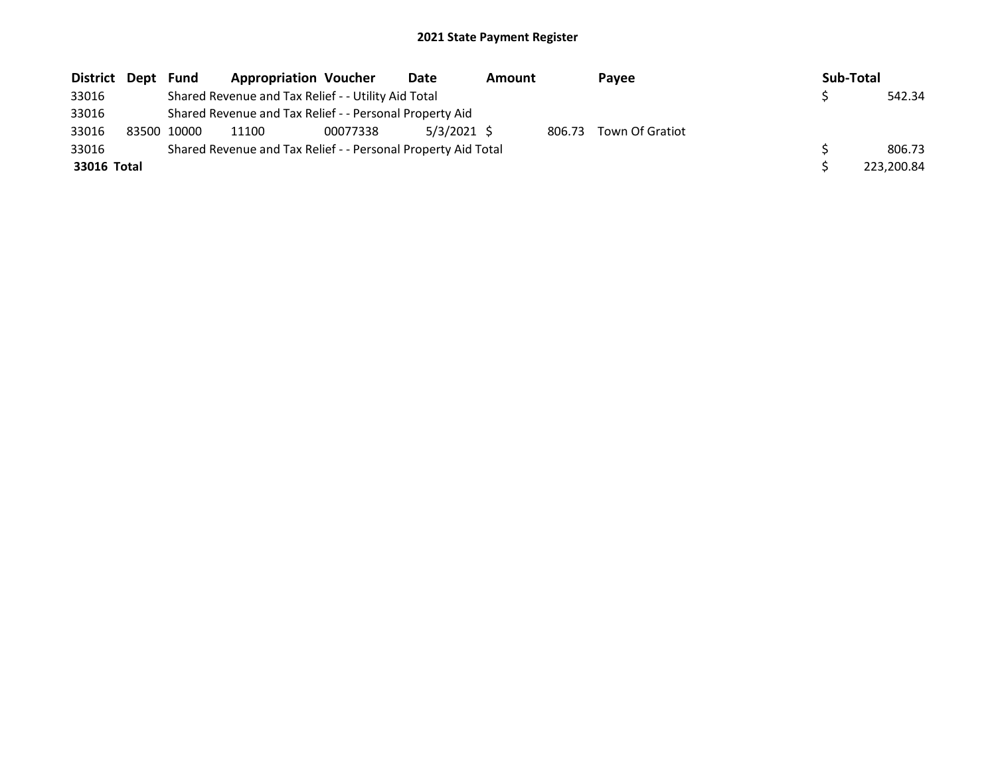| District Dept | Fund        | <b>Appropriation Voucher</b>                                  |          | Date          | Amount |        | Payee           | Sub-Total |            |
|---------------|-------------|---------------------------------------------------------------|----------|---------------|--------|--------|-----------------|-----------|------------|
| 33016         |             | Shared Revenue and Tax Relief - - Utility Aid Total           |          |               |        |        |                 |           | 542.34     |
| 33016         |             | Shared Revenue and Tax Relief - - Personal Property Aid       |          |               |        |        |                 |           |            |
| 33016         | 83500 10000 | 11100                                                         | 00077338 | $5/3/2021$ \$ |        | 806.73 | Town Of Gratiot |           |            |
| 33016         |             | Shared Revenue and Tax Relief - - Personal Property Aid Total |          |               |        |        |                 |           | 806.73     |
| 33016 Total   |             |                                                               |          |               |        |        |                 |           | 223,200.84 |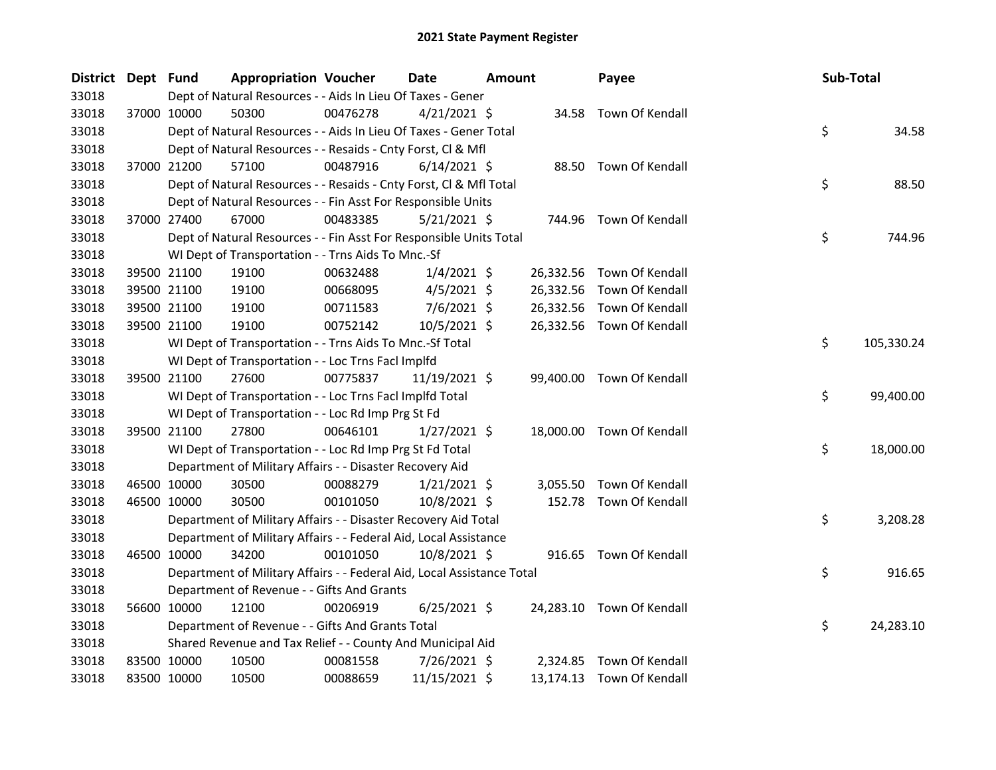| District Dept Fund |             | <b>Appropriation Voucher</b>                                           |          | Date           | <b>Amount</b> |           | Payee                     | Sub-Total |            |
|--------------------|-------------|------------------------------------------------------------------------|----------|----------------|---------------|-----------|---------------------------|-----------|------------|
| 33018              |             | Dept of Natural Resources - - Aids In Lieu Of Taxes - Gener            |          |                |               |           |                           |           |            |
| 33018              | 37000 10000 | 50300                                                                  | 00476278 | $4/21/2021$ \$ |               |           | 34.58 Town Of Kendall     |           |            |
| 33018              |             | Dept of Natural Resources - - Aids In Lieu Of Taxes - Gener Total      |          |                |               |           |                           | \$        | 34.58      |
| 33018              |             | Dept of Natural Resources - - Resaids - Cnty Forst, Cl & Mfl           |          |                |               |           |                           |           |            |
| 33018              | 37000 21200 | 57100                                                                  | 00487916 | $6/14/2021$ \$ |               |           | 88.50 Town Of Kendall     |           |            |
| 33018              |             | Dept of Natural Resources - - Resaids - Cnty Forst, Cl & Mfl Total     |          |                |               |           |                           | \$        | 88.50      |
| 33018              |             | Dept of Natural Resources - - Fin Asst For Responsible Units           |          |                |               |           |                           |           |            |
| 33018              | 37000 27400 | 67000                                                                  | 00483385 | $5/21/2021$ \$ |               |           | 744.96 Town Of Kendall    |           |            |
| 33018              |             | Dept of Natural Resources - - Fin Asst For Responsible Units Total     |          |                |               |           |                           | \$        | 744.96     |
| 33018              |             | WI Dept of Transportation - - Trns Aids To Mnc.-Sf                     |          |                |               |           |                           |           |            |
| 33018              | 39500 21100 | 19100                                                                  | 00632488 | $1/4/2021$ \$  |               | 26,332.56 | Town Of Kendall           |           |            |
| 33018              | 39500 21100 | 19100                                                                  | 00668095 | $4/5/2021$ \$  |               | 26,332.56 | Town Of Kendall           |           |            |
| 33018              | 39500 21100 | 19100                                                                  | 00711583 | $7/6/2021$ \$  |               | 26,332.56 | Town Of Kendall           |           |            |
| 33018              | 39500 21100 | 19100                                                                  | 00752142 | 10/5/2021 \$   |               |           | 26,332.56 Town Of Kendall |           |            |
| 33018              |             | WI Dept of Transportation - - Trns Aids To Mnc.-Sf Total               |          |                |               |           |                           | \$        | 105,330.24 |
| 33018              |             | WI Dept of Transportation - - Loc Trns FacI Implfd                     |          |                |               |           |                           |           |            |
| 33018              | 39500 21100 | 27600                                                                  | 00775837 | 11/19/2021 \$  |               |           | 99,400.00 Town Of Kendall |           |            |
| 33018              |             | WI Dept of Transportation - - Loc Trns Facl Implfd Total               |          |                |               |           |                           | \$        | 99,400.00  |
| 33018              |             | WI Dept of Transportation - - Loc Rd Imp Prg St Fd                     |          |                |               |           |                           |           |            |
| 33018              | 39500 21100 | 27800                                                                  | 00646101 | $1/27/2021$ \$ |               |           | 18,000.00 Town Of Kendall |           |            |
| 33018              |             | WI Dept of Transportation - - Loc Rd Imp Prg St Fd Total               |          |                |               |           |                           | \$        | 18,000.00  |
| 33018              |             | Department of Military Affairs - - Disaster Recovery Aid               |          |                |               |           |                           |           |            |
| 33018              | 46500 10000 | 30500                                                                  | 00088279 | $1/21/2021$ \$ |               |           | 3,055.50 Town Of Kendall  |           |            |
| 33018              | 46500 10000 | 30500                                                                  | 00101050 | 10/8/2021 \$   |               |           | 152.78 Town Of Kendall    |           |            |
| 33018              |             | Department of Military Affairs - - Disaster Recovery Aid Total         |          |                |               |           |                           | \$        | 3,208.28   |
| 33018              |             | Department of Military Affairs - - Federal Aid, Local Assistance       |          |                |               |           |                           |           |            |
| 33018              | 46500 10000 | 34200                                                                  | 00101050 | 10/8/2021 \$   |               |           | 916.65 Town Of Kendall    |           |            |
| 33018              |             | Department of Military Affairs - - Federal Aid, Local Assistance Total |          |                |               |           |                           | \$        | 916.65     |
| 33018              |             | Department of Revenue - - Gifts And Grants                             |          |                |               |           |                           |           |            |
| 33018              | 56600 10000 | 12100                                                                  | 00206919 | $6/25/2021$ \$ |               |           | 24,283.10 Town Of Kendall |           |            |
| 33018              |             | Department of Revenue - - Gifts And Grants Total                       |          |                |               |           |                           | \$        | 24,283.10  |
| 33018              |             | Shared Revenue and Tax Relief - - County And Municipal Aid             |          |                |               |           |                           |           |            |
| 33018              | 83500 10000 | 10500                                                                  | 00081558 | 7/26/2021 \$   |               |           | 2,324.85 Town Of Kendall  |           |            |
| 33018              | 83500 10000 | 10500                                                                  | 00088659 | 11/15/2021 \$  |               |           | 13,174.13 Town Of Kendall |           |            |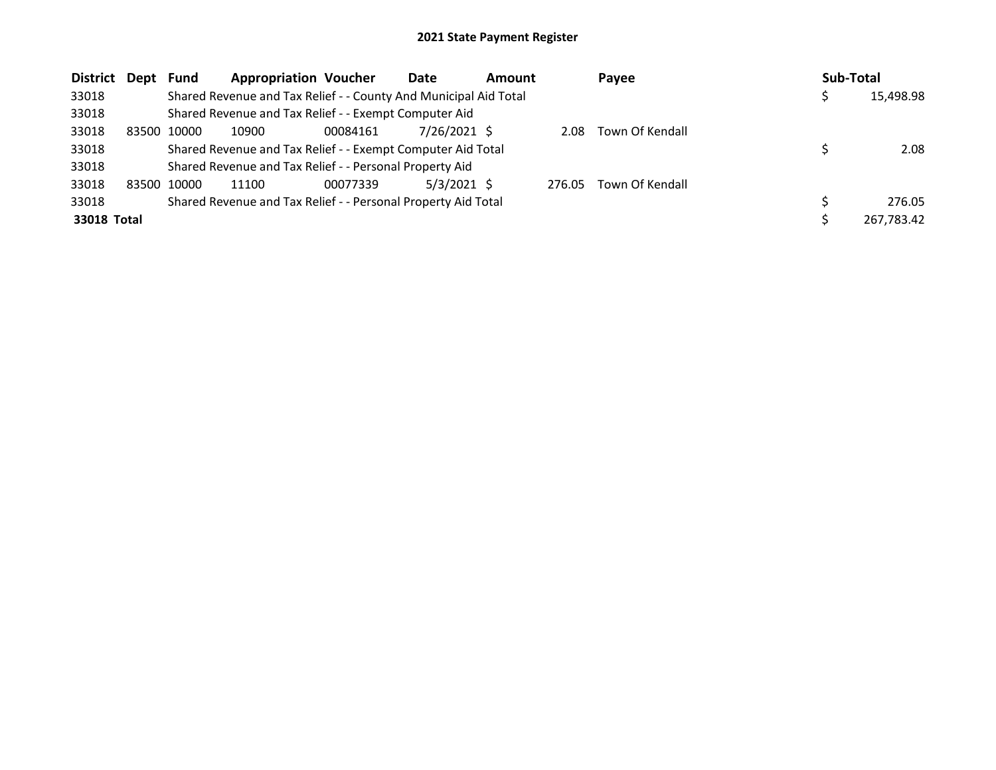| District Dept |       | Fund  | <b>Appropriation Voucher</b>                                     |          | Date          | <b>Amount</b> |        | Payee           | Sub-Total |            |
|---------------|-------|-------|------------------------------------------------------------------|----------|---------------|---------------|--------|-----------------|-----------|------------|
| 33018         |       |       | Shared Revenue and Tax Relief - - County And Municipal Aid Total |          |               |               |        |                 |           | 15,498.98  |
| 33018         |       |       | Shared Revenue and Tax Relief - - Exempt Computer Aid            |          |               |               |        |                 |           |            |
| 33018         | 83500 | 10000 | 10900                                                            | 00084161 | 7/26/2021 \$  |               | 2.08   | Town Of Kendall |           |            |
| 33018         |       |       | Shared Revenue and Tax Relief - - Exempt Computer Aid Total      |          |               |               |        |                 |           | 2.08       |
| 33018         |       |       | Shared Revenue and Tax Relief - - Personal Property Aid          |          |               |               |        |                 |           |            |
| 33018         | 83500 | 10000 | 11100                                                            | 00077339 | $5/3/2021$ \$ |               | 276.05 | Town Of Kendall |           |            |
| 33018         |       |       | Shared Revenue and Tax Relief - - Personal Property Aid Total    |          |               |               |        |                 |           | 276.05     |
| 33018 Total   |       |       |                                                                  |          |               |               |        |                 |           | 267,783.42 |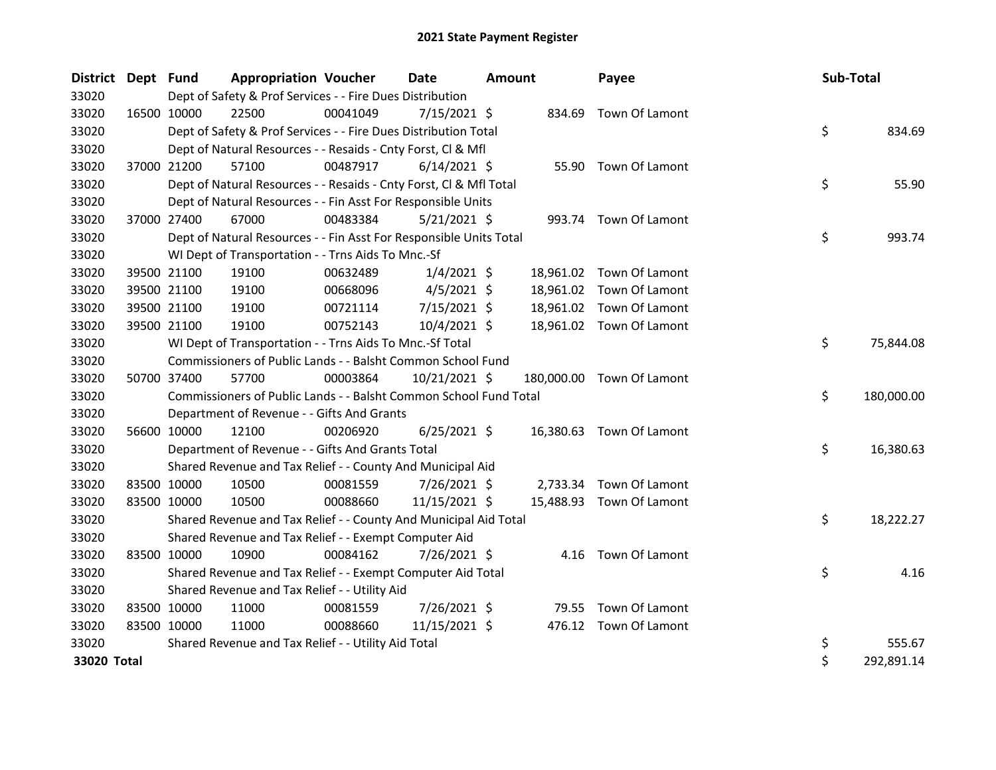| <b>District</b> | Dept Fund |             | <b>Appropriation Voucher</b>                                       |          | <b>Date</b>    | <b>Amount</b> |           | Payee                     | Sub-Total |            |
|-----------------|-----------|-------------|--------------------------------------------------------------------|----------|----------------|---------------|-----------|---------------------------|-----------|------------|
| 33020           |           |             | Dept of Safety & Prof Services - - Fire Dues Distribution          |          |                |               |           |                           |           |            |
| 33020           |           | 16500 10000 | 22500                                                              | 00041049 | $7/15/2021$ \$ |               |           | 834.69 Town Of Lamont     |           |            |
| 33020           |           |             | Dept of Safety & Prof Services - - Fire Dues Distribution Total    |          |                |               |           |                           | \$        | 834.69     |
| 33020           |           |             | Dept of Natural Resources - - Resaids - Cnty Forst, Cl & Mfl       |          |                |               |           |                           |           |            |
| 33020           |           | 37000 21200 | 57100                                                              | 00487917 | $6/14/2021$ \$ |               |           | 55.90 Town Of Lamont      |           |            |
| 33020           |           |             | Dept of Natural Resources - - Resaids - Cnty Forst, CI & Mfl Total |          |                |               |           |                           | \$        | 55.90      |
| 33020           |           |             | Dept of Natural Resources - - Fin Asst For Responsible Units       |          |                |               |           |                           |           |            |
| 33020           |           | 37000 27400 | 67000                                                              | 00483384 | $5/21/2021$ \$ |               |           | 993.74 Town Of Lamont     |           |            |
| 33020           |           |             | Dept of Natural Resources - - Fin Asst For Responsible Units Total |          |                |               |           |                           | \$        | 993.74     |
| 33020           |           |             | WI Dept of Transportation - - Trns Aids To Mnc.-Sf                 |          |                |               |           |                           |           |            |
| 33020           |           | 39500 21100 | 19100                                                              | 00632489 | $1/4/2021$ \$  |               |           | 18,961.02 Town Of Lamont  |           |            |
| 33020           |           | 39500 21100 | 19100                                                              | 00668096 | $4/5/2021$ \$  |               | 18,961.02 | Town Of Lamont            |           |            |
| 33020           |           | 39500 21100 | 19100                                                              | 00721114 | $7/15/2021$ \$ |               |           | 18,961.02 Town Of Lamont  |           |            |
| 33020           |           | 39500 21100 | 19100                                                              | 00752143 | 10/4/2021 \$   |               |           | 18,961.02 Town Of Lamont  |           |            |
| 33020           |           |             | WI Dept of Transportation - - Trns Aids To Mnc.-Sf Total           |          |                |               |           |                           | \$        | 75,844.08  |
| 33020           |           |             | Commissioners of Public Lands - - Balsht Common School Fund        |          |                |               |           |                           |           |            |
| 33020           |           | 50700 37400 | 57700                                                              | 00003864 | 10/21/2021 \$  |               |           | 180,000.00 Town Of Lamont |           |            |
| 33020           |           |             | Commissioners of Public Lands - - Balsht Common School Fund Total  |          |                |               |           |                           | \$        | 180,000.00 |
| 33020           |           |             | Department of Revenue - - Gifts And Grants                         |          |                |               |           |                           |           |            |
| 33020           |           | 56600 10000 | 12100                                                              | 00206920 | $6/25/2021$ \$ |               |           | 16,380.63 Town Of Lamont  |           |            |
| 33020           |           |             | Department of Revenue - - Gifts And Grants Total                   |          |                |               |           |                           | \$        | 16,380.63  |
| 33020           |           |             | Shared Revenue and Tax Relief - - County And Municipal Aid         |          |                |               |           |                           |           |            |
| 33020           |           | 83500 10000 | 10500                                                              | 00081559 | 7/26/2021 \$   |               | 2,733.34  | Town Of Lamont            |           |            |
| 33020           |           | 83500 10000 | 10500                                                              | 00088660 | 11/15/2021 \$  |               |           | 15,488.93 Town Of Lamont  |           |            |
| 33020           |           |             | Shared Revenue and Tax Relief - - County And Municipal Aid Total   |          |                |               |           |                           | \$        | 18,222.27  |
| 33020           |           |             | Shared Revenue and Tax Relief - - Exempt Computer Aid              |          |                |               |           |                           |           |            |
| 33020           |           | 83500 10000 | 10900                                                              | 00084162 | 7/26/2021 \$   |               |           | 4.16 Town Of Lamont       |           |            |
| 33020           |           |             | Shared Revenue and Tax Relief - - Exempt Computer Aid Total        |          |                |               |           |                           | \$        | 4.16       |
| 33020           |           |             | Shared Revenue and Tax Relief - - Utility Aid                      |          |                |               |           |                           |           |            |
| 33020           |           | 83500 10000 | 11000                                                              | 00081559 | 7/26/2021 \$   |               |           | 79.55 Town Of Lamont      |           |            |
| 33020           |           | 83500 10000 | 11000                                                              | 00088660 | 11/15/2021 \$  |               |           | 476.12 Town Of Lamont     |           |            |
| 33020           |           |             | Shared Revenue and Tax Relief - - Utility Aid Total                |          |                |               |           |                           | \$        | 555.67     |
| 33020 Total     |           |             |                                                                    |          |                |               |           |                           | \$        | 292,891.14 |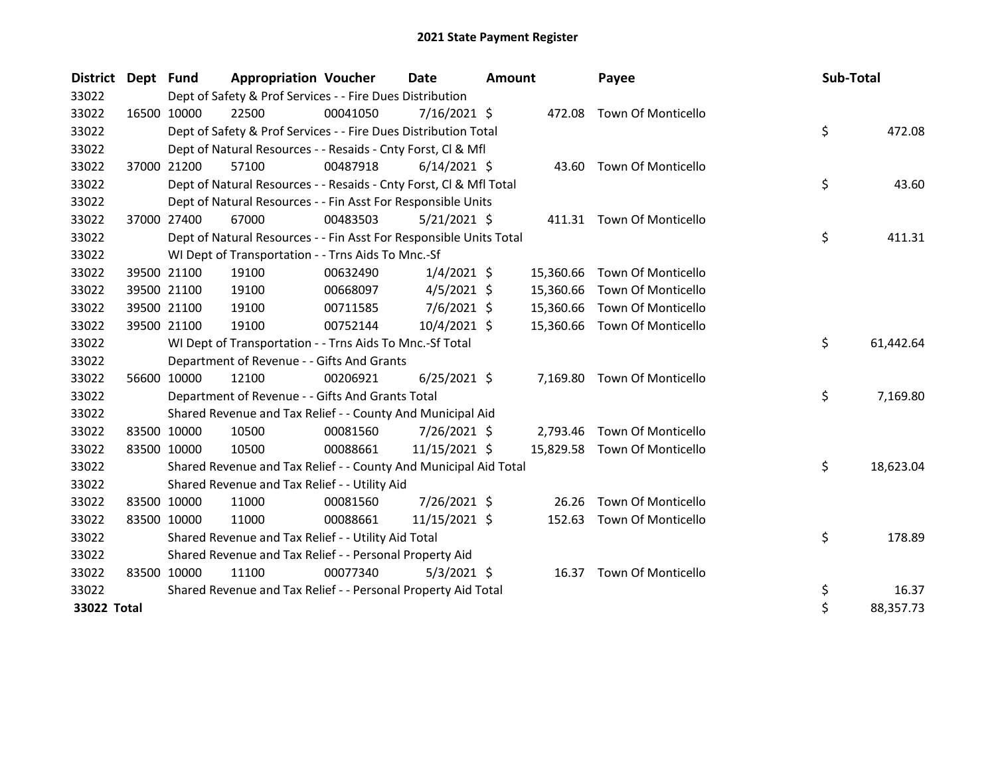| <b>District</b> | Dept Fund |             | <b>Appropriation Voucher</b>                                       |          | <b>Date</b>    | <b>Amount</b> |           | Payee                        | Sub-Total |           |
|-----------------|-----------|-------------|--------------------------------------------------------------------|----------|----------------|---------------|-----------|------------------------------|-----------|-----------|
| 33022           |           |             | Dept of Safety & Prof Services - - Fire Dues Distribution          |          |                |               |           |                              |           |           |
| 33022           |           | 16500 10000 | 22500                                                              | 00041050 | $7/16/2021$ \$ |               | 472.08    | <b>Town Of Monticello</b>    |           |           |
| 33022           |           |             | Dept of Safety & Prof Services - - Fire Dues Distribution Total    |          |                |               |           |                              | \$        | 472.08    |
| 33022           |           |             | Dept of Natural Resources - - Resaids - Cnty Forst, Cl & Mfl       |          |                |               |           |                              |           |           |
| 33022           |           | 37000 21200 | 57100                                                              | 00487918 | $6/14/2021$ \$ |               |           | 43.60 Town Of Monticello     |           |           |
| 33022           |           |             | Dept of Natural Resources - - Resaids - Cnty Forst, CI & Mfl Total |          |                |               |           |                              | \$        | 43.60     |
| 33022           |           |             | Dept of Natural Resources - - Fin Asst For Responsible Units       |          |                |               |           |                              |           |           |
| 33022           |           | 37000 27400 | 67000                                                              | 00483503 | $5/21/2021$ \$ |               |           | 411.31 Town Of Monticello    |           |           |
| 33022           |           |             | Dept of Natural Resources - - Fin Asst For Responsible Units Total |          |                |               |           |                              | \$        | 411.31    |
| 33022           |           |             | WI Dept of Transportation - - Trns Aids To Mnc.-Sf                 |          |                |               |           |                              |           |           |
| 33022           |           | 39500 21100 | 19100                                                              | 00632490 | $1/4/2021$ \$  |               | 15,360.66 | Town Of Monticello           |           |           |
| 33022           |           | 39500 21100 | 19100                                                              | 00668097 | $4/5/2021$ \$  |               | 15,360.66 | Town Of Monticello           |           |           |
| 33022           |           | 39500 21100 | 19100                                                              | 00711585 | 7/6/2021 \$    |               | 15,360.66 | Town Of Monticello           |           |           |
| 33022           |           | 39500 21100 | 19100                                                              | 00752144 | 10/4/2021 \$   |               | 15,360.66 | <b>Town Of Monticello</b>    |           |           |
| 33022           |           |             | WI Dept of Transportation - - Trns Aids To Mnc.-Sf Total           |          |                |               |           |                              | \$        | 61,442.64 |
| 33022           |           |             | Department of Revenue - - Gifts And Grants                         |          |                |               |           |                              |           |           |
| 33022           |           | 56600 10000 | 12100                                                              | 00206921 | $6/25/2021$ \$ |               | 7,169.80  | Town Of Monticello           |           |           |
| 33022           |           |             | Department of Revenue - - Gifts And Grants Total                   |          |                |               |           |                              | \$        | 7,169.80  |
| 33022           |           |             | Shared Revenue and Tax Relief - - County And Municipal Aid         |          |                |               |           |                              |           |           |
| 33022           |           | 83500 10000 | 10500                                                              | 00081560 | 7/26/2021 \$   |               | 2,793.46  | <b>Town Of Monticello</b>    |           |           |
| 33022           |           | 83500 10000 | 10500                                                              | 00088661 | 11/15/2021 \$  |               |           | 15,829.58 Town Of Monticello |           |           |
| 33022           |           |             | Shared Revenue and Tax Relief - - County And Municipal Aid Total   |          |                |               |           |                              | \$        | 18,623.04 |
| 33022           |           |             | Shared Revenue and Tax Relief - - Utility Aid                      |          |                |               |           |                              |           |           |
| 33022           |           | 83500 10000 | 11000                                                              | 00081560 | 7/26/2021 \$   |               | 26.26     | Town Of Monticello           |           |           |
| 33022           |           | 83500 10000 | 11000                                                              | 00088661 | 11/15/2021 \$  |               | 152.63    | <b>Town Of Monticello</b>    |           |           |
| 33022           |           |             | Shared Revenue and Tax Relief - - Utility Aid Total                |          |                |               |           |                              | \$        | 178.89    |
| 33022           |           |             | Shared Revenue and Tax Relief - - Personal Property Aid            |          |                |               |           |                              |           |           |
| 33022           |           | 83500 10000 | 11100                                                              | 00077340 | $5/3/2021$ \$  |               |           | 16.37 Town Of Monticello     |           |           |
| 33022           |           |             | Shared Revenue and Tax Relief - - Personal Property Aid Total      |          |                |               |           |                              | \$        | 16.37     |
| 33022 Total     |           |             |                                                                    |          |                |               |           |                              | \$        | 88,357.73 |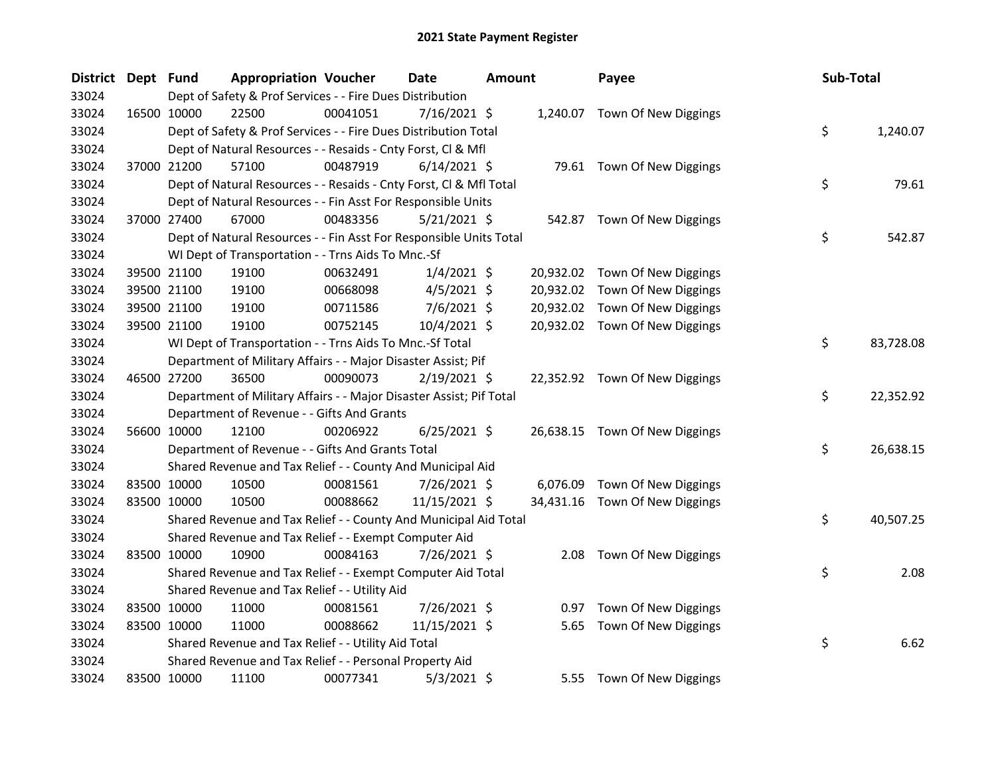| <b>District</b> | Dept Fund |             | <b>Appropriation Voucher</b>                                        |          | <b>Date</b>    | Amount |           | Payee                          | Sub-Total |           |
|-----------------|-----------|-------------|---------------------------------------------------------------------|----------|----------------|--------|-----------|--------------------------------|-----------|-----------|
| 33024           |           |             | Dept of Safety & Prof Services - - Fire Dues Distribution           |          |                |        |           |                                |           |           |
| 33024           |           | 16500 10000 | 22500                                                               | 00041051 | 7/16/2021 \$   |        |           | 1,240.07 Town Of New Diggings  |           |           |
| 33024           |           |             | Dept of Safety & Prof Services - - Fire Dues Distribution Total     |          |                |        |           |                                | \$        | 1,240.07  |
| 33024           |           |             | Dept of Natural Resources - - Resaids - Cnty Forst, Cl & Mfl        |          |                |        |           |                                |           |           |
| 33024           |           | 37000 21200 | 57100                                                               | 00487919 | $6/14/2021$ \$ |        |           | 79.61 Town Of New Diggings     |           |           |
| 33024           |           |             | Dept of Natural Resources - - Resaids - Cnty Forst, Cl & Mfl Total  |          |                |        |           |                                | \$        | 79.61     |
| 33024           |           |             | Dept of Natural Resources - - Fin Asst For Responsible Units        |          |                |        |           |                                |           |           |
| 33024           |           | 37000 27400 | 67000                                                               | 00483356 | $5/21/2021$ \$ |        |           | 542.87 Town Of New Diggings    |           |           |
| 33024           |           |             | Dept of Natural Resources - - Fin Asst For Responsible Units Total  |          |                |        |           |                                | \$        | 542.87    |
| 33024           |           |             | WI Dept of Transportation - - Trns Aids To Mnc.-Sf                  |          |                |        |           |                                |           |           |
| 33024           |           | 39500 21100 | 19100                                                               | 00632491 | $1/4/2021$ \$  |        |           | 20,932.02 Town Of New Diggings |           |           |
| 33024           |           | 39500 21100 | 19100                                                               | 00668098 | $4/5/2021$ \$  |        | 20,932.02 | Town Of New Diggings           |           |           |
| 33024           |           | 39500 21100 | 19100                                                               | 00711586 | $7/6/2021$ \$  |        |           | 20,932.02 Town Of New Diggings |           |           |
| 33024           |           | 39500 21100 | 19100                                                               | 00752145 | 10/4/2021 \$   |        |           | 20,932.02 Town Of New Diggings |           |           |
| 33024           |           |             | WI Dept of Transportation - - Trns Aids To Mnc.-Sf Total            |          |                |        |           |                                | \$        | 83,728.08 |
| 33024           |           |             | Department of Military Affairs - - Major Disaster Assist; Pif       |          |                |        |           |                                |           |           |
| 33024           |           | 46500 27200 | 36500                                                               | 00090073 | $2/19/2021$ \$ |        |           | 22,352.92 Town Of New Diggings |           |           |
| 33024           |           |             | Department of Military Affairs - - Major Disaster Assist; Pif Total |          |                |        |           |                                | \$        | 22,352.92 |
| 33024           |           |             | Department of Revenue - - Gifts And Grants                          |          |                |        |           |                                |           |           |
| 33024           |           | 56600 10000 | 12100                                                               | 00206922 | $6/25/2021$ \$ |        |           | 26,638.15 Town Of New Diggings |           |           |
| 33024           |           |             | Department of Revenue - - Gifts And Grants Total                    |          |                |        |           |                                | \$        | 26,638.15 |
| 33024           |           |             | Shared Revenue and Tax Relief - - County And Municipal Aid          |          |                |        |           |                                |           |           |
| 33024           |           | 83500 10000 | 10500                                                               | 00081561 | 7/26/2021 \$   |        |           | 6,076.09 Town Of New Diggings  |           |           |
| 33024           |           | 83500 10000 | 10500                                                               | 00088662 | 11/15/2021 \$  |        |           | 34,431.16 Town Of New Diggings |           |           |
| 33024           |           |             | Shared Revenue and Tax Relief - - County And Municipal Aid Total    |          |                |        |           |                                | \$        | 40,507.25 |
| 33024           |           |             | Shared Revenue and Tax Relief - - Exempt Computer Aid               |          |                |        |           |                                |           |           |
| 33024           |           | 83500 10000 | 10900                                                               | 00084163 | 7/26/2021 \$   |        |           | 2.08 Town Of New Diggings      |           |           |
| 33024           |           |             | Shared Revenue and Tax Relief - - Exempt Computer Aid Total         |          |                |        |           |                                | \$        | 2.08      |
| 33024           |           |             | Shared Revenue and Tax Relief - - Utility Aid                       |          |                |        |           |                                |           |           |
| 33024           |           | 83500 10000 | 11000                                                               | 00081561 | 7/26/2021 \$   |        |           | 0.97 Town Of New Diggings      |           |           |
| 33024           |           | 83500 10000 | 11000                                                               | 00088662 | 11/15/2021 \$  |        | 5.65      | Town Of New Diggings           |           |           |
| 33024           |           |             | Shared Revenue and Tax Relief - - Utility Aid Total                 |          |                |        |           |                                | \$        | 6.62      |
| 33024           |           |             | Shared Revenue and Tax Relief - - Personal Property Aid             |          |                |        |           |                                |           |           |
| 33024           |           | 83500 10000 | 11100                                                               | 00077341 | $5/3/2021$ \$  |        | 5.55      | Town Of New Diggings           |           |           |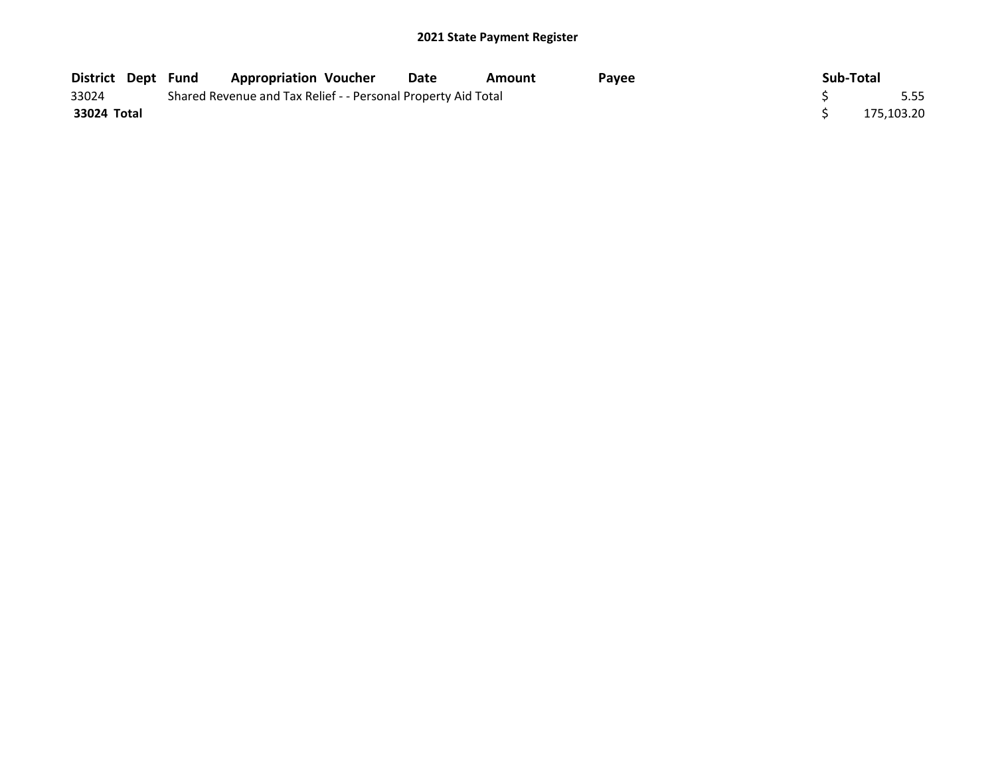|             |  | District Dept Fund Appropriation Voucher                      | Date | Amount | <b>Pavee</b> | Sub-Total |            |
|-------------|--|---------------------------------------------------------------|------|--------|--------------|-----------|------------|
| 33024       |  | Shared Revenue and Tax Relief - - Personal Property Aid Total |      |        |              |           | 5.55       |
| 33024 Total |  |                                                               |      |        |              |           | 175,103.20 |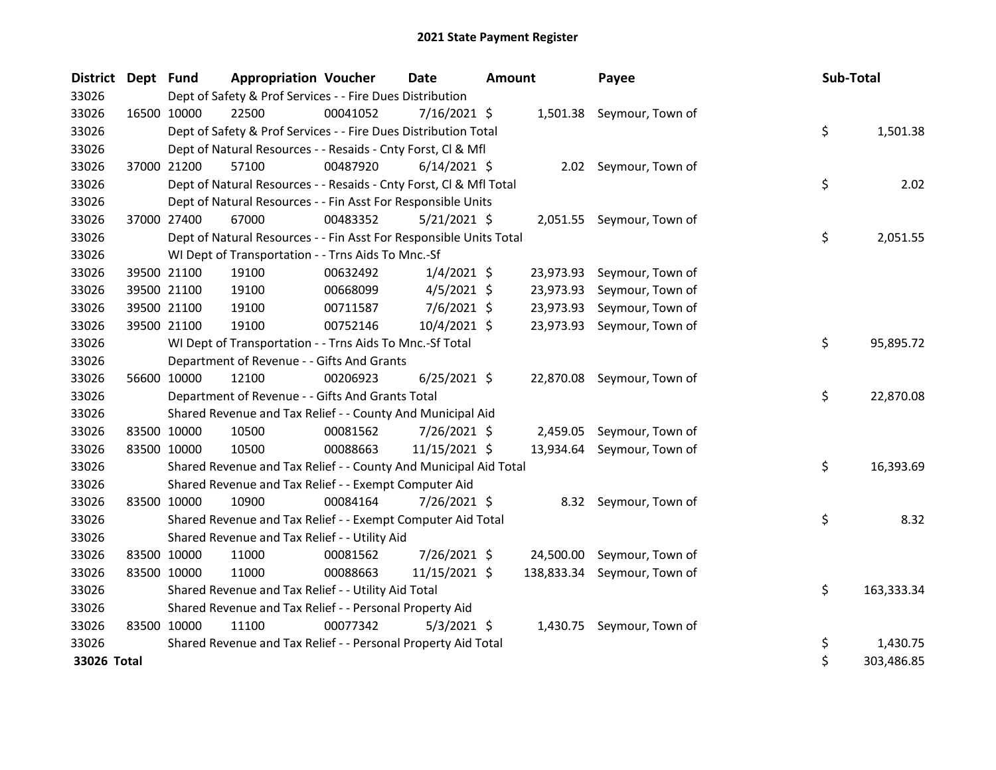| <b>District</b> | Dept Fund   |             | <b>Appropriation Voucher</b>                                       |          | <b>Date</b>    | <b>Amount</b> |            | Payee                      | Sub-Total |            |
|-----------------|-------------|-------------|--------------------------------------------------------------------|----------|----------------|---------------|------------|----------------------------|-----------|------------|
| 33026           |             |             | Dept of Safety & Prof Services - - Fire Dues Distribution          |          |                |               |            |                            |           |            |
| 33026           | 16500 10000 |             | 22500                                                              | 00041052 | $7/16/2021$ \$ |               |            | 1,501.38 Seymour, Town of  |           |            |
| 33026           |             |             | Dept of Safety & Prof Services - - Fire Dues Distribution Total    |          |                |               |            |                            | \$        | 1,501.38   |
| 33026           |             |             | Dept of Natural Resources - - Resaids - Cnty Forst, Cl & Mfl       |          |                |               |            |                            |           |            |
| 33026           | 37000 21200 |             | 57100                                                              | 00487920 | $6/14/2021$ \$ |               |            | 2.02 Seymour, Town of      |           |            |
| 33026           |             |             | Dept of Natural Resources - - Resaids - Cnty Forst, CI & Mfl Total |          |                |               |            |                            | \$        | 2.02       |
| 33026           |             |             | Dept of Natural Resources - - Fin Asst For Responsible Units       |          |                |               |            |                            |           |            |
| 33026           |             | 37000 27400 | 67000                                                              | 00483352 | 5/21/2021 \$   |               |            | 2,051.55 Seymour, Town of  |           |            |
| 33026           |             |             | Dept of Natural Resources - - Fin Asst For Responsible Units Total |          |                |               |            |                            | \$        | 2,051.55   |
| 33026           |             |             | WI Dept of Transportation - - Trns Aids To Mnc.-Sf                 |          |                |               |            |                            |           |            |
| 33026           |             | 39500 21100 | 19100                                                              | 00632492 | $1/4/2021$ \$  |               | 23,973.93  | Seymour, Town of           |           |            |
| 33026           |             | 39500 21100 | 19100                                                              | 00668099 | $4/5/2021$ \$  |               | 23,973.93  | Seymour, Town of           |           |            |
| 33026           |             | 39500 21100 | 19100                                                              | 00711587 | 7/6/2021 \$    |               | 23,973.93  | Seymour, Town of           |           |            |
| 33026           | 39500 21100 |             | 19100                                                              | 00752146 | 10/4/2021 \$   |               |            | 23,973.93 Seymour, Town of |           |            |
| 33026           |             |             | WI Dept of Transportation - - Trns Aids To Mnc.-Sf Total           |          |                |               |            |                            | \$        | 95,895.72  |
| 33026           |             |             | Department of Revenue - - Gifts And Grants                         |          |                |               |            |                            |           |            |
| 33026           |             | 56600 10000 | 12100                                                              | 00206923 | $6/25/2021$ \$ |               |            | 22,870.08 Seymour, Town of |           |            |
| 33026           |             |             | Department of Revenue - - Gifts And Grants Total                   |          |                |               |            |                            | \$        | 22,870.08  |
| 33026           |             |             | Shared Revenue and Tax Relief - - County And Municipal Aid         |          |                |               |            |                            |           |            |
| 33026           |             | 83500 10000 | 10500                                                              | 00081562 | 7/26/2021 \$   |               | 2,459.05   | Seymour, Town of           |           |            |
| 33026           | 83500 10000 |             | 10500                                                              | 00088663 | 11/15/2021 \$  |               | 13,934.64  | Seymour, Town of           |           |            |
| 33026           |             |             | Shared Revenue and Tax Relief - - County And Municipal Aid Total   |          |                |               |            |                            | \$        | 16,393.69  |
| 33026           |             |             | Shared Revenue and Tax Relief - - Exempt Computer Aid              |          |                |               |            |                            |           |            |
| 33026           |             | 83500 10000 | 10900                                                              | 00084164 | 7/26/2021 \$   |               |            | 8.32 Seymour, Town of      |           |            |
| 33026           |             |             | Shared Revenue and Tax Relief - - Exempt Computer Aid Total        |          |                |               |            |                            | \$        | 8.32       |
| 33026           |             |             | Shared Revenue and Tax Relief - - Utility Aid                      |          |                |               |            |                            |           |            |
| 33026           | 83500 10000 |             | 11000                                                              | 00081562 | 7/26/2021 \$   |               | 24,500.00  | Seymour, Town of           |           |            |
| 33026           |             | 83500 10000 | 11000                                                              | 00088663 | 11/15/2021 \$  |               | 138,833.34 | Seymour, Town of           |           |            |
| 33026           |             |             | Shared Revenue and Tax Relief - - Utility Aid Total                |          |                |               |            |                            | \$        | 163,333.34 |
| 33026           |             |             | Shared Revenue and Tax Relief - - Personal Property Aid            |          |                |               |            |                            |           |            |
| 33026           | 83500 10000 |             | 11100                                                              | 00077342 | $5/3/2021$ \$  |               |            | 1,430.75 Seymour, Town of  |           |            |
| 33026           |             |             | Shared Revenue and Tax Relief - - Personal Property Aid Total      |          |                |               |            |                            | \$        | 1,430.75   |
| 33026 Total     |             |             |                                                                    |          |                |               |            |                            | \$        | 303,486.85 |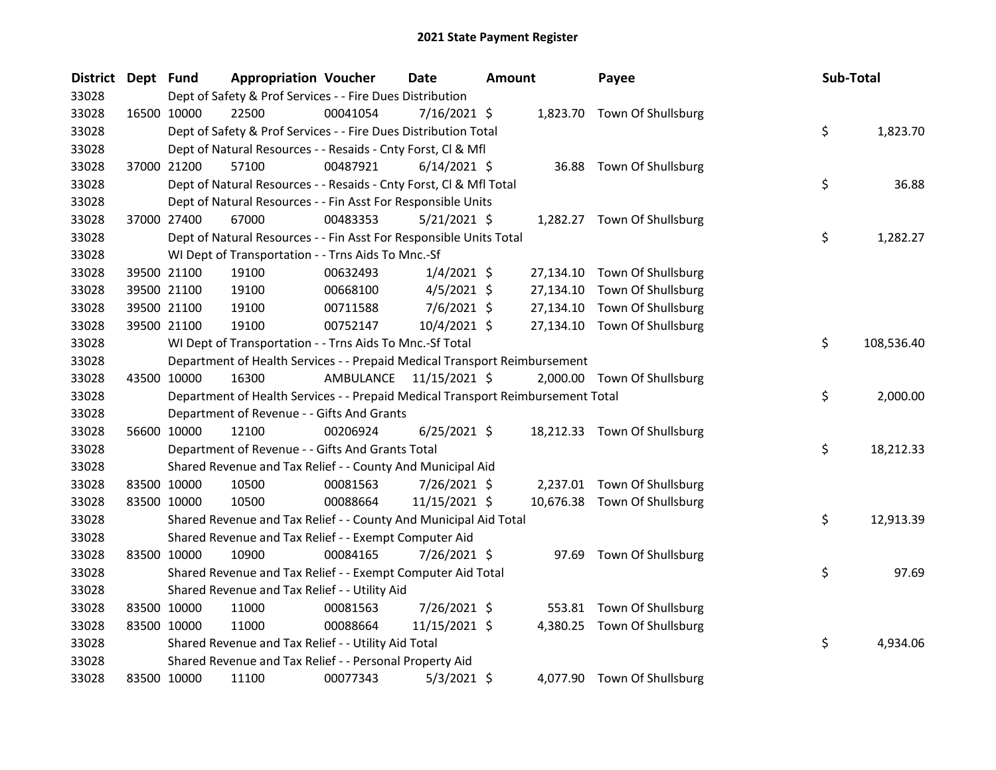| District Dept Fund |             | <b>Appropriation Voucher</b>                                                    |                         | <b>Date</b>    | <b>Amount</b> |           | Payee                        | Sub-Total |            |
|--------------------|-------------|---------------------------------------------------------------------------------|-------------------------|----------------|---------------|-----------|------------------------------|-----------|------------|
| 33028              |             | Dept of Safety & Prof Services - - Fire Dues Distribution                       |                         |                |               |           |                              |           |            |
| 33028              | 16500 10000 | 22500                                                                           | 00041054                | 7/16/2021 \$   |               |           | 1,823.70 Town Of Shullsburg  |           |            |
| 33028              |             | Dept of Safety & Prof Services - - Fire Dues Distribution Total                 |                         |                |               |           |                              | \$        | 1,823.70   |
| 33028              |             | Dept of Natural Resources - - Resaids - Cnty Forst, Cl & Mfl                    |                         |                |               |           |                              |           |            |
| 33028              | 37000 21200 | 57100                                                                           | 00487921                | $6/14/2021$ \$ |               |           | 36.88 Town Of Shullsburg     |           |            |
| 33028              |             | Dept of Natural Resources - - Resaids - Cnty Forst, CI & Mfl Total              |                         |                |               |           |                              | \$        | 36.88      |
| 33028              |             | Dept of Natural Resources - - Fin Asst For Responsible Units                    |                         |                |               |           |                              |           |            |
| 33028              | 37000 27400 | 67000                                                                           | 00483353                | $5/21/2021$ \$ |               |           | 1,282.27 Town Of Shullsburg  |           |            |
| 33028              |             | Dept of Natural Resources - - Fin Asst For Responsible Units Total              |                         |                |               |           |                              | \$        | 1,282.27   |
| 33028              |             | WI Dept of Transportation - - Trns Aids To Mnc.-Sf                              |                         |                |               |           |                              |           |            |
| 33028              | 39500 21100 | 19100                                                                           | 00632493                | $1/4/2021$ \$  |               | 27,134.10 | Town Of Shullsburg           |           |            |
| 33028              | 39500 21100 | 19100                                                                           | 00668100                | $4/5/2021$ \$  |               | 27,134.10 | Town Of Shullsburg           |           |            |
| 33028              | 39500 21100 | 19100                                                                           | 00711588                | 7/6/2021 \$    |               | 27,134.10 | Town Of Shullsburg           |           |            |
| 33028              | 39500 21100 | 19100                                                                           | 00752147                | 10/4/2021 \$   |               |           | 27,134.10 Town Of Shullsburg |           |            |
| 33028              |             | WI Dept of Transportation - - Trns Aids To Mnc.-Sf Total                        |                         |                |               |           |                              | \$        | 108,536.40 |
| 33028              |             | Department of Health Services - - Prepaid Medical Transport Reimbursement       |                         |                |               |           |                              |           |            |
| 33028              | 43500 10000 | 16300                                                                           | AMBULANCE 11/15/2021 \$ |                |               |           | 2,000.00 Town Of Shullsburg  |           |            |
| 33028              |             | Department of Health Services - - Prepaid Medical Transport Reimbursement Total |                         |                |               |           |                              | \$        | 2,000.00   |
| 33028              |             | Department of Revenue - - Gifts And Grants                                      |                         |                |               |           |                              |           |            |
| 33028              | 56600 10000 | 12100                                                                           | 00206924                | $6/25/2021$ \$ |               |           | 18,212.33 Town Of Shullsburg |           |            |
| 33028              |             | Department of Revenue - - Gifts And Grants Total                                |                         |                |               |           |                              | \$        | 18,212.33  |
| 33028              |             | Shared Revenue and Tax Relief - - County And Municipal Aid                      |                         |                |               |           |                              |           |            |
| 33028              | 83500 10000 | 10500                                                                           | 00081563                | 7/26/2021 \$   |               | 2,237.01  | Town Of Shullsburg           |           |            |
| 33028              | 83500 10000 | 10500                                                                           | 00088664                | 11/15/2021 \$  |               |           | 10,676.38 Town Of Shullsburg |           |            |
| 33028              |             | Shared Revenue and Tax Relief - - County And Municipal Aid Total                |                         |                |               |           |                              | \$        | 12,913.39  |
| 33028              |             | Shared Revenue and Tax Relief - - Exempt Computer Aid                           |                         |                |               |           |                              |           |            |
| 33028              | 83500 10000 | 10900                                                                           | 00084165                | 7/26/2021 \$   |               |           | 97.69 Town Of Shullsburg     |           |            |
| 33028              |             | Shared Revenue and Tax Relief - - Exempt Computer Aid Total                     |                         |                |               |           |                              | \$        | 97.69      |
| 33028              |             | Shared Revenue and Tax Relief - - Utility Aid                                   |                         |                |               |           |                              |           |            |
| 33028              | 83500 10000 | 11000                                                                           | 00081563                | 7/26/2021 \$   |               | 553.81    | Town Of Shullsburg           |           |            |
| 33028              | 83500 10000 | 11000                                                                           | 00088664                | 11/15/2021 \$  |               |           | 4,380.25 Town Of Shullsburg  |           |            |
| 33028              |             | Shared Revenue and Tax Relief - - Utility Aid Total                             |                         |                |               |           |                              | \$        | 4,934.06   |
| 33028              |             | Shared Revenue and Tax Relief - - Personal Property Aid                         |                         |                |               |           |                              |           |            |
| 33028              | 83500 10000 | 11100                                                                           | 00077343                | $5/3/2021$ \$  |               |           | 4,077.90 Town Of Shullsburg  |           |            |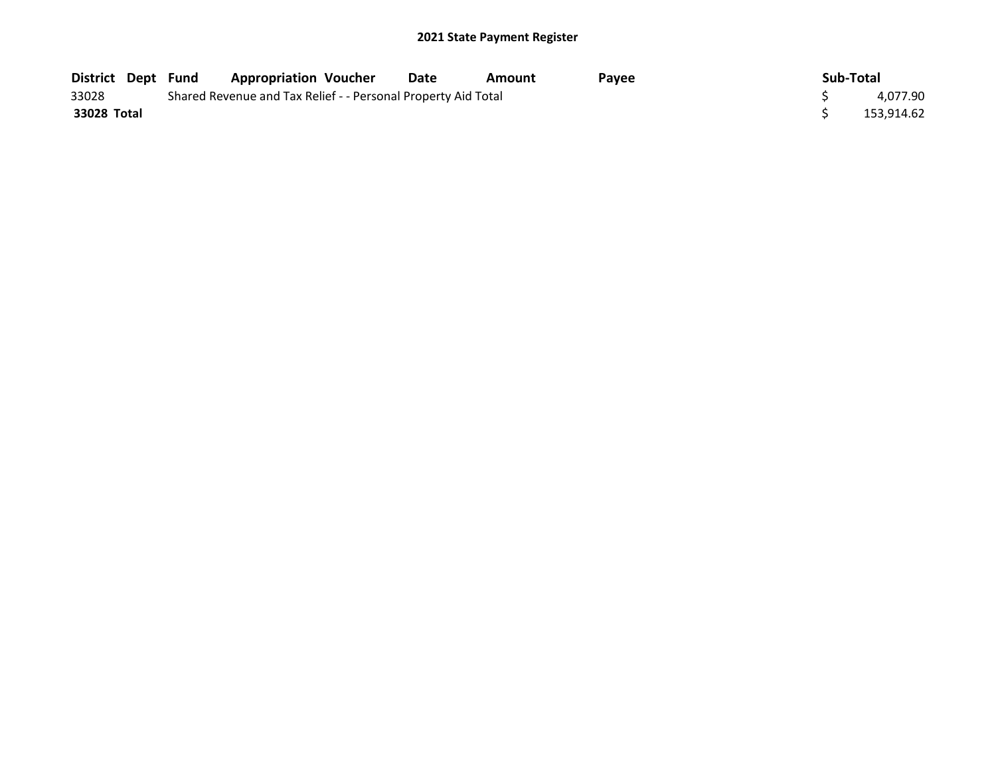| <b>District Dept Fund</b> |                                                               | <b>Appropriation Voucher</b> | Date | Amount | Pavee | Sub-Total |            |
|---------------------------|---------------------------------------------------------------|------------------------------|------|--------|-------|-----------|------------|
| 33028                     | Shared Revenue and Tax Relief - - Personal Property Aid Total |                              |      |        |       |           | 4.077.90   |
| 33028 Total               |                                                               |                              |      |        |       |           | 153.914.62 |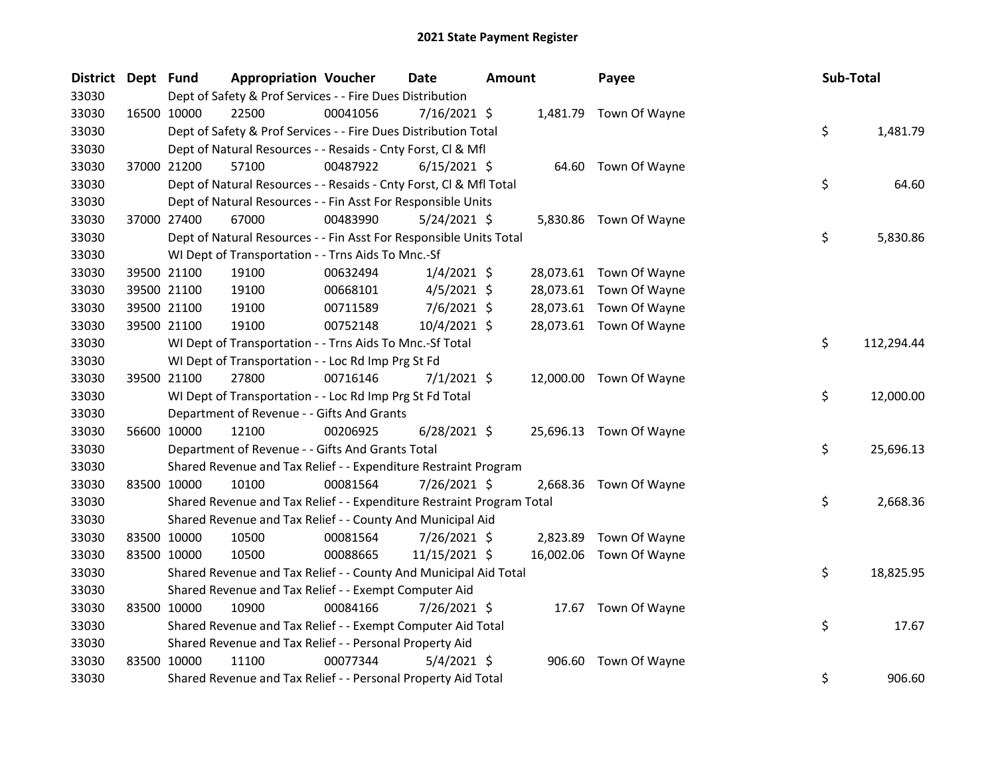| District Dept Fund |             | <b>Appropriation Voucher</b>                                          |          | <b>Date</b>    | <b>Amount</b> |           | Payee                   | Sub-Total |            |
|--------------------|-------------|-----------------------------------------------------------------------|----------|----------------|---------------|-----------|-------------------------|-----------|------------|
| 33030              |             | Dept of Safety & Prof Services - - Fire Dues Distribution             |          |                |               |           |                         |           |            |
| 33030              | 16500 10000 | 22500                                                                 | 00041056 | 7/16/2021 \$   |               |           | 1,481.79 Town Of Wayne  |           |            |
| 33030              |             | Dept of Safety & Prof Services - - Fire Dues Distribution Total       |          |                |               |           |                         | \$        | 1,481.79   |
| 33030              |             | Dept of Natural Resources - - Resaids - Cnty Forst, Cl & Mfl          |          |                |               |           |                         |           |            |
| 33030              | 37000 21200 | 57100                                                                 | 00487922 | $6/15/2021$ \$ |               |           | 64.60 Town Of Wayne     |           |            |
| 33030              |             | Dept of Natural Resources - - Resaids - Cnty Forst, Cl & Mfl Total    |          |                |               |           |                         | \$        | 64.60      |
| 33030              |             | Dept of Natural Resources - - Fin Asst For Responsible Units          |          |                |               |           |                         |           |            |
| 33030              | 37000 27400 | 67000                                                                 | 00483990 | $5/24/2021$ \$ |               |           | 5,830.86 Town Of Wayne  |           |            |
| 33030              |             | Dept of Natural Resources - - Fin Asst For Responsible Units Total    |          |                |               |           |                         | \$        | 5,830.86   |
| 33030              |             | WI Dept of Transportation - - Trns Aids To Mnc.-Sf                    |          |                |               |           |                         |           |            |
| 33030              | 39500 21100 | 19100                                                                 | 00632494 | $1/4/2021$ \$  |               |           | 28,073.61 Town Of Wayne |           |            |
| 33030              | 39500 21100 | 19100                                                                 | 00668101 | $4/5/2021$ \$  |               |           | 28,073.61 Town Of Wayne |           |            |
| 33030              | 39500 21100 | 19100                                                                 | 00711589 | $7/6/2021$ \$  |               |           | 28,073.61 Town Of Wayne |           |            |
| 33030              | 39500 21100 | 19100                                                                 | 00752148 | 10/4/2021 \$   |               |           | 28,073.61 Town Of Wayne |           |            |
| 33030              |             | WI Dept of Transportation - - Trns Aids To Mnc.-Sf Total              |          |                |               |           |                         | \$        | 112,294.44 |
| 33030              |             | WI Dept of Transportation - - Loc Rd Imp Prg St Fd                    |          |                |               |           |                         |           |            |
| 33030              | 39500 21100 | 27800                                                                 | 00716146 | $7/1/2021$ \$  |               |           | 12,000.00 Town Of Wayne |           |            |
| 33030              |             | WI Dept of Transportation - - Loc Rd Imp Prg St Fd Total              |          |                |               |           |                         | \$        | 12,000.00  |
| 33030              |             | Department of Revenue - - Gifts And Grants                            |          |                |               |           |                         |           |            |
| 33030              | 56600 10000 | 12100                                                                 | 00206925 | $6/28/2021$ \$ |               |           | 25,696.13 Town Of Wayne |           |            |
| 33030              |             | Department of Revenue - - Gifts And Grants Total                      |          |                |               |           |                         | \$        | 25,696.13  |
| 33030              |             | Shared Revenue and Tax Relief - - Expenditure Restraint Program       |          |                |               |           |                         |           |            |
| 33030              | 83500 10000 | 10100                                                                 | 00081564 | 7/26/2021 \$   |               | 2,668.36  | Town Of Wayne           |           |            |
| 33030              |             | Shared Revenue and Tax Relief - - Expenditure Restraint Program Total |          |                |               |           |                         | \$        | 2,668.36   |
| 33030              |             | Shared Revenue and Tax Relief - - County And Municipal Aid            |          |                |               |           |                         |           |            |
| 33030              | 83500 10000 | 10500                                                                 | 00081564 | 7/26/2021 \$   |               |           | 2,823.89 Town Of Wayne  |           |            |
| 33030              | 83500 10000 | 10500                                                                 | 00088665 | 11/15/2021 \$  |               | 16,002.06 | Town Of Wayne           |           |            |
| 33030              |             | Shared Revenue and Tax Relief - - County And Municipal Aid Total      |          |                |               |           |                         | \$        | 18,825.95  |
| 33030              |             | Shared Revenue and Tax Relief - - Exempt Computer Aid                 |          |                |               |           |                         |           |            |
| 33030              | 83500 10000 | 10900                                                                 | 00084166 | 7/26/2021 \$   |               |           | 17.67 Town Of Wayne     |           |            |
| 33030              |             | Shared Revenue and Tax Relief - - Exempt Computer Aid Total           |          |                |               |           |                         | \$        | 17.67      |
| 33030              |             | Shared Revenue and Tax Relief - - Personal Property Aid               |          |                |               |           |                         |           |            |
| 33030              | 83500 10000 | 11100                                                                 | 00077344 | $5/4/2021$ \$  |               | 906.60    | Town Of Wayne           |           |            |
| 33030              |             | Shared Revenue and Tax Relief - - Personal Property Aid Total         |          |                |               |           |                         | \$        | 906.60     |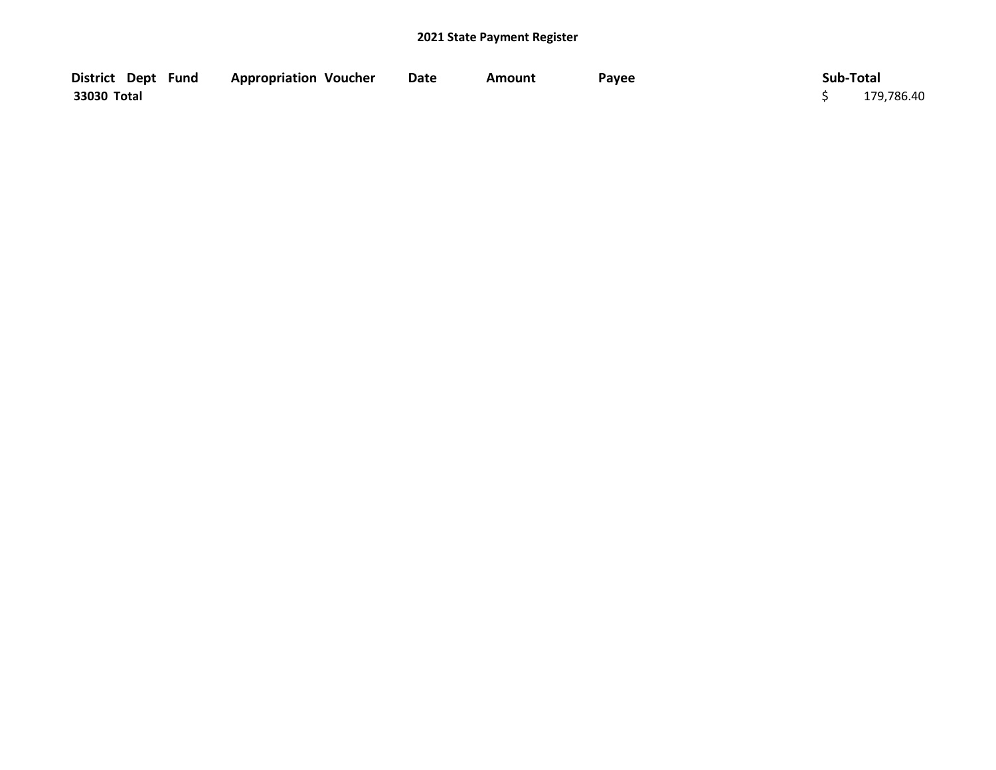| District Dept Fund | <b>Appropriation Voucher</b> | Date | Amount | Payee | Sub-Total  |
|--------------------|------------------------------|------|--------|-------|------------|
| 33030 Total        |                              |      |        |       | 179,786.40 |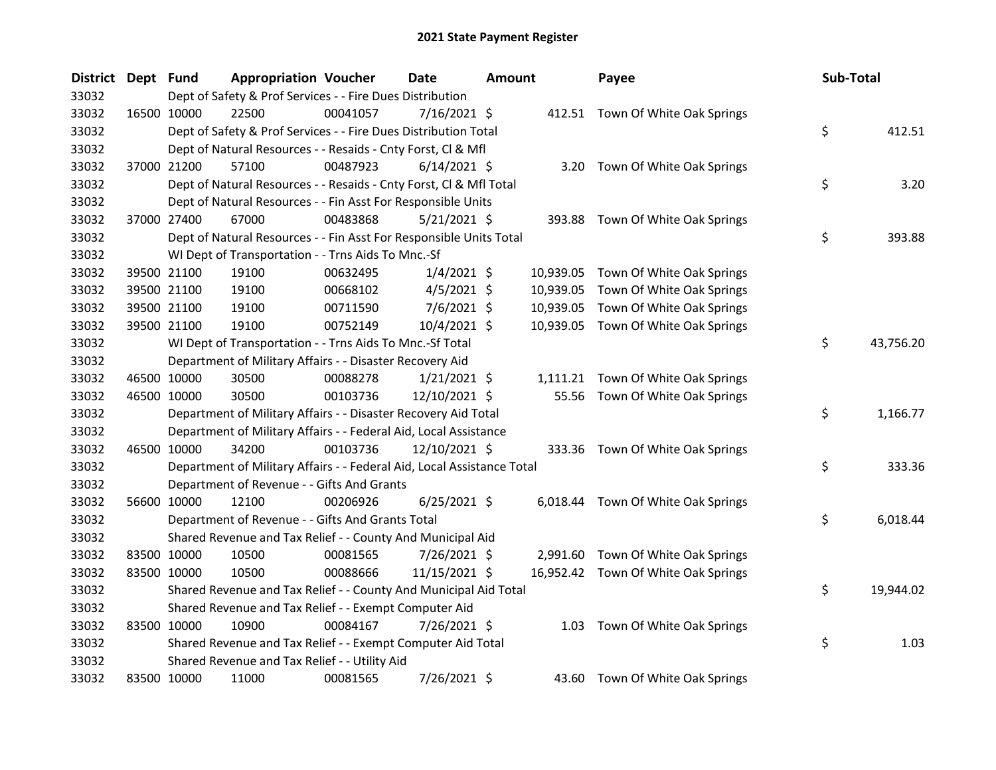| <b>District</b> | Dept Fund |             | <b>Appropriation Voucher</b>                                           |          | Date           | <b>Amount</b> |           | Payee                               | Sub-Total       |
|-----------------|-----------|-------------|------------------------------------------------------------------------|----------|----------------|---------------|-----------|-------------------------------------|-----------------|
| 33032           |           |             | Dept of Safety & Prof Services - - Fire Dues Distribution              |          |                |               |           |                                     |                 |
| 33032           |           | 16500 10000 | 22500                                                                  | 00041057 | 7/16/2021 \$   |               |           | 412.51 Town Of White Oak Springs    |                 |
| 33032           |           |             | Dept of Safety & Prof Services - - Fire Dues Distribution Total        |          |                |               |           |                                     | \$<br>412.51    |
| 33032           |           |             | Dept of Natural Resources - - Resaids - Cnty Forst, Cl & Mfl           |          |                |               |           |                                     |                 |
| 33032           |           | 37000 21200 | 57100                                                                  | 00487923 | $6/14/2021$ \$ |               |           | 3.20 Town Of White Oak Springs      |                 |
| 33032           |           |             | Dept of Natural Resources - - Resaids - Cnty Forst, Cl & Mfl Total     |          |                |               |           |                                     | \$<br>3.20      |
| 33032           |           |             | Dept of Natural Resources - - Fin Asst For Responsible Units           |          |                |               |           |                                     |                 |
| 33032           |           | 37000 27400 | 67000                                                                  | 00483868 | $5/21/2021$ \$ |               |           | 393.88 Town Of White Oak Springs    |                 |
| 33032           |           |             | Dept of Natural Resources - - Fin Asst For Responsible Units Total     |          |                |               |           |                                     | \$<br>393.88    |
| 33032           |           |             | WI Dept of Transportation - - Trns Aids To Mnc.-Sf                     |          |                |               |           |                                     |                 |
| 33032           |           | 39500 21100 | 19100                                                                  | 00632495 | $1/4/2021$ \$  |               | 10,939.05 | Town Of White Oak Springs           |                 |
| 33032           |           | 39500 21100 | 19100                                                                  | 00668102 | $4/5/2021$ \$  |               | 10,939.05 | Town Of White Oak Springs           |                 |
| 33032           |           | 39500 21100 | 19100                                                                  | 00711590 | $7/6/2021$ \$  |               | 10,939.05 | Town Of White Oak Springs           |                 |
| 33032           |           | 39500 21100 | 19100                                                                  | 00752149 | 10/4/2021 \$   |               |           | 10,939.05 Town Of White Oak Springs |                 |
| 33032           |           |             | WI Dept of Transportation - - Trns Aids To Mnc.-Sf Total               |          |                |               |           |                                     | \$<br>43,756.20 |
| 33032           |           |             | Department of Military Affairs - - Disaster Recovery Aid               |          |                |               |           |                                     |                 |
| 33032           |           | 46500 10000 | 30500                                                                  | 00088278 | $1/21/2021$ \$ |               |           | 1,111.21 Town Of White Oak Springs  |                 |
| 33032           |           | 46500 10000 | 30500                                                                  | 00103736 | 12/10/2021 \$  |               | 55.56     | Town Of White Oak Springs           |                 |
| 33032           |           |             | Department of Military Affairs - - Disaster Recovery Aid Total         |          |                |               |           |                                     | \$<br>1,166.77  |
| 33032           |           |             | Department of Military Affairs - - Federal Aid, Local Assistance       |          |                |               |           |                                     |                 |
| 33032           |           | 46500 10000 | 34200                                                                  | 00103736 | 12/10/2021 \$  |               |           | 333.36 Town Of White Oak Springs    |                 |
| 33032           |           |             | Department of Military Affairs - - Federal Aid, Local Assistance Total |          |                |               |           |                                     | \$<br>333.36    |
| 33032           |           |             | Department of Revenue - - Gifts And Grants                             |          |                |               |           |                                     |                 |
| 33032           |           | 56600 10000 | 12100                                                                  | 00206926 | $6/25/2021$ \$ |               |           | 6,018.44 Town Of White Oak Springs  |                 |
| 33032           |           |             | Department of Revenue - - Gifts And Grants Total                       |          |                |               |           |                                     | \$<br>6,018.44  |
| 33032           |           |             | Shared Revenue and Tax Relief - - County And Municipal Aid             |          |                |               |           |                                     |                 |
| 33032           |           | 83500 10000 | 10500                                                                  | 00081565 | 7/26/2021 \$   |               |           | 2,991.60 Town Of White Oak Springs  |                 |
| 33032           |           | 83500 10000 | 10500                                                                  | 00088666 | 11/15/2021 \$  |               |           | 16,952.42 Town Of White Oak Springs |                 |
| 33032           |           |             | Shared Revenue and Tax Relief - - County And Municipal Aid Total       |          |                |               |           |                                     | \$<br>19,944.02 |
| 33032           |           |             | Shared Revenue and Tax Relief - - Exempt Computer Aid                  |          |                |               |           |                                     |                 |
| 33032           |           | 83500 10000 | 10900                                                                  | 00084167 | 7/26/2021 \$   |               |           | 1.03 Town Of White Oak Springs      |                 |
| 33032           |           |             | Shared Revenue and Tax Relief - - Exempt Computer Aid Total            |          |                |               |           |                                     | \$<br>1.03      |
| 33032           |           |             | Shared Revenue and Tax Relief - - Utility Aid                          |          |                |               |           |                                     |                 |
| 33032           |           | 83500 10000 | 11000                                                                  | 00081565 | 7/26/2021 \$   |               |           | 43.60 Town Of White Oak Springs     |                 |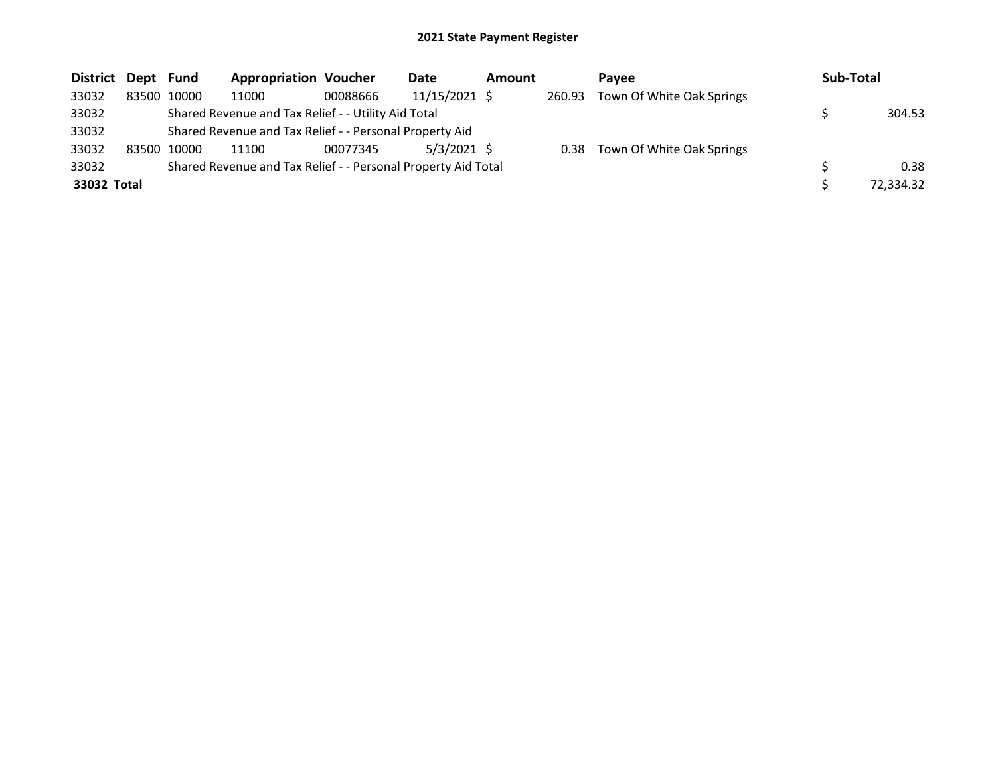| <b>District</b> | Dept Fund |             | <b>Appropriation Voucher</b>                                  |          | Date          | Amount |        | Pavee                          | Sub-Total |           |
|-----------------|-----------|-------------|---------------------------------------------------------------|----------|---------------|--------|--------|--------------------------------|-----------|-----------|
| 33032           |           | 83500 10000 | 11000                                                         | 00088666 | 11/15/2021 \$ |        | 260.93 | Town Of White Oak Springs      |           |           |
| 33032           |           |             | Shared Revenue and Tax Relief - - Utility Aid Total           |          |               |        |        |                                |           | 304.53    |
| 33032           |           |             | Shared Revenue and Tax Relief - - Personal Property Aid       |          |               |        |        |                                |           |           |
| 33032           | 83500     | 10000       | 11100                                                         | 00077345 | $5/3/2021$ \$ |        |        | 0.38 Town Of White Oak Springs |           |           |
| 33032           |           |             | Shared Revenue and Tax Relief - - Personal Property Aid Total |          |               |        |        |                                |           | 0.38      |
| 33032 Total     |           |             |                                                               |          |               |        |        |                                |           | 72,334.32 |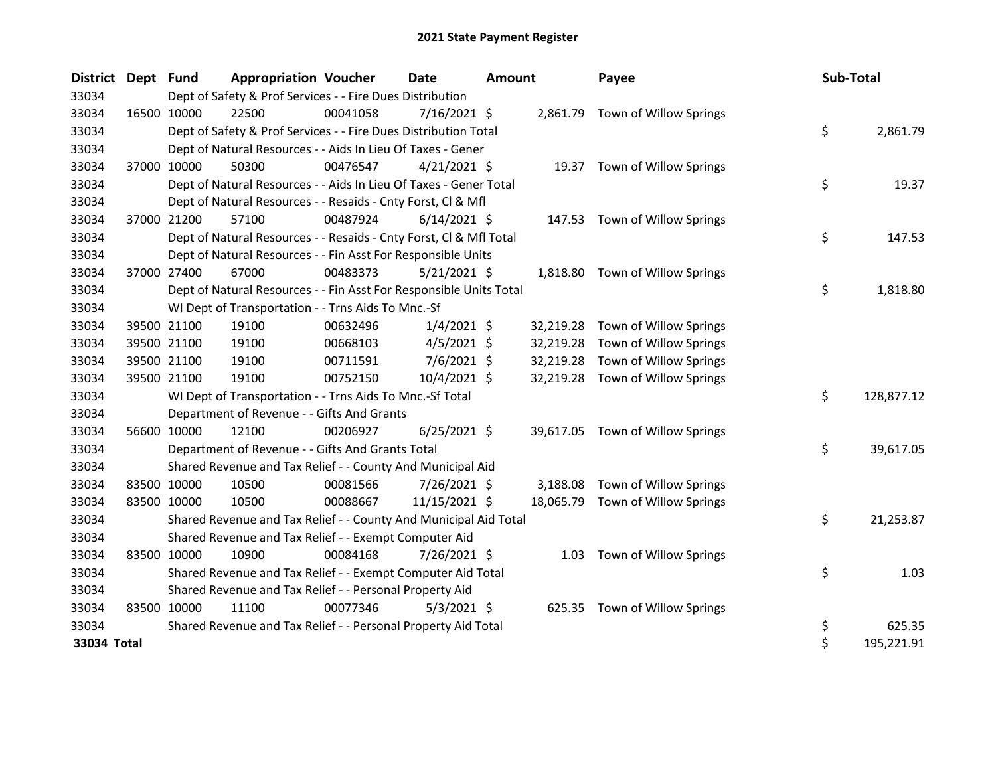| District Dept Fund |             |             | <b>Appropriation Voucher</b>                                       |          | <b>Date</b>    | <b>Amount</b> |           | Payee                           | Sub-Total        |
|--------------------|-------------|-------------|--------------------------------------------------------------------|----------|----------------|---------------|-----------|---------------------------------|------------------|
| 33034              |             |             | Dept of Safety & Prof Services - - Fire Dues Distribution          |          |                |               |           |                                 |                  |
| 33034              |             | 16500 10000 | 22500                                                              | 00041058 | $7/16/2021$ \$ |               |           | 2,861.79 Town of Willow Springs |                  |
| 33034              |             |             | Dept of Safety & Prof Services - - Fire Dues Distribution Total    |          |                |               |           |                                 | \$<br>2,861.79   |
| 33034              |             |             | Dept of Natural Resources - - Aids In Lieu Of Taxes - Gener        |          |                |               |           |                                 |                  |
| 33034              |             | 37000 10000 | 50300                                                              | 00476547 | $4/21/2021$ \$ |               |           | 19.37 Town of Willow Springs    |                  |
| 33034              |             |             | Dept of Natural Resources - - Aids In Lieu Of Taxes - Gener Total  |          |                |               |           |                                 | \$<br>19.37      |
| 33034              |             |             | Dept of Natural Resources - - Resaids - Cnty Forst, Cl & Mfl       |          |                |               |           |                                 |                  |
| 33034              | 37000 21200 |             | 57100                                                              | 00487924 | $6/14/2021$ \$ |               |           | 147.53 Town of Willow Springs   |                  |
| 33034              |             |             | Dept of Natural Resources - - Resaids - Cnty Forst, Cl & Mfl Total |          |                |               |           |                                 | \$<br>147.53     |
| 33034              |             |             | Dept of Natural Resources - - Fin Asst For Responsible Units       |          |                |               |           |                                 |                  |
| 33034              |             | 37000 27400 | 67000                                                              | 00483373 | $5/21/2021$ \$ |               | 1,818.80  | Town of Willow Springs          |                  |
| 33034              |             |             | Dept of Natural Resources - - Fin Asst For Responsible Units Total |          |                |               |           |                                 | \$<br>1,818.80   |
| 33034              |             |             | WI Dept of Transportation - - Trns Aids To Mnc.-Sf                 |          |                |               |           |                                 |                  |
| 33034              |             | 39500 21100 | 19100                                                              | 00632496 | $1/4/2021$ \$  |               | 32,219.28 | Town of Willow Springs          |                  |
| 33034              |             | 39500 21100 | 19100                                                              | 00668103 | $4/5/2021$ \$  |               | 32,219.28 | Town of Willow Springs          |                  |
| 33034              |             | 39500 21100 | 19100                                                              | 00711591 | $7/6/2021$ \$  |               | 32,219.28 | Town of Willow Springs          |                  |
| 33034              |             | 39500 21100 | 19100                                                              | 00752150 | 10/4/2021 \$   |               | 32,219.28 | Town of Willow Springs          |                  |
| 33034              |             |             | WI Dept of Transportation - - Trns Aids To Mnc.-Sf Total           |          |                |               |           |                                 | \$<br>128,877.12 |
| 33034              |             |             | Department of Revenue - - Gifts And Grants                         |          |                |               |           |                                 |                  |
| 33034              |             | 56600 10000 | 12100                                                              | 00206927 | $6/25/2021$ \$ |               | 39,617.05 | Town of Willow Springs          |                  |
| 33034              |             |             | Department of Revenue - - Gifts And Grants Total                   |          |                |               |           |                                 | \$<br>39,617.05  |
| 33034              |             |             | Shared Revenue and Tax Relief - - County And Municipal Aid         |          |                |               |           |                                 |                  |
| 33034              |             | 83500 10000 | 10500                                                              | 00081566 | 7/26/2021 \$   |               | 3,188.08  | Town of Willow Springs          |                  |
| 33034              |             | 83500 10000 | 10500                                                              | 00088667 | 11/15/2021 \$  |               | 18,065.79 | Town of Willow Springs          |                  |
| 33034              |             |             | Shared Revenue and Tax Relief - - County And Municipal Aid Total   |          |                |               |           |                                 | \$<br>21,253.87  |
| 33034              |             |             | Shared Revenue and Tax Relief - - Exempt Computer Aid              |          |                |               |           |                                 |                  |
| 33034              |             | 83500 10000 | 10900                                                              | 00084168 | 7/26/2021 \$   |               | 1.03      | Town of Willow Springs          |                  |
| 33034              |             |             | Shared Revenue and Tax Relief - - Exempt Computer Aid Total        |          |                |               |           |                                 | \$<br>1.03       |
| 33034              |             |             | Shared Revenue and Tax Relief - - Personal Property Aid            |          |                |               |           |                                 |                  |
| 33034              |             | 83500 10000 | 11100                                                              | 00077346 | $5/3/2021$ \$  |               |           | 625.35 Town of Willow Springs   |                  |
| 33034              |             |             | Shared Revenue and Tax Relief - - Personal Property Aid Total      |          |                |               |           |                                 | \$<br>625.35     |
| 33034 Total        |             |             |                                                                    |          |                |               |           |                                 | \$<br>195,221.91 |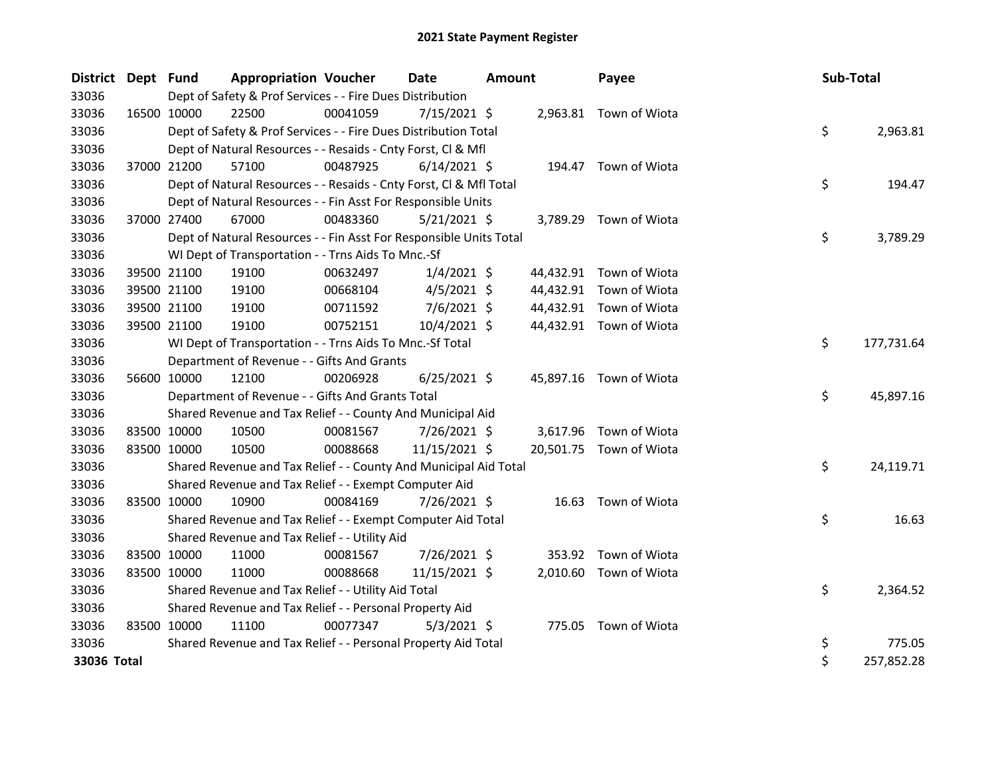| District Dept Fund |             |             | <b>Appropriation Voucher</b>                                       |          | <b>Date</b>    | <b>Amount</b> |           | Payee                   | Sub-Total |            |
|--------------------|-------------|-------------|--------------------------------------------------------------------|----------|----------------|---------------|-----------|-------------------------|-----------|------------|
| 33036              |             |             | Dept of Safety & Prof Services - - Fire Dues Distribution          |          |                |               |           |                         |           |            |
| 33036              | 16500 10000 |             | 22500                                                              | 00041059 | $7/15/2021$ \$ |               |           | 2,963.81 Town of Wiota  |           |            |
| 33036              |             |             | Dept of Safety & Prof Services - - Fire Dues Distribution Total    |          |                |               |           |                         | \$        | 2,963.81   |
| 33036              |             |             | Dept of Natural Resources - - Resaids - Cnty Forst, Cl & Mfl       |          |                |               |           |                         |           |            |
| 33036              | 37000 21200 |             | 57100                                                              | 00487925 | $6/14/2021$ \$ |               |           | 194.47 Town of Wiota    |           |            |
| 33036              |             |             | Dept of Natural Resources - - Resaids - Cnty Forst, CI & Mfl Total |          |                |               |           |                         | \$        | 194.47     |
| 33036              |             |             | Dept of Natural Resources - - Fin Asst For Responsible Units       |          |                |               |           |                         |           |            |
| 33036              | 37000 27400 |             | 67000                                                              | 00483360 | $5/21/2021$ \$ |               |           | 3,789.29 Town of Wiota  |           |            |
| 33036              |             |             | Dept of Natural Resources - - Fin Asst For Responsible Units Total |          |                |               |           |                         | \$        | 3,789.29   |
| 33036              |             |             | WI Dept of Transportation - - Trns Aids To Mnc.-Sf                 |          |                |               |           |                         |           |            |
| 33036              | 39500 21100 |             | 19100                                                              | 00632497 | $1/4/2021$ \$  |               |           | 44,432.91 Town of Wiota |           |            |
| 33036              |             | 39500 21100 | 19100                                                              | 00668104 | $4/5/2021$ \$  |               | 44,432.91 | Town of Wiota           |           |            |
| 33036              | 39500 21100 |             | 19100                                                              | 00711592 | $7/6/2021$ \$  |               |           | 44,432.91 Town of Wiota |           |            |
| 33036              | 39500 21100 |             | 19100                                                              | 00752151 | 10/4/2021 \$   |               |           | 44,432.91 Town of Wiota |           |            |
| 33036              |             |             | WI Dept of Transportation - - Trns Aids To Mnc.-Sf Total           |          |                |               |           |                         | \$        | 177,731.64 |
| 33036              |             |             | Department of Revenue - - Gifts And Grants                         |          |                |               |           |                         |           |            |
| 33036              | 56600 10000 |             | 12100                                                              | 00206928 | $6/25/2021$ \$ |               |           | 45,897.16 Town of Wiota |           |            |
| 33036              |             |             | Department of Revenue - - Gifts And Grants Total                   |          |                |               |           |                         | \$        | 45,897.16  |
| 33036              |             |             | Shared Revenue and Tax Relief - - County And Municipal Aid         |          |                |               |           |                         |           |            |
| 33036              | 83500 10000 |             | 10500                                                              | 00081567 | $7/26/2021$ \$ |               |           | 3,617.96 Town of Wiota  |           |            |
| 33036              | 83500 10000 |             | 10500                                                              | 00088668 | 11/15/2021 \$  |               |           | 20,501.75 Town of Wiota |           |            |
| 33036              |             |             | Shared Revenue and Tax Relief - - County And Municipal Aid Total   |          |                |               |           |                         | \$        | 24,119.71  |
| 33036              |             |             | Shared Revenue and Tax Relief - - Exempt Computer Aid              |          |                |               |           |                         |           |            |
| 33036              | 83500 10000 |             | 10900                                                              | 00084169 | 7/26/2021 \$   |               |           | 16.63 Town of Wiota     |           |            |
| 33036              |             |             | Shared Revenue and Tax Relief - - Exempt Computer Aid Total        |          |                |               |           |                         | \$        | 16.63      |
| 33036              |             |             | Shared Revenue and Tax Relief - - Utility Aid                      |          |                |               |           |                         |           |            |
| 33036              | 83500 10000 |             | 11000                                                              | 00081567 | 7/26/2021 \$   |               | 353.92    | Town of Wiota           |           |            |
| 33036              | 83500 10000 |             | 11000                                                              | 00088668 | 11/15/2021 \$  |               |           | 2,010.60 Town of Wiota  |           |            |
| 33036              |             |             | Shared Revenue and Tax Relief - - Utility Aid Total                |          |                |               |           |                         | \$        | 2,364.52   |
| 33036              |             |             | Shared Revenue and Tax Relief - - Personal Property Aid            |          |                |               |           |                         |           |            |
| 33036              | 83500 10000 |             | 11100                                                              | 00077347 | $5/3/2021$ \$  |               | 775.05    | Town of Wiota           |           |            |
| 33036              |             |             | Shared Revenue and Tax Relief - - Personal Property Aid Total      |          |                |               |           |                         | \$        | 775.05     |
| 33036 Total        |             |             |                                                                    |          |                |               |           |                         | \$        | 257,852.28 |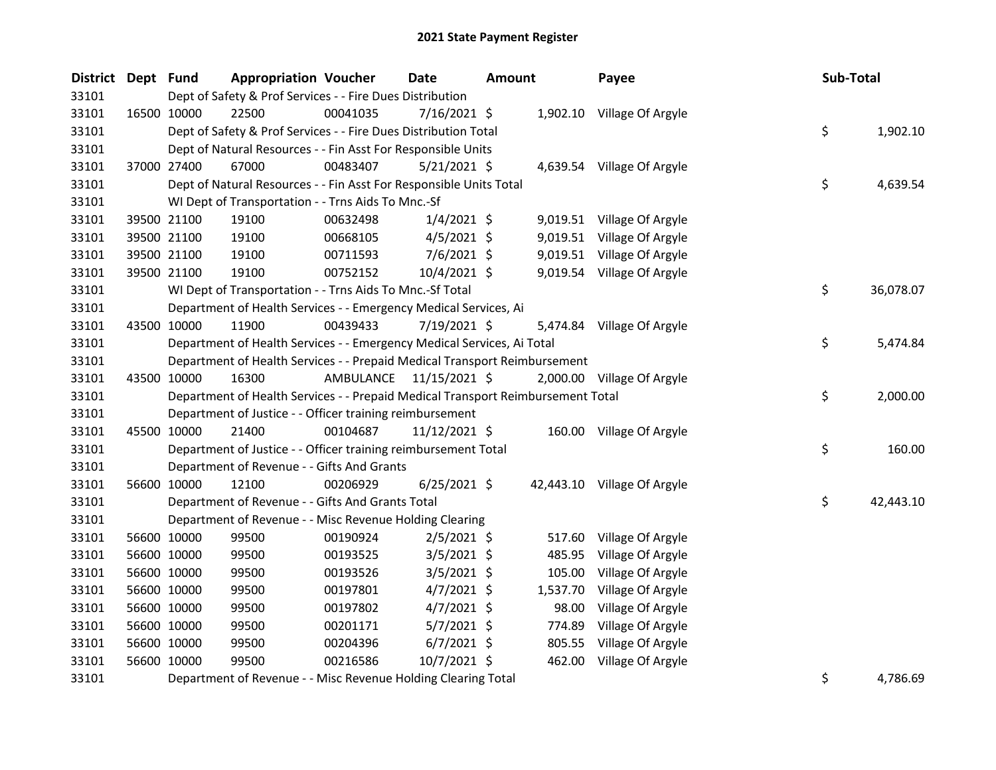| District Dept Fund |             |             | <b>Appropriation Voucher</b>                                                    |                         | Date           | <b>Amount</b> |          | Payee                       | Sub-Total       |
|--------------------|-------------|-------------|---------------------------------------------------------------------------------|-------------------------|----------------|---------------|----------|-----------------------------|-----------------|
| 33101              |             |             | Dept of Safety & Prof Services - - Fire Dues Distribution                       |                         |                |               |          |                             |                 |
| 33101              |             | 16500 10000 | 22500                                                                           | 00041035                | $7/16/2021$ \$ |               |          | 1,902.10 Village Of Argyle  |                 |
| 33101              |             |             | Dept of Safety & Prof Services - - Fire Dues Distribution Total                 |                         |                |               |          |                             | \$<br>1,902.10  |
| 33101              |             |             | Dept of Natural Resources - - Fin Asst For Responsible Units                    |                         |                |               |          |                             |                 |
| 33101              |             | 37000 27400 | 67000                                                                           | 00483407                | $5/21/2021$ \$ |               |          | 4,639.54 Village Of Argyle  |                 |
| 33101              |             |             | Dept of Natural Resources - - Fin Asst For Responsible Units Total              |                         |                |               |          |                             | \$<br>4,639.54  |
| 33101              |             |             | WI Dept of Transportation - - Trns Aids To Mnc.-Sf                              |                         |                |               |          |                             |                 |
| 33101              |             | 39500 21100 | 19100                                                                           | 00632498                | $1/4/2021$ \$  |               |          | 9,019.51 Village Of Argyle  |                 |
| 33101              |             | 39500 21100 | 19100                                                                           | 00668105                | $4/5/2021$ \$  |               |          | 9,019.51 Village Of Argyle  |                 |
| 33101              |             | 39500 21100 | 19100                                                                           | 00711593                | $7/6/2021$ \$  |               |          | 9,019.51 Village Of Argyle  |                 |
| 33101              |             | 39500 21100 | 19100                                                                           | 00752152                | 10/4/2021 \$   |               |          | 9,019.54 Village Of Argyle  |                 |
| 33101              |             |             | WI Dept of Transportation - - Trns Aids To Mnc.-Sf Total                        |                         |                |               |          |                             | \$<br>36,078.07 |
| 33101              |             |             | Department of Health Services - - Emergency Medical Services, Ai                |                         |                |               |          |                             |                 |
| 33101              | 43500 10000 |             | 11900                                                                           | 00439433                | 7/19/2021 \$   |               |          | 5,474.84 Village Of Argyle  |                 |
| 33101              |             |             | Department of Health Services - - Emergency Medical Services, Ai Total          |                         |                |               |          |                             | \$<br>5,474.84  |
| 33101              |             |             | Department of Health Services - - Prepaid Medical Transport Reimbursement       |                         |                |               |          |                             |                 |
| 33101              |             | 43500 10000 | 16300                                                                           | AMBULANCE 11/15/2021 \$ |                |               |          | 2,000.00 Village Of Argyle  |                 |
| 33101              |             |             | Department of Health Services - - Prepaid Medical Transport Reimbursement Total |                         |                |               |          |                             | \$<br>2,000.00  |
| 33101              |             |             | Department of Justice - - Officer training reimbursement                        |                         |                |               |          |                             |                 |
| 33101              |             | 45500 10000 | 21400                                                                           | 00104687                | 11/12/2021 \$  |               |          | 160.00 Village Of Argyle    |                 |
| 33101              |             |             | Department of Justice - - Officer training reimbursement Total                  |                         |                |               |          |                             | \$<br>160.00    |
| 33101              |             |             | Department of Revenue - - Gifts And Grants                                      |                         |                |               |          |                             |                 |
| 33101              |             | 56600 10000 | 12100                                                                           | 00206929                | $6/25/2021$ \$ |               |          | 42,443.10 Village Of Argyle |                 |
| 33101              |             |             | Department of Revenue - - Gifts And Grants Total                                |                         |                |               |          |                             | \$<br>42,443.10 |
| 33101              |             |             | Department of Revenue - - Misc Revenue Holding Clearing                         |                         |                |               |          |                             |                 |
| 33101              |             | 56600 10000 | 99500                                                                           | 00190924                | $2/5/2021$ \$  |               | 517.60   | Village Of Argyle           |                 |
| 33101              |             | 56600 10000 | 99500                                                                           | 00193525                | $3/5/2021$ \$  |               | 485.95   | Village Of Argyle           |                 |
| 33101              |             | 56600 10000 | 99500                                                                           | 00193526                | $3/5/2021$ \$  |               | 105.00   | Village Of Argyle           |                 |
| 33101              |             | 56600 10000 | 99500                                                                           | 00197801                | $4/7/2021$ \$  |               | 1,537.70 | Village Of Argyle           |                 |
| 33101              |             | 56600 10000 | 99500                                                                           | 00197802                | $4/7/2021$ \$  |               | 98.00    | Village Of Argyle           |                 |
| 33101              |             | 56600 10000 | 99500                                                                           | 00201171                | $5/7/2021$ \$  |               | 774.89   | Village Of Argyle           |                 |
| 33101              |             | 56600 10000 | 99500                                                                           | 00204396                | $6/7/2021$ \$  |               | 805.55   | Village Of Argyle           |                 |
| 33101              |             | 56600 10000 | 99500                                                                           | 00216586                | 10/7/2021 \$   |               | 462.00   | Village Of Argyle           |                 |
| 33101              |             |             | Department of Revenue - - Misc Revenue Holding Clearing Total                   |                         |                |               |          |                             | \$<br>4,786.69  |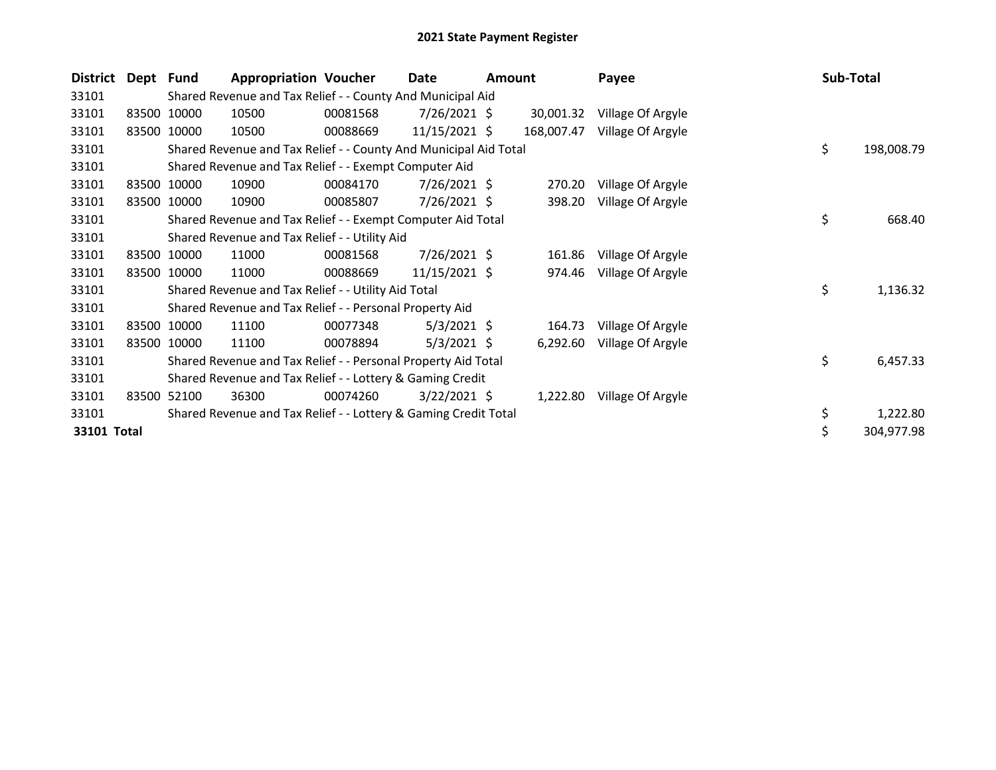| <b>District</b> | Dept Fund |             | <b>Appropriation Voucher</b>                                     |          | Date            | Amount |            | Payee             | Sub-Total |            |
|-----------------|-----------|-------------|------------------------------------------------------------------|----------|-----------------|--------|------------|-------------------|-----------|------------|
| 33101           |           |             | Shared Revenue and Tax Relief - - County And Municipal Aid       |          |                 |        |            |                   |           |            |
| 33101           |           | 83500 10000 | 10500                                                            | 00081568 | $7/26/2021$ \$  |        | 30,001.32  | Village Of Argyle |           |            |
| 33101           |           | 83500 10000 | 10500                                                            | 00088669 | 11/15/2021 \$   |        | 168,007.47 | Village Of Argyle |           |            |
| 33101           |           |             | Shared Revenue and Tax Relief - - County And Municipal Aid Total |          |                 |        |            |                   | \$        | 198,008.79 |
| 33101           |           |             | Shared Revenue and Tax Relief - - Exempt Computer Aid            |          |                 |        |            |                   |           |            |
| 33101           |           | 83500 10000 | 10900                                                            | 00084170 | $7/26/2021$ \$  |        | 270.20     | Village Of Argyle |           |            |
| 33101           |           | 83500 10000 | 10900                                                            | 00085807 | 7/26/2021 \$    |        | 398.20     | Village Of Argyle |           |            |
| 33101           |           |             | Shared Revenue and Tax Relief - - Exempt Computer Aid Total      |          |                 |        |            |                   | \$        | 668.40     |
| 33101           |           |             | Shared Revenue and Tax Relief - - Utility Aid                    |          |                 |        |            |                   |           |            |
| 33101           |           | 83500 10000 | 11000                                                            | 00081568 | 7/26/2021 \$    |        | 161.86     | Village Of Argyle |           |            |
| 33101           |           | 83500 10000 | 11000                                                            | 00088669 | $11/15/2021$ \$ |        | 974.46     | Village Of Argyle |           |            |
| 33101           |           |             | Shared Revenue and Tax Relief - - Utility Aid Total              |          |                 |        |            |                   | \$        | 1,136.32   |
| 33101           |           |             | Shared Revenue and Tax Relief - - Personal Property Aid          |          |                 |        |            |                   |           |            |
| 33101           |           | 83500 10000 | 11100                                                            | 00077348 | $5/3/2021$ \$   |        | 164.73     | Village Of Argyle |           |            |
| 33101           |           | 83500 10000 | 11100                                                            | 00078894 | $5/3/2021$ \$   |        | 6,292.60   | Village Of Argyle |           |            |
| 33101           |           |             | Shared Revenue and Tax Relief - - Personal Property Aid Total    |          |                 |        |            |                   | \$        | 6,457.33   |
| 33101           |           |             | Shared Revenue and Tax Relief - - Lottery & Gaming Credit        |          |                 |        |            |                   |           |            |
| 33101           |           | 83500 52100 | 36300                                                            | 00074260 | $3/22/2021$ \$  |        | 1,222.80   | Village Of Argyle |           |            |
| 33101           |           |             | Shared Revenue and Tax Relief - - Lottery & Gaming Credit Total  |          |                 |        |            |                   | \$        | 1,222.80   |
| 33101 Total     |           |             |                                                                  |          |                 |        |            |                   | \$        | 304,977.98 |
|                 |           |             |                                                                  |          |                 |        |            |                   |           |            |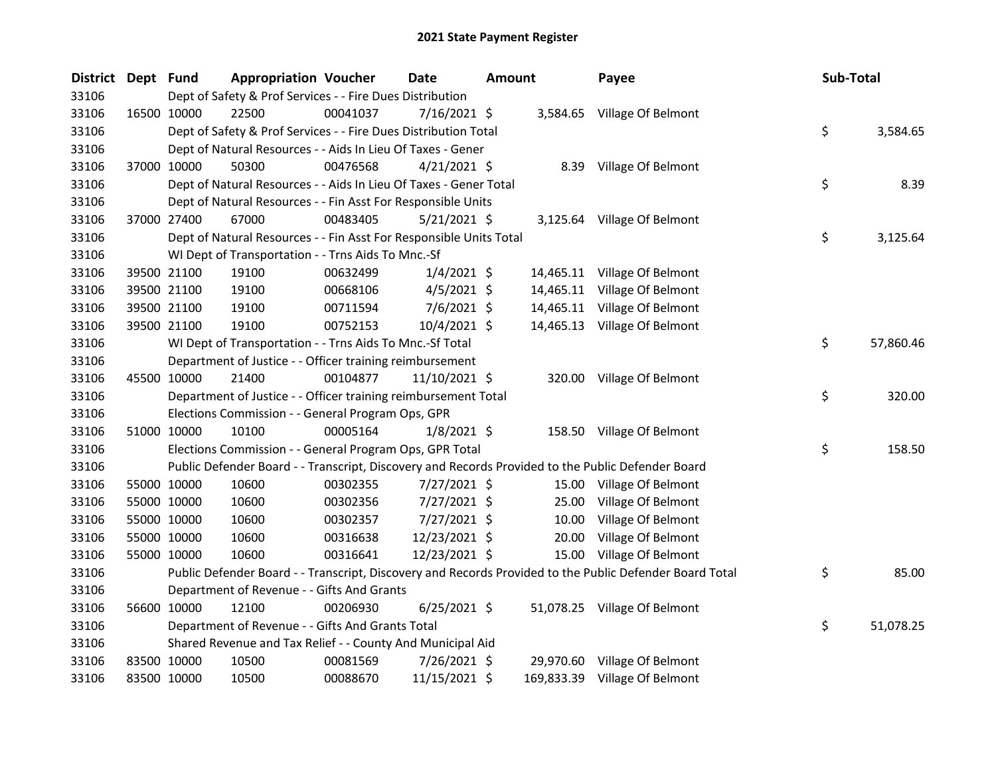| <b>District</b> | Dept Fund |             | <b>Appropriation Voucher</b>                                       |          | <b>Date</b>    | <b>Amount</b> |       | Payee                                                                                                   | Sub-Total       |
|-----------------|-----------|-------------|--------------------------------------------------------------------|----------|----------------|---------------|-------|---------------------------------------------------------------------------------------------------------|-----------------|
| 33106           |           |             | Dept of Safety & Prof Services - - Fire Dues Distribution          |          |                |               |       |                                                                                                         |                 |
| 33106           |           | 16500 10000 | 22500                                                              | 00041037 | 7/16/2021 \$   |               |       | 3,584.65 Village Of Belmont                                                                             |                 |
| 33106           |           |             | Dept of Safety & Prof Services - - Fire Dues Distribution Total    |          |                |               |       |                                                                                                         | \$<br>3,584.65  |
| 33106           |           |             | Dept of Natural Resources - - Aids In Lieu Of Taxes - Gener        |          |                |               |       |                                                                                                         |                 |
| 33106           |           | 37000 10000 | 50300                                                              | 00476568 | $4/21/2021$ \$ |               |       | 8.39 Village Of Belmont                                                                                 |                 |
| 33106           |           |             | Dept of Natural Resources - - Aids In Lieu Of Taxes - Gener Total  |          |                |               |       |                                                                                                         | \$<br>8.39      |
| 33106           |           |             | Dept of Natural Resources - - Fin Asst For Responsible Units       |          |                |               |       |                                                                                                         |                 |
| 33106           |           | 37000 27400 | 67000                                                              | 00483405 | $5/21/2021$ \$ |               |       | 3,125.64 Village Of Belmont                                                                             |                 |
| 33106           |           |             | Dept of Natural Resources - - Fin Asst For Responsible Units Total |          |                |               |       |                                                                                                         | \$<br>3,125.64  |
| 33106           |           |             | WI Dept of Transportation - - Trns Aids To Mnc.-Sf                 |          |                |               |       |                                                                                                         |                 |
| 33106           |           | 39500 21100 | 19100                                                              | 00632499 | $1/4/2021$ \$  |               |       | 14,465.11 Village Of Belmont                                                                            |                 |
| 33106           |           | 39500 21100 | 19100                                                              | 00668106 | $4/5/2021$ \$  |               |       | 14,465.11 Village Of Belmont                                                                            |                 |
| 33106           |           | 39500 21100 | 19100                                                              | 00711594 | $7/6/2021$ \$  |               |       | 14,465.11 Village Of Belmont                                                                            |                 |
| 33106           |           | 39500 21100 | 19100                                                              | 00752153 | 10/4/2021 \$   |               |       | 14,465.13 Village Of Belmont                                                                            |                 |
| 33106           |           |             | WI Dept of Transportation - - Trns Aids To Mnc.-Sf Total           |          |                |               |       |                                                                                                         | \$<br>57,860.46 |
| 33106           |           |             | Department of Justice - - Officer training reimbursement           |          |                |               |       |                                                                                                         |                 |
| 33106           |           | 45500 10000 | 21400                                                              | 00104877 | 11/10/2021 \$  |               |       | 320.00 Village Of Belmont                                                                               |                 |
| 33106           |           |             | Department of Justice - - Officer training reimbursement Total     |          |                |               |       |                                                                                                         | \$<br>320.00    |
| 33106           |           |             | Elections Commission - - General Program Ops, GPR                  |          |                |               |       |                                                                                                         |                 |
| 33106           |           | 51000 10000 | 10100                                                              | 00005164 | $1/8/2021$ \$  |               |       | 158.50 Village Of Belmont                                                                               |                 |
| 33106           |           |             | Elections Commission - - General Program Ops, GPR Total            |          |                |               |       |                                                                                                         | \$<br>158.50    |
| 33106           |           |             |                                                                    |          |                |               |       | Public Defender Board - - Transcript, Discovery and Records Provided to the Public Defender Board       |                 |
| 33106           |           | 55000 10000 | 10600                                                              | 00302355 | 7/27/2021 \$   |               |       | 15.00 Village Of Belmont                                                                                |                 |
| 33106           |           | 55000 10000 | 10600                                                              | 00302356 | 7/27/2021 \$   |               | 25.00 | Village Of Belmont                                                                                      |                 |
| 33106           |           | 55000 10000 | 10600                                                              | 00302357 | 7/27/2021 \$   |               | 10.00 | Village Of Belmont                                                                                      |                 |
| 33106           |           | 55000 10000 | 10600                                                              | 00316638 | 12/23/2021 \$  |               | 20.00 | Village Of Belmont                                                                                      |                 |
| 33106           |           | 55000 10000 | 10600                                                              | 00316641 | 12/23/2021 \$  |               |       | 15.00 Village Of Belmont                                                                                |                 |
| 33106           |           |             |                                                                    |          |                |               |       | Public Defender Board - - Transcript, Discovery and Records Provided to the Public Defender Board Total | \$<br>85.00     |
| 33106           |           |             | Department of Revenue - - Gifts And Grants                         |          |                |               |       |                                                                                                         |                 |
| 33106           |           | 56600 10000 | 12100                                                              | 00206930 | $6/25/2021$ \$ |               |       | 51,078.25 Village Of Belmont                                                                            |                 |
| 33106           |           |             | Department of Revenue - - Gifts And Grants Total                   |          |                |               |       |                                                                                                         | \$<br>51,078.25 |
| 33106           |           |             | Shared Revenue and Tax Relief - - County And Municipal Aid         |          |                |               |       |                                                                                                         |                 |
| 33106           |           | 83500 10000 | 10500                                                              | 00081569 | 7/26/2021 \$   |               |       | 29,970.60 Village Of Belmont                                                                            |                 |
| 33106           |           | 83500 10000 | 10500                                                              | 00088670 | 11/15/2021 \$  |               |       | 169,833.39 Village Of Belmont                                                                           |                 |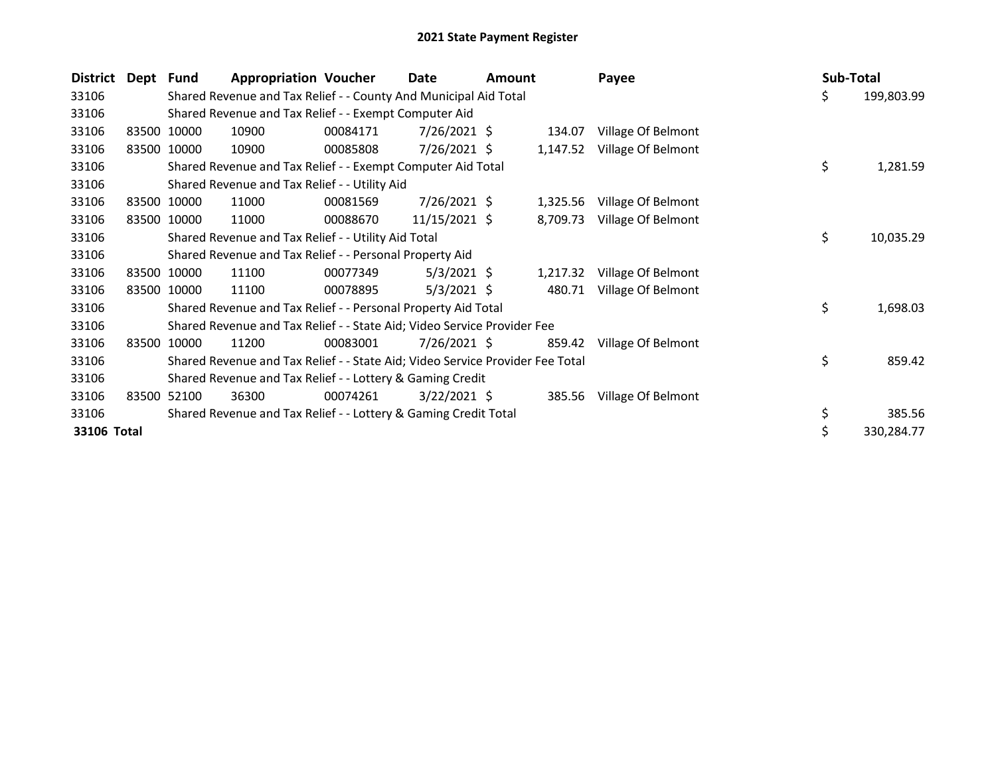| <b>District</b> | Dept Fund |             | <b>Appropriation Voucher</b>                                                  |          | Date            | Amount |          | Payee              | <b>Sub-Total</b> |            |
|-----------------|-----------|-------------|-------------------------------------------------------------------------------|----------|-----------------|--------|----------|--------------------|------------------|------------|
| 33106           |           |             | Shared Revenue and Tax Relief - - County And Municipal Aid Total              |          |                 |        |          |                    | \$               | 199,803.99 |
| 33106           |           |             | Shared Revenue and Tax Relief - - Exempt Computer Aid                         |          |                 |        |          |                    |                  |            |
| 33106           |           | 83500 10000 | 10900                                                                         | 00084171 | $7/26/2021$ \$  |        | 134.07   | Village Of Belmont |                  |            |
| 33106           |           | 83500 10000 | 10900                                                                         | 00085808 | $7/26/2021$ \$  |        | 1,147.52 | Village Of Belmont |                  |            |
| 33106           |           |             | Shared Revenue and Tax Relief - - Exempt Computer Aid Total                   |          |                 |        |          |                    | \$               | 1,281.59   |
| 33106           |           |             | Shared Revenue and Tax Relief - - Utility Aid                                 |          |                 |        |          |                    |                  |            |
| 33106           |           | 83500 10000 | 11000                                                                         | 00081569 | $7/26/2021$ \$  |        | 1,325.56 | Village Of Belmont |                  |            |
| 33106           |           | 83500 10000 | 11000                                                                         | 00088670 | $11/15/2021$ \$ |        | 8,709.73 | Village Of Belmont |                  |            |
| 33106           |           |             | Shared Revenue and Tax Relief - - Utility Aid Total                           |          |                 |        |          |                    | \$               | 10,035.29  |
| 33106           |           |             | Shared Revenue and Tax Relief - - Personal Property Aid                       |          |                 |        |          |                    |                  |            |
| 33106           |           | 83500 10000 | 11100                                                                         | 00077349 | $5/3/2021$ \$   |        | 1,217.32 | Village Of Belmont |                  |            |
| 33106           |           | 83500 10000 | 11100                                                                         | 00078895 | $5/3/2021$ \$   |        | 480.71   | Village Of Belmont |                  |            |
| 33106           |           |             | Shared Revenue and Tax Relief - - Personal Property Aid Total                 |          |                 |        |          |                    | \$               | 1,698.03   |
| 33106           |           |             | Shared Revenue and Tax Relief - - State Aid; Video Service Provider Fee       |          |                 |        |          |                    |                  |            |
| 33106           |           | 83500 10000 | 11200                                                                         | 00083001 | $7/26/2021$ \$  |        | 859.42   | Village Of Belmont |                  |            |
| 33106           |           |             | Shared Revenue and Tax Relief - - State Aid; Video Service Provider Fee Total |          |                 |        |          |                    | \$               | 859.42     |
| 33106           |           |             | Shared Revenue and Tax Relief - - Lottery & Gaming Credit                     |          |                 |        |          |                    |                  |            |
| 33106           | 83500     | 52100       | 36300                                                                         | 00074261 | $3/22/2021$ \$  |        | 385.56   | Village Of Belmont |                  |            |
| 33106           |           |             | Shared Revenue and Tax Relief - - Lottery & Gaming Credit Total               |          |                 |        |          |                    | \$               | 385.56     |
| 33106 Total     |           |             |                                                                               |          |                 |        |          |                    | \$               | 330,284.77 |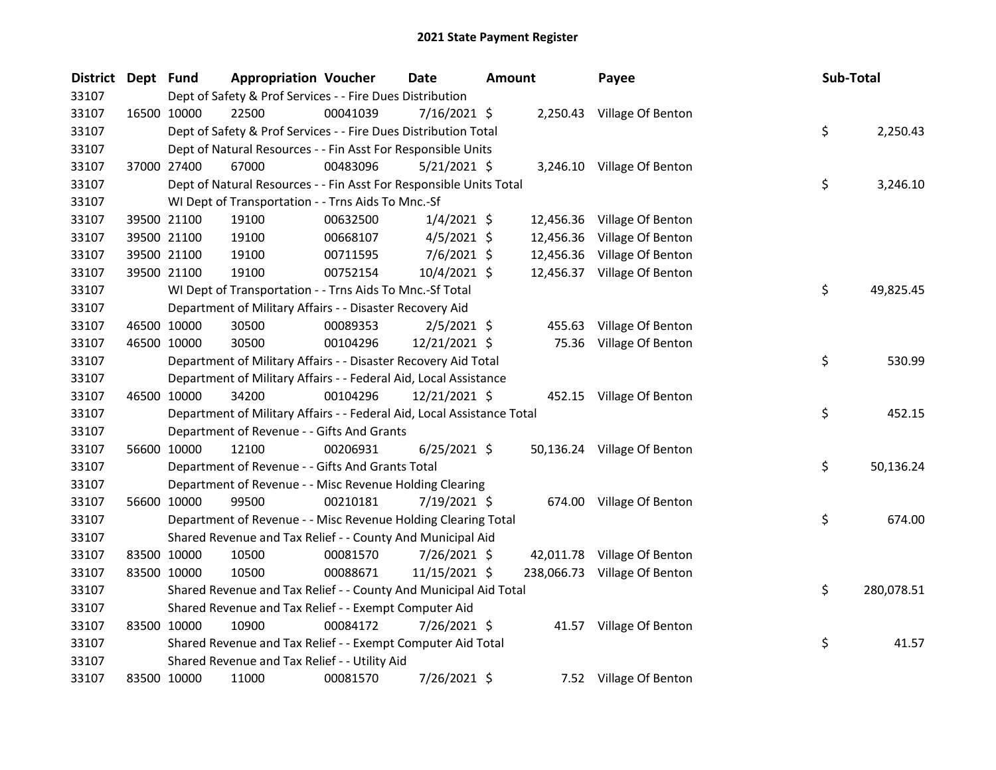| <b>District</b> | Dept Fund |             | <b>Appropriation Voucher</b>                                           |          | Date           | Amount |           | Payee                        | Sub-Total |            |
|-----------------|-----------|-------------|------------------------------------------------------------------------|----------|----------------|--------|-----------|------------------------------|-----------|------------|
| 33107           |           |             | Dept of Safety & Prof Services - - Fire Dues Distribution              |          |                |        |           |                              |           |            |
| 33107           |           | 16500 10000 | 22500                                                                  | 00041039 | $7/16/2021$ \$ |        |           | 2,250.43 Village Of Benton   |           |            |
| 33107           |           |             | Dept of Safety & Prof Services - - Fire Dues Distribution Total        |          |                |        |           |                              | \$        | 2,250.43   |
| 33107           |           |             | Dept of Natural Resources - - Fin Asst For Responsible Units           |          |                |        |           |                              |           |            |
| 33107           |           | 37000 27400 | 67000                                                                  | 00483096 | $5/21/2021$ \$ |        |           | 3,246.10 Village Of Benton   |           |            |
| 33107           |           |             | Dept of Natural Resources - - Fin Asst For Responsible Units Total     |          |                |        |           |                              | \$        | 3,246.10   |
| 33107           |           |             | WI Dept of Transportation - - Trns Aids To Mnc.-Sf                     |          |                |        |           |                              |           |            |
| 33107           |           | 39500 21100 | 19100                                                                  | 00632500 | $1/4/2021$ \$  |        | 12,456.36 | Village Of Benton            |           |            |
| 33107           |           | 39500 21100 | 19100                                                                  | 00668107 | $4/5/2021$ \$  |        | 12,456.36 | Village Of Benton            |           |            |
| 33107           |           | 39500 21100 | 19100                                                                  | 00711595 | 7/6/2021 \$    |        |           | 12,456.36 Village Of Benton  |           |            |
| 33107           |           | 39500 21100 | 19100                                                                  | 00752154 | 10/4/2021 \$   |        |           | 12,456.37 Village Of Benton  |           |            |
| 33107           |           |             | WI Dept of Transportation - - Trns Aids To Mnc.-Sf Total               |          |                |        |           |                              | \$        | 49,825.45  |
| 33107           |           |             | Department of Military Affairs - - Disaster Recovery Aid               |          |                |        |           |                              |           |            |
| 33107           |           | 46500 10000 | 30500                                                                  | 00089353 | $2/5/2021$ \$  |        | 455.63    | Village Of Benton            |           |            |
| 33107           |           | 46500 10000 | 30500                                                                  | 00104296 | 12/21/2021 \$  |        | 75.36     | Village Of Benton            |           |            |
| 33107           |           |             | Department of Military Affairs - - Disaster Recovery Aid Total         |          |                |        |           |                              | \$        | 530.99     |
| 33107           |           |             | Department of Military Affairs - - Federal Aid, Local Assistance       |          |                |        |           |                              |           |            |
| 33107           |           | 46500 10000 | 34200                                                                  | 00104296 | 12/21/2021 \$  |        |           | 452.15 Village Of Benton     |           |            |
| 33107           |           |             | Department of Military Affairs - - Federal Aid, Local Assistance Total |          |                |        |           |                              | \$        | 452.15     |
| 33107           |           |             | Department of Revenue - - Gifts And Grants                             |          |                |        |           |                              |           |            |
| 33107           |           | 56600 10000 | 12100                                                                  | 00206931 | $6/25/2021$ \$ |        |           | 50,136.24 Village Of Benton  |           |            |
| 33107           |           |             | Department of Revenue - - Gifts And Grants Total                       |          |                |        |           |                              | \$        | 50,136.24  |
| 33107           |           |             | Department of Revenue - - Misc Revenue Holding Clearing                |          |                |        |           |                              |           |            |
| 33107           |           | 56600 10000 | 99500                                                                  | 00210181 | 7/19/2021 \$   |        | 674.00    | Village Of Benton            |           |            |
| 33107           |           |             | Department of Revenue - - Misc Revenue Holding Clearing Total          |          |                |        |           |                              | \$        | 674.00     |
| 33107           |           |             | Shared Revenue and Tax Relief - - County And Municipal Aid             |          |                |        |           |                              |           |            |
| 33107           |           | 83500 10000 | 10500                                                                  | 00081570 | 7/26/2021 \$   |        |           | 42,011.78 Village Of Benton  |           |            |
| 33107           |           | 83500 10000 | 10500                                                                  | 00088671 | 11/15/2021 \$  |        |           | 238,066.73 Village Of Benton |           |            |
| 33107           |           |             | Shared Revenue and Tax Relief - - County And Municipal Aid Total       |          |                |        |           |                              | \$        | 280,078.51 |
| 33107           |           |             | Shared Revenue and Tax Relief - - Exempt Computer Aid                  |          |                |        |           |                              |           |            |
| 33107           |           | 83500 10000 | 10900                                                                  | 00084172 | 7/26/2021 \$   |        |           | 41.57 Village Of Benton      |           |            |
| 33107           |           |             | Shared Revenue and Tax Relief - - Exempt Computer Aid Total            |          |                |        |           |                              | \$        | 41.57      |
| 33107           |           |             | Shared Revenue and Tax Relief - - Utility Aid                          |          |                |        |           |                              |           |            |
| 33107           |           | 83500 10000 | 11000                                                                  | 00081570 | 7/26/2021 \$   |        |           | 7.52 Village Of Benton       |           |            |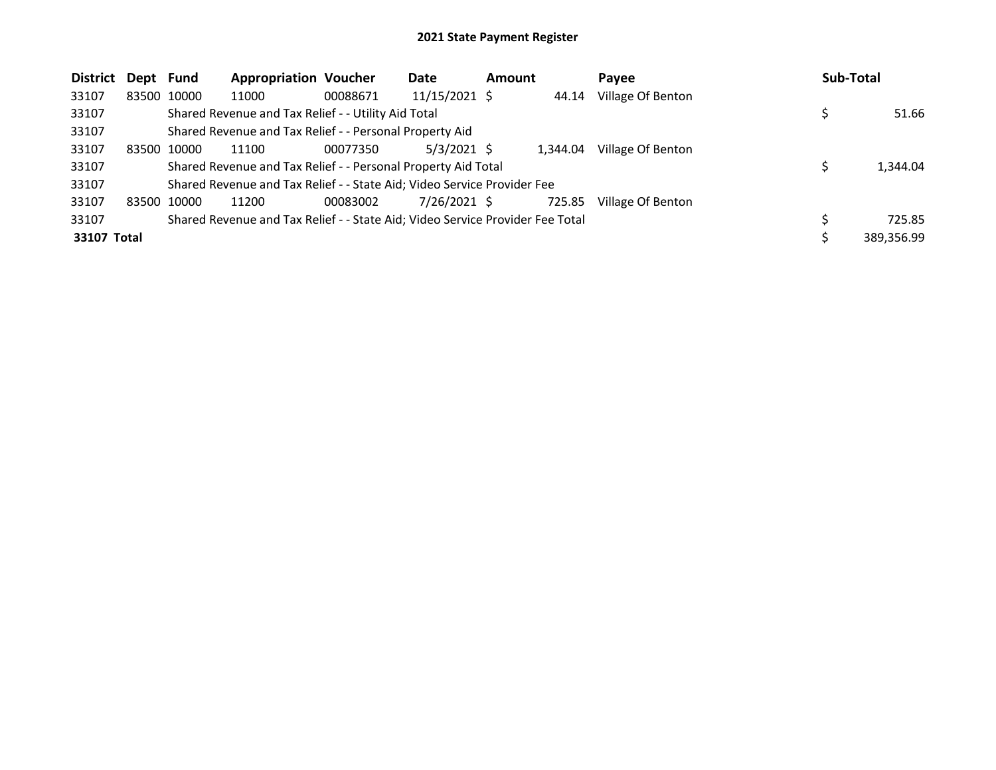| <b>District</b> | Dept Fund |             | <b>Appropriation Voucher</b>                                                  |          | Date           | <b>Amount</b> |          | Pavee             | <b>Sub-Total</b> |
|-----------------|-----------|-------------|-------------------------------------------------------------------------------|----------|----------------|---------------|----------|-------------------|------------------|
| 33107           |           | 83500 10000 | 11000                                                                         | 00088671 | 11/15/2021 \$  |               | 44.14    | Village Of Benton |                  |
| 33107           |           |             | Shared Revenue and Tax Relief - - Utility Aid Total                           |          |                |               |          |                   | 51.66            |
| 33107           |           |             | Shared Revenue and Tax Relief - - Personal Property Aid                       |          |                |               |          |                   |                  |
| 33107           |           | 83500 10000 | 11100                                                                         | 00077350 | $5/3/2021$ \$  |               | 1.344.04 | Village Of Benton |                  |
| 33107           |           |             | Shared Revenue and Tax Relief - - Personal Property Aid Total                 |          |                |               |          |                   | 1,344.04         |
| 33107           |           |             | Shared Revenue and Tax Relief - - State Aid; Video Service Provider Fee       |          |                |               |          |                   |                  |
| 33107           |           | 83500 10000 | 11200                                                                         | 00083002 | $7/26/2021$ \$ |               | 725.85   | Village Of Benton |                  |
| 33107           |           |             | Shared Revenue and Tax Relief - - State Aid; Video Service Provider Fee Total |          |                |               |          |                   | 725.85           |
| 33107 Total     |           |             |                                                                               |          |                |               |          |                   | 389,356.99       |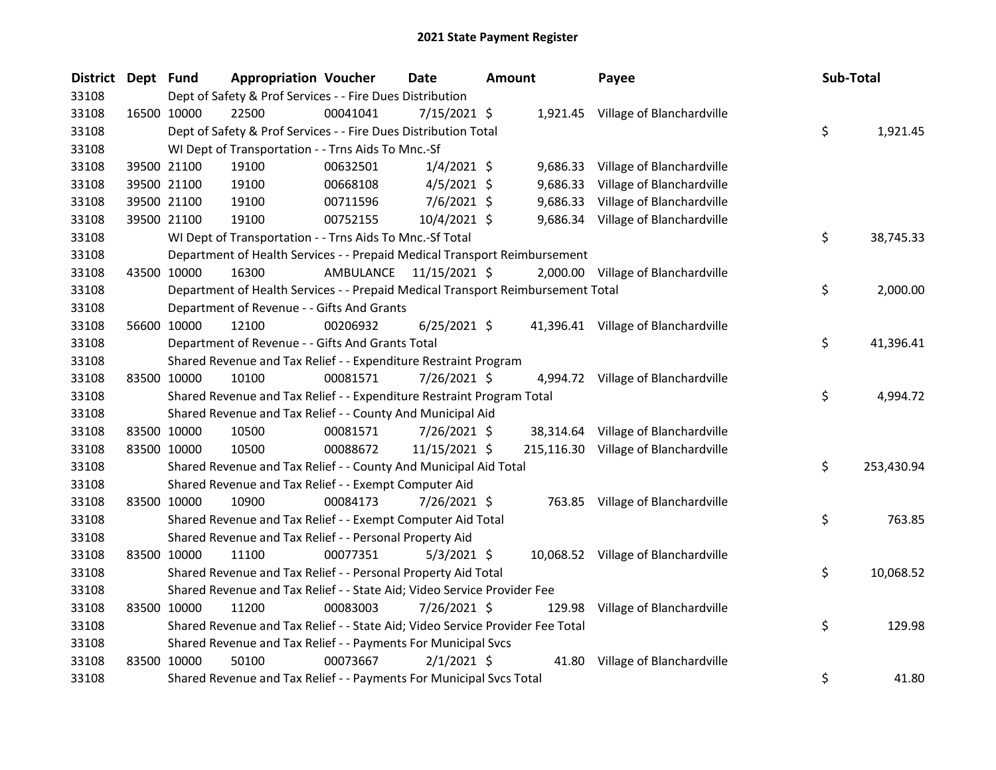| District Dept Fund |             | <b>Appropriation Voucher</b>                                                    |                         | <b>Date</b>    | <b>Amount</b> |          | Payee                                | <b>Sub-Total</b> |            |
|--------------------|-------------|---------------------------------------------------------------------------------|-------------------------|----------------|---------------|----------|--------------------------------------|------------------|------------|
| 33108              |             | Dept of Safety & Prof Services - - Fire Dues Distribution                       |                         |                |               |          |                                      |                  |            |
| 33108              | 16500 10000 | 22500                                                                           | 00041041                | $7/15/2021$ \$ |               |          | 1,921.45 Village of Blanchardville   |                  |            |
| 33108              |             | Dept of Safety & Prof Services - - Fire Dues Distribution Total                 |                         |                |               |          |                                      | \$               | 1,921.45   |
| 33108              |             | WI Dept of Transportation - - Trns Aids To Mnc.-Sf                              |                         |                |               |          |                                      |                  |            |
| 33108              | 39500 21100 | 19100                                                                           | 00632501                | $1/4/2021$ \$  |               |          | 9,686.33 Village of Blanchardville   |                  |            |
| 33108              | 39500 21100 | 19100                                                                           | 00668108                | $4/5/2021$ \$  |               | 9,686.33 | Village of Blanchardville            |                  |            |
| 33108              | 39500 21100 | 19100                                                                           | 00711596                | $7/6/2021$ \$  |               | 9,686.33 | Village of Blanchardville            |                  |            |
| 33108              | 39500 21100 | 19100                                                                           | 00752155                | 10/4/2021 \$   |               |          | 9,686.34 Village of Blanchardville   |                  |            |
| 33108              |             | WI Dept of Transportation - - Trns Aids To Mnc.-Sf Total                        |                         |                |               |          |                                      | \$               | 38,745.33  |
| 33108              |             | Department of Health Services - - Prepaid Medical Transport Reimbursement       |                         |                |               |          |                                      |                  |            |
| 33108              | 43500 10000 | 16300                                                                           | AMBULANCE 11/15/2021 \$ |                |               |          | 2,000.00 Village of Blanchardville   |                  |            |
| 33108              |             | Department of Health Services - - Prepaid Medical Transport Reimbursement Total |                         |                |               |          |                                      | \$               | 2,000.00   |
| 33108              |             | Department of Revenue - - Gifts And Grants                                      |                         |                |               |          |                                      |                  |            |
| 33108              | 56600 10000 | 12100                                                                           | 00206932                | $6/25/2021$ \$ |               |          | 41,396.41 Village of Blanchardville  |                  |            |
| 33108              |             | Department of Revenue - - Gifts And Grants Total                                |                         |                |               |          |                                      | \$               | 41,396.41  |
| 33108              |             | Shared Revenue and Tax Relief - - Expenditure Restraint Program                 |                         |                |               |          |                                      |                  |            |
| 33108              | 83500 10000 | 10100                                                                           | 00081571                | 7/26/2021 \$   |               |          | 4,994.72 Village of Blanchardville   |                  |            |
| 33108              |             | Shared Revenue and Tax Relief - - Expenditure Restraint Program Total           |                         |                |               |          |                                      | \$               | 4,994.72   |
| 33108              |             | Shared Revenue and Tax Relief - - County And Municipal Aid                      |                         |                |               |          |                                      |                  |            |
| 33108              | 83500 10000 | 10500                                                                           | 00081571                | 7/26/2021 \$   |               |          | 38,314.64 Village of Blanchardville  |                  |            |
| 33108              | 83500 10000 | 10500                                                                           | 00088672                | 11/15/2021 \$  |               |          | 215,116.30 Village of Blanchardville |                  |            |
| 33108              |             | Shared Revenue and Tax Relief - - County And Municipal Aid Total                |                         |                |               |          |                                      | \$               | 253,430.94 |
| 33108              |             | Shared Revenue and Tax Relief - - Exempt Computer Aid                           |                         |                |               |          |                                      |                  |            |
| 33108              | 83500 10000 | 10900                                                                           | 00084173                | 7/26/2021 \$   |               |          | 763.85 Village of Blanchardville     |                  |            |
| 33108              |             | Shared Revenue and Tax Relief - - Exempt Computer Aid Total                     |                         |                |               |          |                                      | \$               | 763.85     |
| 33108              |             | Shared Revenue and Tax Relief - - Personal Property Aid                         |                         |                |               |          |                                      |                  |            |
| 33108              | 83500 10000 | 11100                                                                           | 00077351                | $5/3/2021$ \$  |               |          | 10,068.52 Village of Blanchardville  |                  |            |
| 33108              |             | Shared Revenue and Tax Relief - - Personal Property Aid Total                   |                         |                |               |          |                                      | \$               | 10,068.52  |
| 33108              |             | Shared Revenue and Tax Relief - - State Aid; Video Service Provider Fee         |                         |                |               |          |                                      |                  |            |
| 33108              | 83500 10000 | 11200                                                                           | 00083003                | 7/26/2021 \$   |               | 129.98   | Village of Blanchardville            |                  |            |
| 33108              |             | Shared Revenue and Tax Relief - - State Aid; Video Service Provider Fee Total   |                         |                |               |          |                                      | \$               | 129.98     |
| 33108              |             | Shared Revenue and Tax Relief - - Payments For Municipal Svcs                   |                         |                |               |          |                                      |                  |            |
| 33108              | 83500 10000 | 50100                                                                           | 00073667                | $2/1/2021$ \$  |               |          | 41.80 Village of Blanchardville      |                  |            |
| 33108              |             | Shared Revenue and Tax Relief - - Payments For Municipal Svcs Total             |                         |                |               |          |                                      | \$               | 41.80      |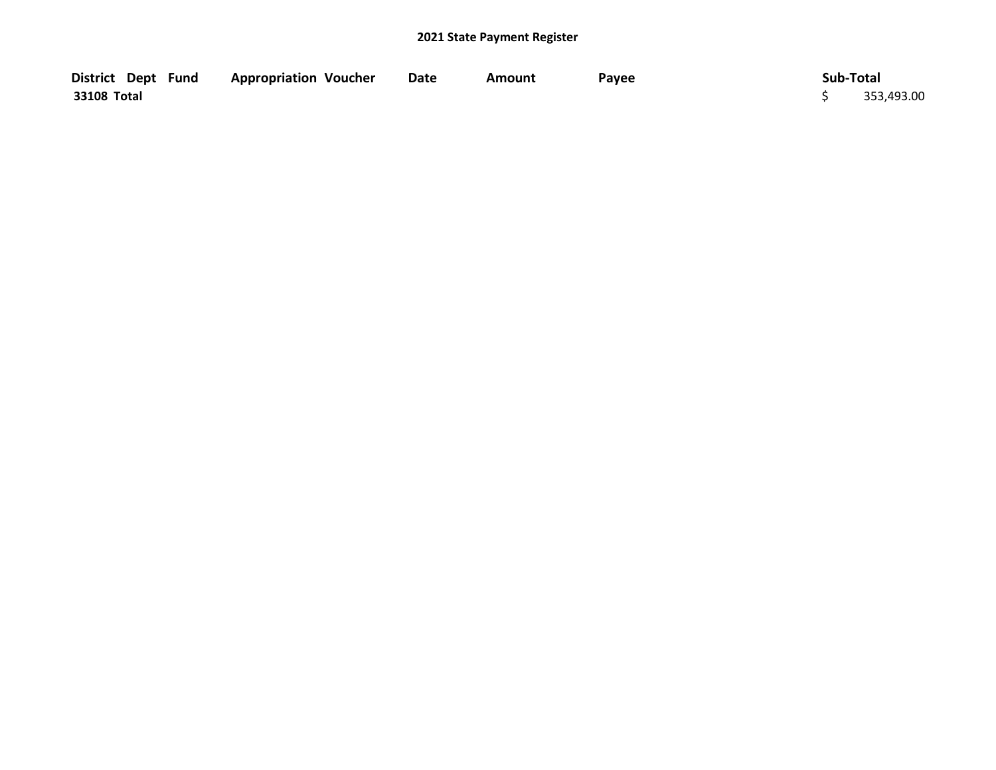| District Dept Fund | <b>Appropriation Voucher</b> | <b>Date</b> | Amount | Payee | Sub-Total |            |
|--------------------|------------------------------|-------------|--------|-------|-----------|------------|
| 33108 Total        |                              |             |        |       |           | 353,493.00 |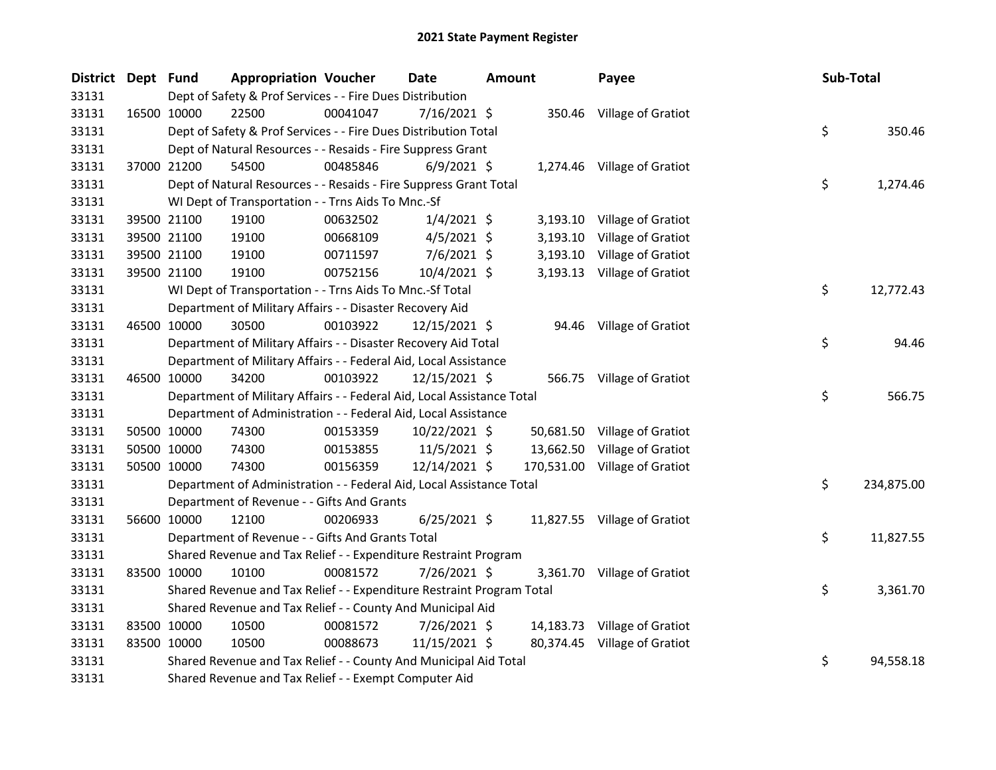| District Dept Fund |             |                                                                        | <b>Appropriation Voucher</b> | <b>Date</b>    | <b>Amount</b> |          | Payee                         | Sub-Total |            |
|--------------------|-------------|------------------------------------------------------------------------|------------------------------|----------------|---------------|----------|-------------------------------|-----------|------------|
| 33131              |             | Dept of Safety & Prof Services - - Fire Dues Distribution              |                              |                |               |          |                               |           |            |
| 33131              |             | 22500<br>16500 10000                                                   | 00041047                     | 7/16/2021 \$   |               |          | 350.46 Village of Gratiot     |           |            |
| 33131              |             | Dept of Safety & Prof Services - - Fire Dues Distribution Total        |                              |                |               |          |                               | \$        | 350.46     |
| 33131              |             | Dept of Natural Resources - - Resaids - Fire Suppress Grant            |                              |                |               |          |                               |           |            |
| 33131              |             | 54500<br>37000 21200                                                   | 00485846                     | $6/9/2021$ \$  |               |          | 1,274.46 Village of Gratiot   |           |            |
| 33131              |             | Dept of Natural Resources - - Resaids - Fire Suppress Grant Total      |                              |                |               |          |                               | \$        | 1,274.46   |
| 33131              |             | WI Dept of Transportation - - Trns Aids To Mnc.-Sf                     |                              |                |               |          |                               |           |            |
| 33131              |             | 19100<br>39500 21100                                                   | 00632502                     | $1/4/2021$ \$  |               |          | 3,193.10 Village of Gratiot   |           |            |
| 33131              |             | 39500 21100<br>19100                                                   | 00668109                     | $4/5/2021$ \$  |               | 3,193.10 | Village of Gratiot            |           |            |
| 33131              |             | 39500 21100<br>19100                                                   | 00711597                     | $7/6/2021$ \$  |               | 3,193.10 | <b>Village of Gratiot</b>     |           |            |
| 33131              |             | 39500 21100<br>19100                                                   | 00752156                     | 10/4/2021 \$   |               |          | 3,193.13 Village of Gratiot   |           |            |
| 33131              |             | WI Dept of Transportation - - Trns Aids To Mnc.-Sf Total               |                              |                |               |          |                               | \$        | 12,772.43  |
| 33131              |             | Department of Military Affairs - - Disaster Recovery Aid               |                              |                |               |          |                               |           |            |
| 33131              | 46500 10000 | 30500                                                                  | 00103922                     | 12/15/2021 \$  |               |          | 94.46 Village of Gratiot      |           |            |
| 33131              |             | Department of Military Affairs - - Disaster Recovery Aid Total         |                              |                |               |          |                               | \$        | 94.46      |
| 33131              |             | Department of Military Affairs - - Federal Aid, Local Assistance       |                              |                |               |          |                               |           |            |
| 33131              | 46500 10000 | 34200                                                                  | 00103922                     | 12/15/2021 \$  |               |          | 566.75 Village of Gratiot     |           |            |
| 33131              |             | Department of Military Affairs - - Federal Aid, Local Assistance Total |                              |                |               |          |                               | \$        | 566.75     |
| 33131              |             | Department of Administration - - Federal Aid, Local Assistance         |                              |                |               |          |                               |           |            |
| 33131              |             | 50500 10000<br>74300                                                   | 00153359                     | 10/22/2021 \$  |               |          | 50,681.50 Village of Gratiot  |           |            |
| 33131              |             | 50500 10000<br>74300                                                   | 00153855                     | $11/5/2021$ \$ |               |          | 13,662.50 Village of Gratiot  |           |            |
| 33131              |             | 50500 10000<br>74300                                                   | 00156359                     | 12/14/2021 \$  |               |          | 170,531.00 Village of Gratiot |           |            |
| 33131              |             | Department of Administration - - Federal Aid, Local Assistance Total   |                              |                |               |          |                               | \$        | 234,875.00 |
| 33131              |             | Department of Revenue - - Gifts And Grants                             |                              |                |               |          |                               |           |            |
| 33131              |             | 56600 10000<br>12100                                                   | 00206933                     | $6/25/2021$ \$ |               |          | 11,827.55 Village of Gratiot  |           |            |
| 33131              |             | Department of Revenue - - Gifts And Grants Total                       |                              |                |               |          |                               | \$        | 11,827.55  |
| 33131              |             | Shared Revenue and Tax Relief - - Expenditure Restraint Program        |                              |                |               |          |                               |           |            |
| 33131              | 83500 10000 | 10100                                                                  | 00081572                     | 7/26/2021 \$   |               |          | 3,361.70 Village of Gratiot   |           |            |
| 33131              |             | Shared Revenue and Tax Relief - - Expenditure Restraint Program Total  |                              |                |               |          |                               | \$        | 3,361.70   |
| 33131              |             | Shared Revenue and Tax Relief - - County And Municipal Aid             |                              |                |               |          |                               |           |            |
| 33131              |             | 83500 10000<br>10500                                                   | 00081572                     | 7/26/2021 \$   |               |          | 14,183.73 Village of Gratiot  |           |            |
| 33131              | 83500 10000 | 10500                                                                  | 00088673                     | 11/15/2021 \$  |               |          | 80,374.45 Village of Gratiot  |           |            |
| 33131              |             | Shared Revenue and Tax Relief - - County And Municipal Aid Total       |                              |                |               |          |                               | \$        | 94,558.18  |
| 33131              |             | Shared Revenue and Tax Relief - - Exempt Computer Aid                  |                              |                |               |          |                               |           |            |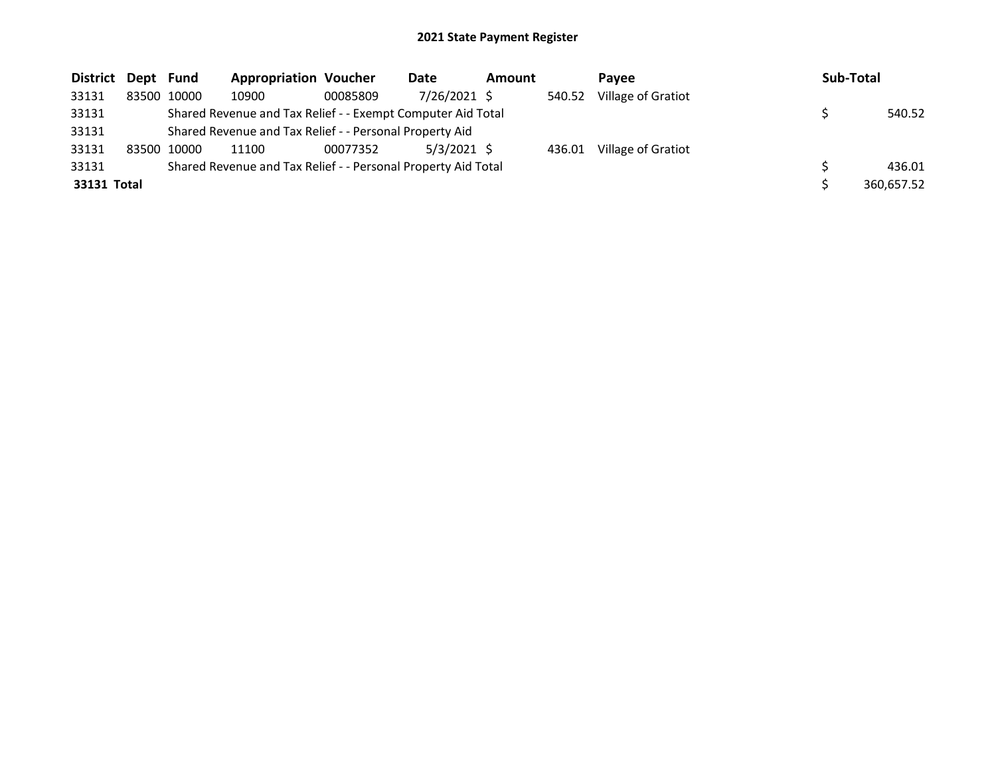| District Dept Fund |             | <b>Appropriation Voucher</b>                                  |          | Date          | <b>Amount</b> |        | Pavee              | Sub-Total  |
|--------------------|-------------|---------------------------------------------------------------|----------|---------------|---------------|--------|--------------------|------------|
| 33131              | 83500 10000 | 10900                                                         | 00085809 | 7/26/2021 \$  |               | 540.52 | Village of Gratiot |            |
| 33131              |             | Shared Revenue and Tax Relief - - Exempt Computer Aid Total   |          |               |               |        |                    | 540.52     |
| 33131              |             | Shared Revenue and Tax Relief - - Personal Property Aid       |          |               |               |        |                    |            |
| 33131              | 83500 10000 | 11100                                                         | 00077352 | $5/3/2021$ \$ |               | 436.01 | Village of Gratiot |            |
| 33131              |             | Shared Revenue and Tax Relief - - Personal Property Aid Total |          |               |               |        |                    | 436.01     |
| 33131 Total        |             |                                                               |          |               |               |        |                    | 360,657.52 |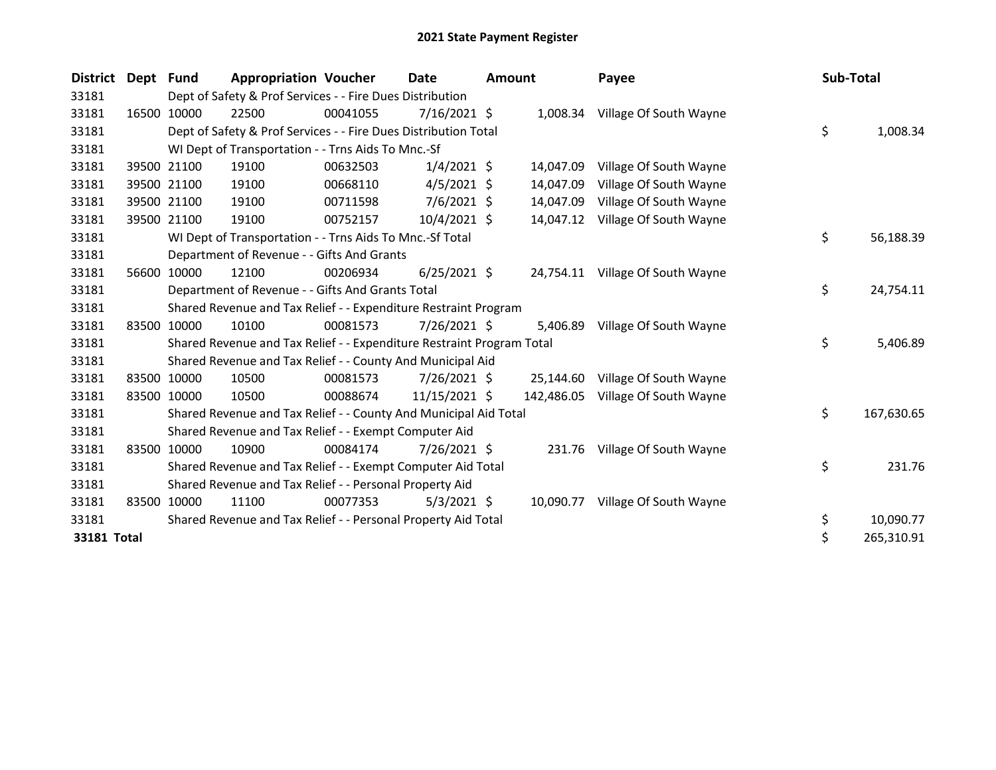| <b>District</b> | Dept  | <b>Fund</b> | <b>Appropriation Voucher</b>                                          |          | <b>Date</b>    | <b>Amount</b> |            | Payee                            | Sub-Total |            |
|-----------------|-------|-------------|-----------------------------------------------------------------------|----------|----------------|---------------|------------|----------------------------------|-----------|------------|
| 33181           |       |             | Dept of Safety & Prof Services - - Fire Dues Distribution             |          |                |               |            |                                  |           |            |
| 33181           |       | 16500 10000 | 22500                                                                 | 00041055 | $7/16/2021$ \$ |               |            | 1,008.34 Village Of South Wayne  |           |            |
| 33181           |       |             | Dept of Safety & Prof Services - - Fire Dues Distribution Total       |          |                |               |            |                                  | \$        | 1,008.34   |
| 33181           |       |             | WI Dept of Transportation - - Trns Aids To Mnc.-Sf                    |          |                |               |            |                                  |           |            |
| 33181           |       | 39500 21100 | 19100                                                                 | 00632503 | $1/4/2021$ \$  |               | 14,047.09  | Village Of South Wayne           |           |            |
| 33181           |       | 39500 21100 | 19100                                                                 | 00668110 | $4/5/2021$ \$  |               | 14,047.09  | Village Of South Wayne           |           |            |
| 33181           |       | 39500 21100 | 19100                                                                 | 00711598 | $7/6/2021$ \$  |               | 14,047.09  | Village Of South Wayne           |           |            |
| 33181           |       | 39500 21100 | 19100                                                                 | 00752157 | 10/4/2021 \$   |               | 14,047.12  | Village Of South Wayne           |           |            |
| 33181           |       |             | WI Dept of Transportation - - Trns Aids To Mnc.-Sf Total              |          |                |               |            |                                  | \$        | 56,188.39  |
| 33181           |       |             | Department of Revenue - - Gifts And Grants                            |          |                |               |            |                                  |           |            |
| 33181           | 56600 | 10000       | 12100                                                                 | 00206934 | $6/25/2021$ \$ |               |            | 24,754.11 Village Of South Wayne |           |            |
| 33181           |       |             | Department of Revenue - - Gifts And Grants Total                      |          |                |               |            |                                  | \$        | 24,754.11  |
| 33181           |       |             | Shared Revenue and Tax Relief - - Expenditure Restraint Program       |          |                |               |            |                                  |           |            |
| 33181           |       | 83500 10000 | 10100                                                                 | 00081573 | $7/26/2021$ \$ |               | 5,406.89   | Village Of South Wayne           |           |            |
| 33181           |       |             | Shared Revenue and Tax Relief - - Expenditure Restraint Program Total |          |                |               |            |                                  | \$        | 5,406.89   |
| 33181           |       |             | Shared Revenue and Tax Relief - - County And Municipal Aid            |          |                |               |            |                                  |           |            |
| 33181           |       | 83500 10000 | 10500                                                                 | 00081573 | $7/26/2021$ \$ |               | 25,144.60  | Village Of South Wayne           |           |            |
| 33181           |       | 83500 10000 | 10500                                                                 | 00088674 | 11/15/2021 \$  |               | 142,486.05 | Village Of South Wayne           |           |            |
| 33181           |       |             | Shared Revenue and Tax Relief - - County And Municipal Aid Total      |          |                |               |            |                                  | \$        | 167,630.65 |
| 33181           |       |             | Shared Revenue and Tax Relief - - Exempt Computer Aid                 |          |                |               |            |                                  |           |            |
| 33181           |       | 83500 10000 | 10900                                                                 | 00084174 | $7/26/2021$ \$ |               | 231.76     | Village Of South Wayne           |           |            |
| 33181           |       |             | Shared Revenue and Tax Relief - - Exempt Computer Aid Total           |          |                |               |            |                                  | \$        | 231.76     |
| 33181           |       |             | Shared Revenue and Tax Relief - - Personal Property Aid               |          |                |               |            |                                  |           |            |
| 33181           | 83500 | 10000       | 11100                                                                 | 00077353 | $5/3/2021$ \$  |               | 10,090.77  | Village Of South Wayne           |           |            |
| 33181           |       |             | Shared Revenue and Tax Relief - - Personal Property Aid Total         |          |                |               |            |                                  | \$        | 10,090.77  |
| 33181 Total     |       |             |                                                                       |          |                |               |            |                                  | \$        | 265,310.91 |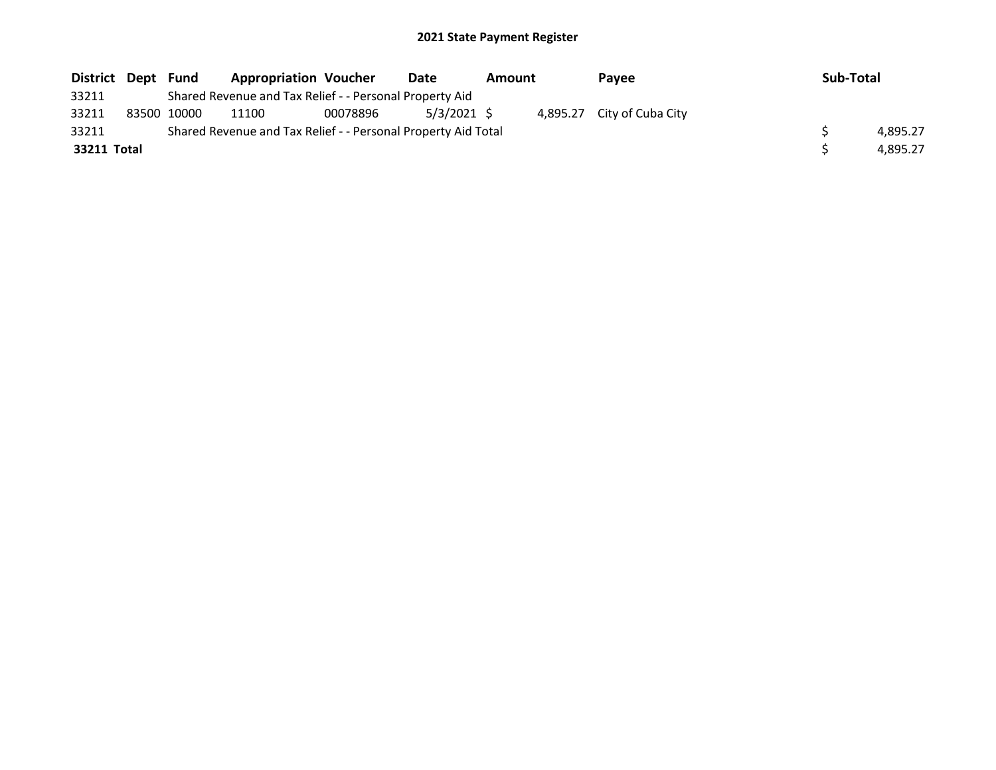| District Dept Fund |             | <b>Appropriation Voucher</b>                                  |          | Date          | Amount | Pavee                      | Sub-Total |          |
|--------------------|-------------|---------------------------------------------------------------|----------|---------------|--------|----------------------------|-----------|----------|
| 33211              |             | Shared Revenue and Tax Relief - - Personal Property Aid       |          |               |        |                            |           |          |
| 33211              | 83500 10000 | 11100                                                         | 00078896 | $5/3/2021$ \$ |        | 4,895.27 City of Cuba City |           |          |
| 33211              |             | Shared Revenue and Tax Relief - - Personal Property Aid Total |          |               |        |                            |           | 4.895.27 |
| 33211 Total        |             |                                                               |          |               |        |                            |           | 4.895.27 |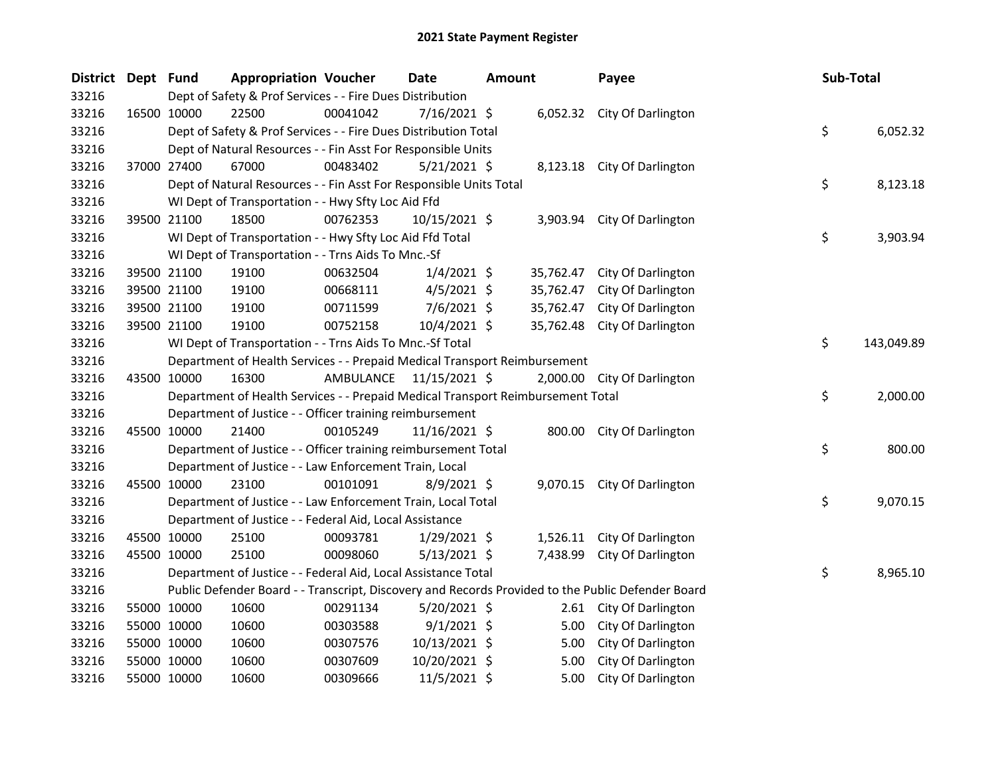| District Dept Fund |             |             | <b>Appropriation Voucher</b>                                                    |           | Date            | <b>Amount</b> |           | Payee                                                                                             | Sub-Total        |
|--------------------|-------------|-------------|---------------------------------------------------------------------------------|-----------|-----------------|---------------|-----------|---------------------------------------------------------------------------------------------------|------------------|
| 33216              |             |             | Dept of Safety & Prof Services - - Fire Dues Distribution                       |           |                 |               |           |                                                                                                   |                  |
| 33216              |             | 16500 10000 | 22500                                                                           | 00041042  | $7/16/2021$ \$  |               |           | 6,052.32 City Of Darlington                                                                       |                  |
| 33216              |             |             | Dept of Safety & Prof Services - - Fire Dues Distribution Total                 |           |                 |               |           |                                                                                                   | \$<br>6,052.32   |
| 33216              |             |             | Dept of Natural Resources - - Fin Asst For Responsible Units                    |           |                 |               |           |                                                                                                   |                  |
| 33216              |             | 37000 27400 | 67000                                                                           | 00483402  | $5/21/2021$ \$  |               |           | 8,123.18 City Of Darlington                                                                       |                  |
| 33216              |             |             | Dept of Natural Resources - - Fin Asst For Responsible Units Total              |           |                 |               |           |                                                                                                   | \$<br>8,123.18   |
| 33216              |             |             | WI Dept of Transportation - - Hwy Sfty Loc Aid Ffd                              |           |                 |               |           |                                                                                                   |                  |
| 33216              |             | 39500 21100 | 18500                                                                           | 00762353  | $10/15/2021$ \$ |               | 3,903.94  | City Of Darlington                                                                                |                  |
| 33216              |             |             | WI Dept of Transportation - - Hwy Sfty Loc Aid Ffd Total                        |           |                 |               |           |                                                                                                   | \$<br>3,903.94   |
| 33216              |             |             | WI Dept of Transportation - - Trns Aids To Mnc.-Sf                              |           |                 |               |           |                                                                                                   |                  |
| 33216              |             | 39500 21100 | 19100                                                                           | 00632504  | $1/4/2021$ \$   |               | 35,762.47 | City Of Darlington                                                                                |                  |
| 33216              |             | 39500 21100 | 19100                                                                           | 00668111  | $4/5/2021$ \$   |               | 35,762.47 | City Of Darlington                                                                                |                  |
| 33216              |             | 39500 21100 | 19100                                                                           | 00711599  | 7/6/2021 \$     |               | 35,762.47 | City Of Darlington                                                                                |                  |
| 33216              |             | 39500 21100 | 19100                                                                           | 00752158  | 10/4/2021 \$    |               | 35,762.48 | City Of Darlington                                                                                |                  |
| 33216              |             |             | WI Dept of Transportation - - Trns Aids To Mnc.-Sf Total                        |           |                 |               |           |                                                                                                   | \$<br>143,049.89 |
| 33216              |             |             | Department of Health Services - - Prepaid Medical Transport Reimbursement       |           |                 |               |           |                                                                                                   |                  |
| 33216              |             | 43500 10000 | 16300                                                                           | AMBULANCE | 11/15/2021 \$   |               |           | 2,000.00 City Of Darlington                                                                       |                  |
| 33216              |             |             | Department of Health Services - - Prepaid Medical Transport Reimbursement Total |           |                 |               |           |                                                                                                   | \$<br>2,000.00   |
| 33216              |             |             | Department of Justice - - Officer training reimbursement                        |           |                 |               |           |                                                                                                   |                  |
| 33216              |             | 45500 10000 | 21400                                                                           | 00105249  | 11/16/2021 \$   |               |           | 800.00 City Of Darlington                                                                         |                  |
| 33216              |             |             | Department of Justice - - Officer training reimbursement Total                  |           |                 |               |           |                                                                                                   | \$<br>800.00     |
| 33216              |             |             | Department of Justice - - Law Enforcement Train, Local                          |           |                 |               |           |                                                                                                   |                  |
| 33216              |             | 45500 10000 | 23100                                                                           | 00101091  | 8/9/2021 \$     |               |           | 9,070.15 City Of Darlington                                                                       |                  |
| 33216              |             |             | Department of Justice - - Law Enforcement Train, Local Total                    |           |                 |               |           |                                                                                                   | \$<br>9,070.15   |
| 33216              |             |             | Department of Justice - - Federal Aid, Local Assistance                         |           |                 |               |           |                                                                                                   |                  |
| 33216              |             | 45500 10000 | 25100                                                                           | 00093781  | $1/29/2021$ \$  |               |           | 1,526.11 City Of Darlington                                                                       |                  |
| 33216              |             | 45500 10000 | 25100                                                                           | 00098060  | $5/13/2021$ \$  |               |           | 7,438.99 City Of Darlington                                                                       |                  |
| 33216              |             |             | Department of Justice - - Federal Aid, Local Assistance Total                   |           |                 |               |           |                                                                                                   | \$<br>8,965.10   |
| 33216              |             |             |                                                                                 |           |                 |               |           | Public Defender Board - - Transcript, Discovery and Records Provided to the Public Defender Board |                  |
| 33216              |             | 55000 10000 | 10600                                                                           | 00291134  | $5/20/2021$ \$  |               |           | 2.61 City Of Darlington                                                                           |                  |
| 33216              |             | 55000 10000 | 10600                                                                           | 00303588  | $9/1/2021$ \$   |               | 5.00      | City Of Darlington                                                                                |                  |
| 33216              |             | 55000 10000 | 10600                                                                           | 00307576  | 10/13/2021 \$   |               | 5.00      | City Of Darlington                                                                                |                  |
| 33216              |             | 55000 10000 | 10600                                                                           | 00307609  | 10/20/2021 \$   |               | 5.00      | City Of Darlington                                                                                |                  |
| 33216              | 55000 10000 |             | 10600                                                                           | 00309666  | 11/5/2021 \$    |               | 5.00      | City Of Darlington                                                                                |                  |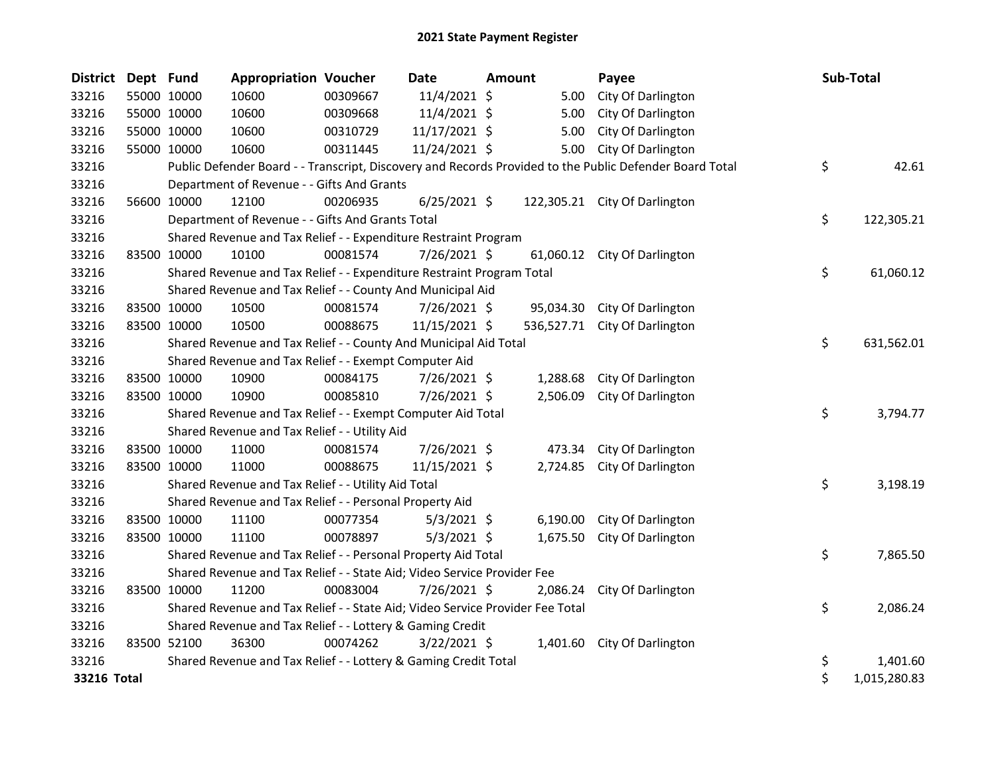| <b>District</b> | Dept Fund   |             | <b>Appropriation Voucher</b>                                                  |          | <b>Date</b>    | <b>Amount</b> |          | Payee                                                                                                   | Sub-Total          |
|-----------------|-------------|-------------|-------------------------------------------------------------------------------|----------|----------------|---------------|----------|---------------------------------------------------------------------------------------------------------|--------------------|
| 33216           |             | 55000 10000 | 10600                                                                         | 00309667 | 11/4/2021 \$   |               | 5.00     | City Of Darlington                                                                                      |                    |
| 33216           |             | 55000 10000 | 10600                                                                         | 00309668 | 11/4/2021 \$   |               | 5.00     | City Of Darlington                                                                                      |                    |
| 33216           |             | 55000 10000 | 10600                                                                         | 00310729 | 11/17/2021 \$  |               | 5.00     | City Of Darlington                                                                                      |                    |
| 33216           | 55000 10000 |             | 10600                                                                         | 00311445 | 11/24/2021 \$  |               | 5.00     | City Of Darlington                                                                                      |                    |
| 33216           |             |             |                                                                               |          |                |               |          | Public Defender Board - - Transcript, Discovery and Records Provided to the Public Defender Board Total | \$<br>42.61        |
| 33216           |             |             | Department of Revenue - - Gifts And Grants                                    |          |                |               |          |                                                                                                         |                    |
| 33216           |             | 56600 10000 | 12100                                                                         | 00206935 | $6/25/2021$ \$ |               |          | 122,305.21 City Of Darlington                                                                           |                    |
| 33216           |             |             | Department of Revenue - - Gifts And Grants Total                              |          |                |               |          |                                                                                                         | \$<br>122,305.21   |
| 33216           |             |             | Shared Revenue and Tax Relief - - Expenditure Restraint Program               |          |                |               |          |                                                                                                         |                    |
| 33216           | 83500 10000 |             | 10100                                                                         | 00081574 | 7/26/2021 \$   |               |          | 61,060.12 City Of Darlington                                                                            |                    |
| 33216           |             |             | Shared Revenue and Tax Relief - - Expenditure Restraint Program Total         |          |                |               |          |                                                                                                         | \$<br>61,060.12    |
| 33216           |             |             | Shared Revenue and Tax Relief - - County And Municipal Aid                    |          |                |               |          |                                                                                                         |                    |
| 33216           |             | 83500 10000 | 10500                                                                         | 00081574 | 7/26/2021 \$   |               |          | 95,034.30 City Of Darlington                                                                            |                    |
| 33216           |             | 83500 10000 | 10500                                                                         | 00088675 | 11/15/2021 \$  |               |          | 536,527.71 City Of Darlington                                                                           |                    |
| 33216           |             |             | Shared Revenue and Tax Relief - - County And Municipal Aid Total              |          |                |               |          |                                                                                                         | \$<br>631,562.01   |
| 33216           |             |             | Shared Revenue and Tax Relief - - Exempt Computer Aid                         |          |                |               |          |                                                                                                         |                    |
| 33216           |             | 83500 10000 | 10900                                                                         | 00084175 | 7/26/2021 \$   |               | 1,288.68 | City Of Darlington                                                                                      |                    |
| 33216           |             | 83500 10000 | 10900                                                                         | 00085810 | 7/26/2021 \$   |               | 2,506.09 | City Of Darlington                                                                                      |                    |
| 33216           |             |             | Shared Revenue and Tax Relief - - Exempt Computer Aid Total                   |          |                |               |          |                                                                                                         | \$<br>3,794.77     |
| 33216           |             |             | Shared Revenue and Tax Relief - - Utility Aid                                 |          |                |               |          |                                                                                                         |                    |
| 33216           |             | 83500 10000 | 11000                                                                         | 00081574 | 7/26/2021 \$   |               | 473.34   | City Of Darlington                                                                                      |                    |
| 33216           |             | 83500 10000 | 11000                                                                         | 00088675 | 11/15/2021 \$  |               | 2,724.85 | City Of Darlington                                                                                      |                    |
| 33216           |             |             | Shared Revenue and Tax Relief - - Utility Aid Total                           |          |                |               |          |                                                                                                         | \$<br>3,198.19     |
| 33216           |             |             | Shared Revenue and Tax Relief - - Personal Property Aid                       |          |                |               |          |                                                                                                         |                    |
| 33216           |             | 83500 10000 | 11100                                                                         | 00077354 | $5/3/2021$ \$  |               | 6,190.00 | City Of Darlington                                                                                      |                    |
| 33216           |             | 83500 10000 | 11100                                                                         | 00078897 | $5/3/2021$ \$  |               | 1,675.50 | City Of Darlington                                                                                      |                    |
| 33216           |             |             | Shared Revenue and Tax Relief - - Personal Property Aid Total                 |          |                |               |          |                                                                                                         | \$<br>7,865.50     |
| 33216           |             |             | Shared Revenue and Tax Relief - - State Aid; Video Service Provider Fee       |          |                |               |          |                                                                                                         |                    |
| 33216           |             | 83500 10000 | 11200                                                                         | 00083004 | 7/26/2021 \$   |               | 2,086.24 | City Of Darlington                                                                                      |                    |
| 33216           |             |             | Shared Revenue and Tax Relief - - State Aid; Video Service Provider Fee Total |          |                |               |          |                                                                                                         | \$<br>2,086.24     |
| 33216           |             |             | Shared Revenue and Tax Relief - - Lottery & Gaming Credit                     |          |                |               |          |                                                                                                         |                    |
| 33216           | 83500 52100 |             | 36300                                                                         | 00074262 | $3/22/2021$ \$ |               | 1,401.60 | City Of Darlington                                                                                      |                    |
| 33216           |             |             | Shared Revenue and Tax Relief - - Lottery & Gaming Credit Total               |          |                |               |          |                                                                                                         | \$<br>1,401.60     |
| 33216 Total     |             |             |                                                                               |          |                |               |          |                                                                                                         | \$<br>1,015,280.83 |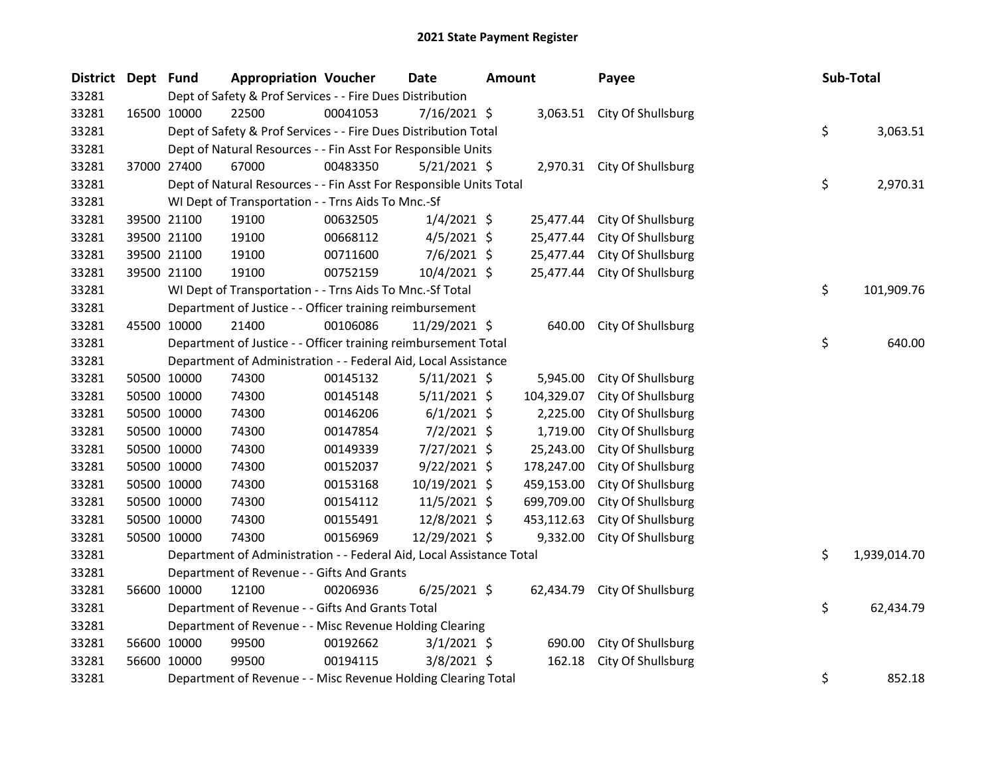| <b>District</b> | Dept Fund |                                                                                            | <b>Appropriation Voucher</b>                                                      |          | <b>Date</b>    | Amount |            | Payee                        |  | Sub-Total        |  |
|-----------------|-----------|--------------------------------------------------------------------------------------------|-----------------------------------------------------------------------------------|----------|----------------|--------|------------|------------------------------|--|------------------|--|
| 33281           |           | Dept of Safety & Prof Services - - Fire Dues Distribution                                  |                                                                                   |          |                |        |            |                              |  |                  |  |
| 33281           |           | 16500 10000                                                                                | 22500                                                                             | 00041053 | $7/16/2021$ \$ |        |            | 3,063.51 City Of Shullsburg  |  |                  |  |
| 33281           |           |                                                                                            | \$<br>Dept of Safety & Prof Services - - Fire Dues Distribution Total<br>3,063.51 |          |                |        |            |                              |  |                  |  |
| 33281           |           | Dept of Natural Resources - - Fin Asst For Responsible Units                               |                                                                                   |          |                |        |            |                              |  |                  |  |
| 33281           |           | 37000 27400                                                                                | 67000                                                                             | 00483350 | $5/21/2021$ \$ |        |            | 2,970.31 City Of Shullsburg  |  |                  |  |
| 33281           |           | \$<br>Dept of Natural Resources - - Fin Asst For Responsible Units Total<br>2,970.31       |                                                                                   |          |                |        |            |                              |  |                  |  |
| 33281           |           | WI Dept of Transportation - - Trns Aids To Mnc.-Sf                                         |                                                                                   |          |                |        |            |                              |  |                  |  |
| 33281           |           | 39500 21100                                                                                | 19100                                                                             | 00632505 | $1/4/2021$ \$  |        | 25,477.44  | City Of Shullsburg           |  |                  |  |
| 33281           |           | 39500 21100                                                                                | 19100                                                                             | 00668112 | $4/5/2021$ \$  |        | 25,477.44  | City Of Shullsburg           |  |                  |  |
| 33281           |           | 39500 21100                                                                                | 19100                                                                             | 00711600 | 7/6/2021 \$    |        | 25,477.44  | City Of Shullsburg           |  |                  |  |
| 33281           |           | 39500 21100                                                                                | 19100                                                                             | 00752159 | 10/4/2021 \$   |        | 25,477.44  | City Of Shullsburg           |  |                  |  |
| 33281           |           | WI Dept of Transportation - - Trns Aids To Mnc.-Sf Total                                   |                                                                                   |          |                |        |            |                              |  | \$<br>101,909.76 |  |
| 33281           |           | Department of Justice - - Officer training reimbursement                                   |                                                                                   |          |                |        |            |                              |  |                  |  |
| 33281           |           | 45500 10000                                                                                | 21400                                                                             | 00106086 | 11/29/2021 \$  |        | 640.00     | City Of Shullsburg           |  |                  |  |
| 33281           |           |                                                                                            | \$<br>Department of Justice - - Officer training reimbursement Total<br>640.00    |          |                |        |            |                              |  |                  |  |
| 33281           |           |                                                                                            | Department of Administration - - Federal Aid, Local Assistance                    |          |                |        |            |                              |  |                  |  |
| 33281           |           | 50500 10000                                                                                | 74300                                                                             | 00145132 | $5/11/2021$ \$ |        | 5,945.00   | City Of Shullsburg           |  |                  |  |
| 33281           |           | 50500 10000                                                                                | 74300                                                                             | 00145148 | $5/11/2021$ \$ |        | 104,329.07 | City Of Shullsburg           |  |                  |  |
| 33281           |           | 50500 10000                                                                                | 74300                                                                             | 00146206 | $6/1/2021$ \$  |        | 2,225.00   | City Of Shullsburg           |  |                  |  |
| 33281           |           | 50500 10000                                                                                | 74300                                                                             | 00147854 | 7/2/2021 \$    |        | 1,719.00   | City Of Shullsburg           |  |                  |  |
| 33281           |           | 50500 10000                                                                                | 74300                                                                             | 00149339 | 7/27/2021 \$   |        | 25,243.00  | City Of Shullsburg           |  |                  |  |
| 33281           |           | 50500 10000                                                                                | 74300                                                                             | 00152037 | $9/22/2021$ \$ |        | 178,247.00 | City Of Shullsburg           |  |                  |  |
| 33281           |           | 50500 10000                                                                                | 74300                                                                             | 00153168 | 10/19/2021 \$  |        | 459,153.00 | City Of Shullsburg           |  |                  |  |
| 33281           |           | 50500 10000                                                                                | 74300                                                                             | 00154112 | $11/5/2021$ \$ |        | 699,709.00 | City Of Shullsburg           |  |                  |  |
| 33281           |           | 50500 10000                                                                                | 74300                                                                             | 00155491 | 12/8/2021 \$   |        | 453,112.63 | City Of Shullsburg           |  |                  |  |
| 33281           |           | 50500 10000                                                                                | 74300                                                                             | 00156969 | 12/29/2021 \$  |        | 9,332.00   | City Of Shullsburg           |  |                  |  |
| 33281           |           | \$<br>Department of Administration - - Federal Aid, Local Assistance Total<br>1,939,014.70 |                                                                                   |          |                |        |            |                              |  |                  |  |
| 33281           |           | Department of Revenue - - Gifts And Grants                                                 |                                                                                   |          |                |        |            |                              |  |                  |  |
| 33281           |           | 56600 10000                                                                                | 12100                                                                             | 00206936 | $6/25/2021$ \$ |        |            | 62,434.79 City Of Shullsburg |  |                  |  |
| 33281           |           | \$<br>Department of Revenue - - Gifts And Grants Total<br>62,434.79                        |                                                                                   |          |                |        |            |                              |  |                  |  |
| 33281           |           | Department of Revenue - - Misc Revenue Holding Clearing                                    |                                                                                   |          |                |        |            |                              |  |                  |  |
| 33281           |           | 56600 10000                                                                                | 99500                                                                             | 00192662 | $3/1/2021$ \$  |        | 690.00     | City Of Shullsburg           |  |                  |  |
| 33281           |           | 56600 10000                                                                                | 99500                                                                             | 00194115 | $3/8/2021$ \$  |        | 162.18     | City Of Shullsburg           |  |                  |  |
| 33281           |           | Department of Revenue - - Misc Revenue Holding Clearing Total                              |                                                                                   |          |                |        |            |                              |  | \$<br>852.18     |  |